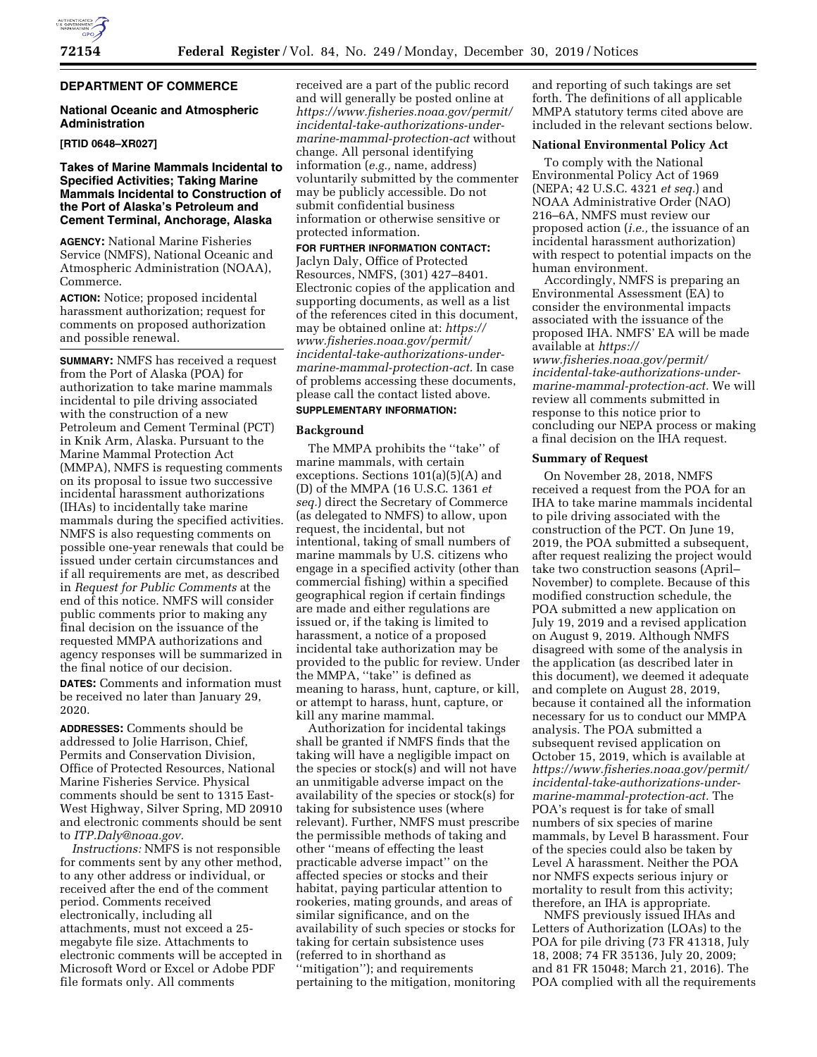## **DEPARTMENT OF COMMERCE**

## **National Oceanic and Atmospheric Administration**

### **[RTID 0648–XR027]**

## **Takes of Marine Mammals Incidental to Specified Activities; Taking Marine Mammals Incidental to Construction of the Port of Alaska's Petroleum and Cement Terminal, Anchorage, Alaska**

**AGENCY:** National Marine Fisheries Service (NMFS), National Oceanic and Atmospheric Administration (NOAA), Commerce.

**ACTION:** Notice; proposed incidental harassment authorization; request for comments on proposed authorization and possible renewal.

**SUMMARY:** NMFS has received a request from the Port of Alaska (POA) for authorization to take marine mammals incidental to pile driving associated with the construction of a new Petroleum and Cement Terminal (PCT) in Knik Arm, Alaska. Pursuant to the Marine Mammal Protection Act (MMPA), NMFS is requesting comments on its proposal to issue two successive incidental harassment authorizations (IHAs) to incidentally take marine mammals during the specified activities. NMFS is also requesting comments on possible one-year renewals that could be issued under certain circumstances and if all requirements are met, as described in *Request for Public Comments* at the end of this notice. NMFS will consider public comments prior to making any final decision on the issuance of the requested MMPA authorizations and agency responses will be summarized in the final notice of our decision.

**DATES:** Comments and information must be received no later than January 29, 2020.

**ADDRESSES:** Comments should be addressed to Jolie Harrison, Chief, Permits and Conservation Division, Office of Protected Resources, National Marine Fisheries Service. Physical comments should be sent to 1315 East-West Highway, Silver Spring, MD 20910 and electronic comments should be sent to *[ITP.Daly@noaa.gov.](mailto:ITP.Daly@noaa.gov)* 

*Instructions:* NMFS is not responsible for comments sent by any other method, to any other address or individual, or received after the end of the comment period. Comments received electronically, including all attachments, must not exceed a 25 megabyte file size. Attachments to electronic comments will be accepted in Microsoft Word or Excel or Adobe PDF file formats only. All comments

received are a part of the public record and will generally be posted online at *[https://www.fisheries.noaa.gov/permit/](https://www.fisheries.noaa.gov/permit/incidental-take-authorizations-under-marine-mammal-protection-act) [incidental-take-authorizations-under](https://www.fisheries.noaa.gov/permit/incidental-take-authorizations-under-marine-mammal-protection-act)[marine-mammal-protection-act](https://www.fisheries.noaa.gov/permit/incidental-take-authorizations-under-marine-mammal-protection-act)* without change. All personal identifying information (*e.g.,* name, address) voluntarily submitted by the commenter may be publicly accessible. Do not submit confidential business information or otherwise sensitive or protected information.

# **FOR FURTHER INFORMATION CONTACT:**

Jaclyn Daly, Office of Protected Resources, NMFS, (301) 427–8401. Electronic copies of the application and supporting documents, as well as a list of the references cited in this document, may be obtained online at: *[https://](https://www.fisheries.noaa.gov/permit/incidental-take-authorizations-under-marine-mammal-protection-act) [www.fisheries.noaa.gov/permit/](https://www.fisheries.noaa.gov/permit/incidental-take-authorizations-under-marine-mammal-protection-act)  [incidental-take-authorizations-under](https://www.fisheries.noaa.gov/permit/incidental-take-authorizations-under-marine-mammal-protection-act)[marine-mammal-protection-act.](https://www.fisheries.noaa.gov/permit/incidental-take-authorizations-under-marine-mammal-protection-act)* In case of problems accessing these documents, please call the contact listed above.

## **SUPPLEMENTARY INFORMATION:**

### **Background**

The MMPA prohibits the "take" of marine mammals, with certain exceptions. Sections 101(a)(5)(A) and (D) of the MMPA (16 U.S.C. 1361 *et seq.*) direct the Secretary of Commerce (as delegated to NMFS) to allow, upon request, the incidental, but not intentional, taking of small numbers of marine mammals by U.S. citizens who engage in a specified activity (other than commercial fishing) within a specified geographical region if certain findings are made and either regulations are issued or, if the taking is limited to harassment, a notice of a proposed incidental take authorization may be provided to the public for review. Under the MMPA, ''take'' is defined as meaning to harass, hunt, capture, or kill, or attempt to harass, hunt, capture, or kill any marine mammal.

Authorization for incidental takings shall be granted if NMFS finds that the taking will have a negligible impact on the species or stock(s) and will not have an unmitigable adverse impact on the availability of the species or stock(s) for taking for subsistence uses (where relevant). Further, NMFS must prescribe the permissible methods of taking and other ''means of effecting the least practicable adverse impact'' on the affected species or stocks and their habitat, paying particular attention to rookeries, mating grounds, and areas of similar significance, and on the availability of such species or stocks for taking for certain subsistence uses (referred to in shorthand as ''mitigation''); and requirements pertaining to the mitigation, monitoring

and reporting of such takings are set forth. The definitions of all applicable MMPA statutory terms cited above are included in the relevant sections below.

## **National Environmental Policy Act**

To comply with the National Environmental Policy Act of 1969 (NEPA; 42 U.S.C. 4321 *et seq.*) and NOAA Administrative Order (NAO) 216–6A, NMFS must review our proposed action (*i.e.,* the issuance of an incidental harassment authorization) with respect to potential impacts on the human environment.

Accordingly, NMFS is preparing an Environmental Assessment (EA) to consider the environmental impacts associated with the issuance of the proposed IHA. NMFS' EA will be made available at *[https://](https://www.fisheries.noaa.gov/permit/incidental-take-authorizations-under-marine-mammal-protection-act) [www.fisheries.noaa.gov/permit/](https://www.fisheries.noaa.gov/permit/incidental-take-authorizations-under-marine-mammal-protection-act)  [incidental-take-authorizations-under](https://www.fisheries.noaa.gov/permit/incidental-take-authorizations-under-marine-mammal-protection-act)[marine-mammal-protection-act.](https://www.fisheries.noaa.gov/permit/incidental-take-authorizations-under-marine-mammal-protection-act)* We will review all comments submitted in response to this notice prior to concluding our NEPA process or making a final decision on the IHA request.

### **Summary of Request**

On November 28, 2018, NMFS received a request from the POA for an IHA to take marine mammals incidental to pile driving associated with the construction of the PCT. On June 19, 2019, the POA submitted a subsequent, after request realizing the project would take two construction seasons (April– November) to complete. Because of this modified construction schedule, the POA submitted a new application on July 19, 2019 and a revised application on August 9, 2019. Although NMFS disagreed with some of the analysis in the application (as described later in this document), we deemed it adequate and complete on August 28, 2019, because it contained all the information necessary for us to conduct our MMPA analysis. The POA submitted a subsequent revised application on October 15, 2019, which is available at *[https://www.fisheries.noaa.gov/permit/](https://www.fisheries.noaa.gov/permit/incidental-take-authorizations-under-marine-mammal-protection-act) [incidental-take-authorizations-under](https://www.fisheries.noaa.gov/permit/incidental-take-authorizations-under-marine-mammal-protection-act)[marine-mammal-protection-act.](https://www.fisheries.noaa.gov/permit/incidental-take-authorizations-under-marine-mammal-protection-act)* The POA's request is for take of small numbers of six species of marine mammals, by Level B harassment. Four of the species could also be taken by Level A harassment. Neither the POA nor NMFS expects serious injury or mortality to result from this activity; therefore, an IHA is appropriate.

NMFS previously issued IHAs and Letters of Authorization (LOAs) to the POA for pile driving (73 FR 41318, July 18, 2008; 74 FR 35136, July 20, 2009; and 81 FR 15048; March 21, 2016). The POA complied with all the requirements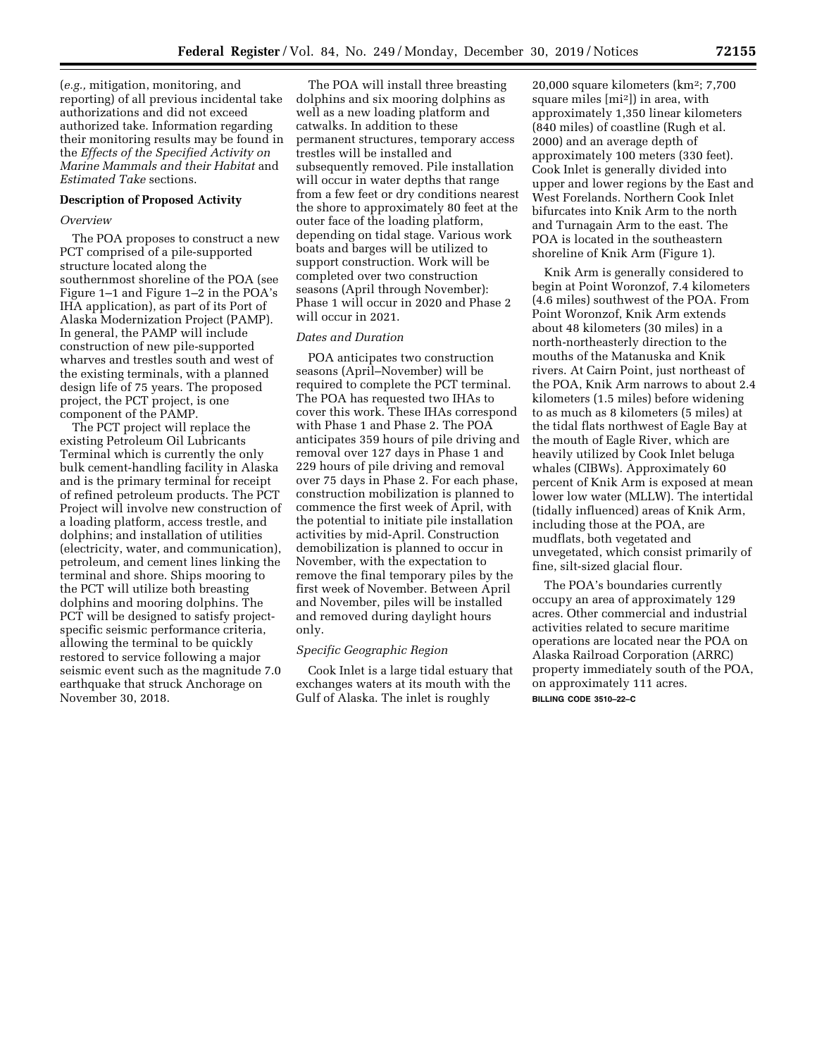(*e.g.,* mitigation, monitoring, and reporting) of all previous incidental take authorizations and did not exceed authorized take. Information regarding their monitoring results may be found in the *Effects of the Specified Activity on Marine Mammals and their Habitat* and *Estimated Take* sections.

### **Description of Proposed Activity**

### *Overview*

The POA proposes to construct a new PCT comprised of a pile-supported structure located along the southernmost shoreline of the POA (see Figure 1–1 and Figure 1–2 in the POA's IHA application), as part of its Port of Alaska Modernization Project (PAMP). In general, the PAMP will include construction of new pile-supported wharves and trestles south and west of the existing terminals, with a planned design life of 75 years. The proposed project, the PCT project, is one component of the PAMP.

The PCT project will replace the existing Petroleum Oil Lubricants Terminal which is currently the only bulk cement-handling facility in Alaska and is the primary terminal for receipt of refined petroleum products. The PCT Project will involve new construction of a loading platform, access trestle, and dolphins; and installation of utilities (electricity, water, and communication), petroleum, and cement lines linking the terminal and shore. Ships mooring to the PCT will utilize both breasting dolphins and mooring dolphins. The PCT will be designed to satisfy projectspecific seismic performance criteria, allowing the terminal to be quickly restored to service following a major seismic event such as the magnitude 7.0 earthquake that struck Anchorage on November 30, 2018.

The POA will install three breasting dolphins and six mooring dolphins as well as a new loading platform and catwalks. In addition to these permanent structures, temporary access trestles will be installed and subsequently removed. Pile installation will occur in water depths that range from a few feet or dry conditions nearest the shore to approximately 80 feet at the outer face of the loading platform, depending on tidal stage. Various work boats and barges will be utilized to support construction. Work will be completed over two construction seasons (April through November): Phase 1 will occur in 2020 and Phase 2 will occur in 2021.

### *Dates and Duration*

POA anticipates two construction seasons (April–November) will be required to complete the PCT terminal. The POA has requested two IHAs to cover this work. These IHAs correspond with Phase 1 and Phase 2. The POA anticipates 359 hours of pile driving and removal over 127 days in Phase 1 and 229 hours of pile driving and removal over 75 days in Phase 2. For each phase, construction mobilization is planned to commence the first week of April, with the potential to initiate pile installation activities by mid-April. Construction demobilization is planned to occur in November, with the expectation to remove the final temporary piles by the first week of November. Between April and November, piles will be installed and removed during daylight hours only.

## *Specific Geographic Region*

Cook Inlet is a large tidal estuary that exchanges waters at its mouth with the Gulf of Alaska. The inlet is roughly

20,000 square kilometers (km2; 7,700 square miles [mi2]) in area, with approximately 1,350 linear kilometers (840 miles) of coastline (Rugh et al. 2000) and an average depth of approximately 100 meters (330 feet). Cook Inlet is generally divided into upper and lower regions by the East and West Forelands. Northern Cook Inlet bifurcates into Knik Arm to the north and Turnagain Arm to the east. The POA is located in the southeastern shoreline of Knik Arm (Figure 1).

Knik Arm is generally considered to begin at Point Woronzof, 7.4 kilometers (4.6 miles) southwest of the POA. From Point Woronzof, Knik Arm extends about 48 kilometers (30 miles) in a north-northeasterly direction to the mouths of the Matanuska and Knik rivers. At Cairn Point, just northeast of the POA, Knik Arm narrows to about 2.4 kilometers (1.5 miles) before widening to as much as 8 kilometers (5 miles) at the tidal flats northwest of Eagle Bay at the mouth of Eagle River, which are heavily utilized by Cook Inlet beluga whales (CIBWs). Approximately 60 percent of Knik Arm is exposed at mean lower low water (MLLW). The intertidal (tidally influenced) areas of Knik Arm, including those at the POA, are mudflats, both vegetated and unvegetated, which consist primarily of fine, silt-sized glacial flour.

The POA's boundaries currently occupy an area of approximately 129 acres. Other commercial and industrial activities related to secure maritime operations are located near the POA on Alaska Railroad Corporation (ARRC) property immediately south of the POA, on approximately 111 acres. **BILLING CODE 3510–22–C**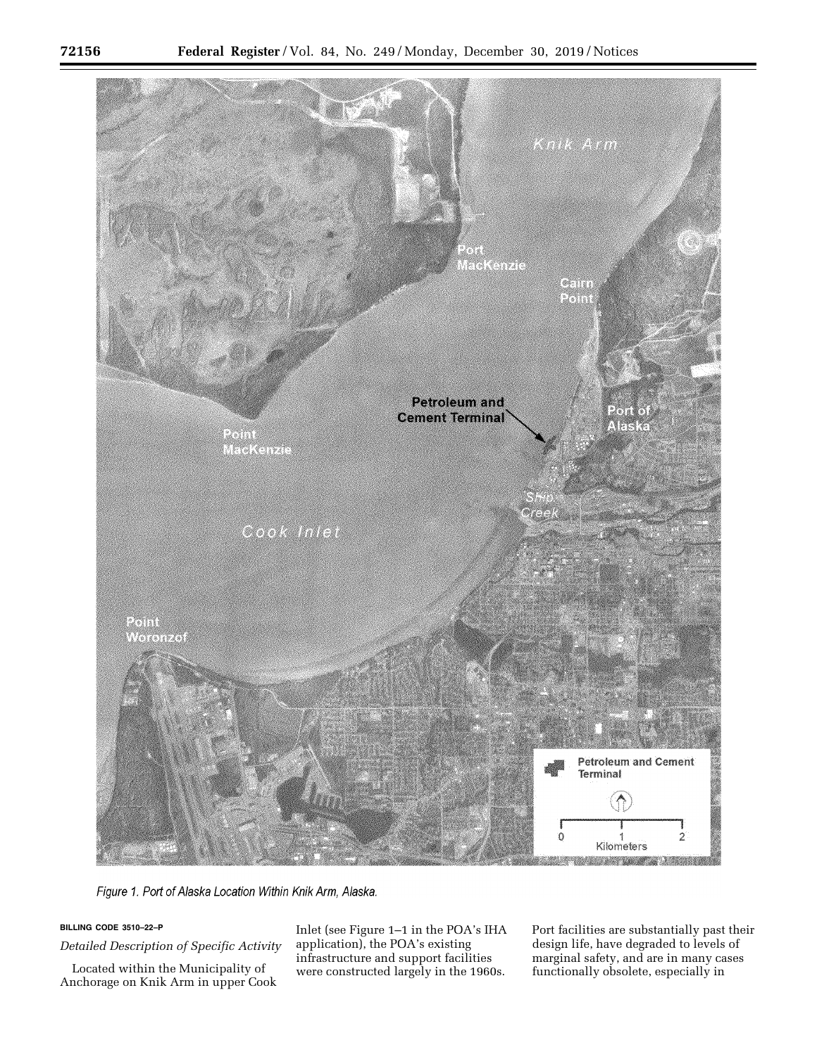

Figure 1. Port of Alaska Location Within Knik Arm, Alaska.

## **BILLING CODE 3510–22–P**

*Detailed Description of Specific Activity* 

Located within the Municipality of Anchorage on Knik Arm in upper Cook

Inlet (see Figure 1–1 in the POA's IHA application), the POA's existing infrastructure and support facilities were constructed largely in the 1960s.

Port facilities are substantially past their design life, have degraded to levels of marginal safety, and are in many cases functionally obsolete, especially in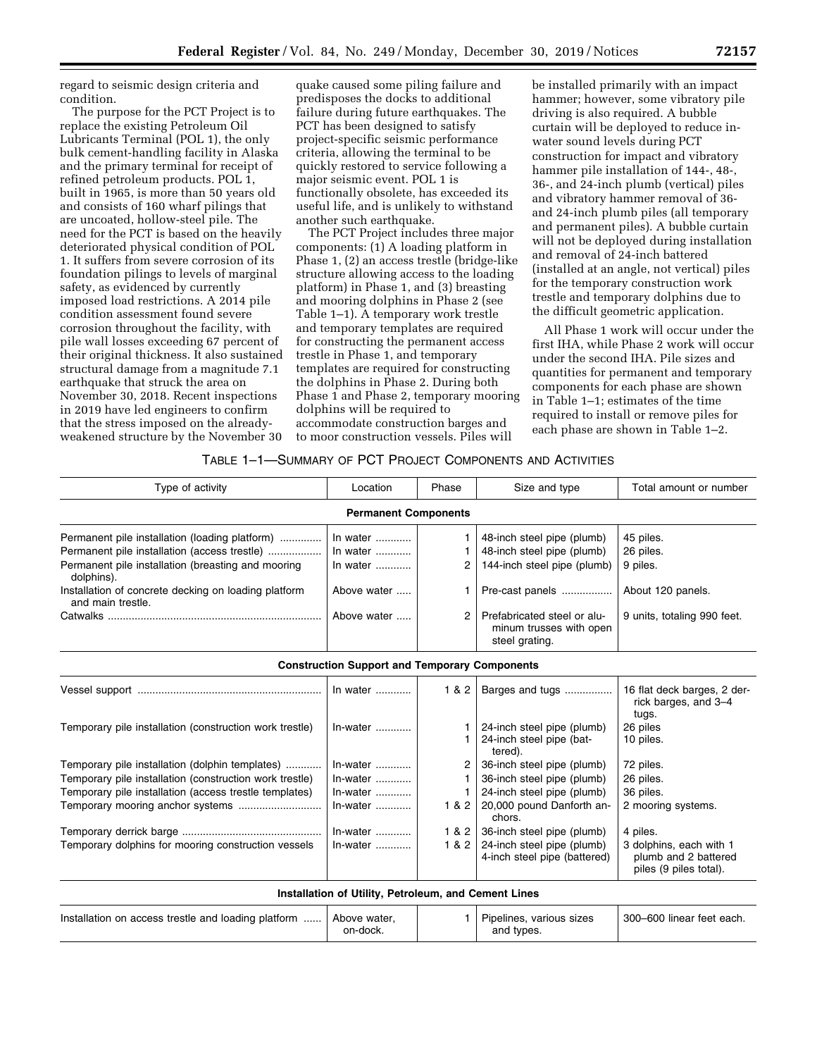regard to seismic design criteria and condition.

The purpose for the PCT Project is to replace the existing Petroleum Oil Lubricants Terminal (POL 1), the only bulk cement-handling facility in Alaska and the primary terminal for receipt of refined petroleum products. POL 1, built in 1965, is more than 50 years old and consists of 160 wharf pilings that are uncoated, hollow-steel pile. The need for the PCT is based on the heavily deteriorated physical condition of POL 1. It suffers from severe corrosion of its foundation pilings to levels of marginal safety, as evidenced by currently imposed load restrictions. A 2014 pile condition assessment found severe corrosion throughout the facility, with pile wall losses exceeding 67 percent of their original thickness. It also sustained structural damage from a magnitude 7.1 earthquake that struck the area on November 30, 2018. Recent inspections in 2019 have led engineers to confirm that the stress imposed on the alreadyweakened structure by the November 30

quake caused some piling failure and predisposes the docks to additional failure during future earthquakes. The PCT has been designed to satisfy project-specific seismic performance criteria, allowing the terminal to be quickly restored to service following a major seismic event. POL 1 is functionally obsolete, has exceeded its useful life, and is unlikely to withstand another such earthquake.

The PCT Project includes three major components: (1) A loading platform in Phase 1, (2) an access trestle (bridge-like structure allowing access to the loading platform) in Phase 1, and (3) breasting and mooring dolphins in Phase 2 (see Table 1–1). A temporary work trestle and temporary templates are required for constructing the permanent access trestle in Phase 1, and temporary templates are required for constructing the dolphins in Phase 2. During both Phase 1 and Phase 2, temporary mooring dolphins will be required to accommodate construction barges and to moor construction vessels. Piles will

be installed primarily with an impact hammer; however, some vibratory pile driving is also required. A bubble curtain will be deployed to reduce inwater sound levels during PCT construction for impact and vibratory hammer pile installation of 144-, 48-, 36-, and 24-inch plumb (vertical) piles and vibratory hammer removal of 36 and 24-inch plumb piles (all temporary and permanent piles). A bubble curtain will not be deployed during installation and removal of 24-inch battered (installed at an angle, not vertical) piles for the temporary construction work trestle and temporary dolphins due to the difficult geometric application.

All Phase 1 work will occur under the first IHA, while Phase 2 work will occur under the second IHA. Pile sizes and quantities for permanent and temporary components for each phase are shown in Table 1–1; estimates of the time required to install or remove piles for each phase are shown in Table 1–2.

## TABLE 1–1—SUMMARY OF PCT PROJECT COMPONENTS AND ACTIVITIES

| Type of activity                                                          | Location                                             | Phase | Size and type                                                            | Total amount or number                                                    |  |  |  |  |
|---------------------------------------------------------------------------|------------------------------------------------------|-------|--------------------------------------------------------------------------|---------------------------------------------------------------------------|--|--|--|--|
| <b>Permanent Components</b>                                               |                                                      |       |                                                                          |                                                                           |  |  |  |  |
| Permanent pile installation (loading platform)                            | In water                                             |       | 48-inch steel pipe (plumb)                                               | 45 piles.                                                                 |  |  |  |  |
| Permanent pile installation (access trestle)                              | In water $\ldots$                                    |       | 48-inch steel pipe (plumb)                                               | 26 piles.                                                                 |  |  |  |  |
| Permanent pile installation (breasting and mooring<br>dolphins).          | In water $\ldots$                                    | 2     | 144-inch steel pipe (plumb)                                              | 9 piles.                                                                  |  |  |  |  |
| Installation of concrete decking on loading platform<br>and main trestle. | Above water                                          |       | Pre-cast panels                                                          | About 120 panels.                                                         |  |  |  |  |
|                                                                           | Above water                                          | 2     | Prefabricated steel or alu-<br>minum trusses with open<br>steel grating. | 9 units, totaling 990 feet.                                               |  |  |  |  |
|                                                                           | <b>Construction Support and Temporary Components</b> |       |                                                                          |                                                                           |  |  |  |  |
|                                                                           | In water                                             | 1 & 2 | Barges and tugs                                                          | 16 flat deck barges, 2 der-<br>rick barges, and 3-4<br>tugs.              |  |  |  |  |
| Temporary pile installation (construction work trestle)                   | $In-water$                                           |       | 24-inch steel pipe (plumb)<br>24-inch steel pipe (bat-<br>tered).        | 26 piles<br>10 piles.                                                     |  |  |  |  |
| Temporary pile installation (dolphin templates)                           | $In-water$                                           | 2     | 36-inch steel pipe (plumb)                                               | 72 piles.                                                                 |  |  |  |  |
| Temporary pile installation (construction work trestle)                   | $In-water$                                           |       | 36-inch steel pipe (plumb)                                               | 26 piles.                                                                 |  |  |  |  |
| Temporary pile installation (access trestle templates)                    | In-water                                             |       | 24-inch steel pipe (plumb)                                               | 36 piles.                                                                 |  |  |  |  |
|                                                                           | $In-water$                                           | 1 & 2 | 20,000 pound Danforth an-<br>chors.                                      | 2 mooring systems.                                                        |  |  |  |  |
|                                                                           | $In-water$                                           | 1 & 2 | 36-inch steel pipe (plumb)                                               | 4 piles.                                                                  |  |  |  |  |
| Temporary dolphins for mooring construction vessels                       | $In-water$                                           | 1 & 2 | 24-inch steel pipe (plumb)<br>4-inch steel pipe (battered)               | 3 dolphins, each with 1<br>plumb and 2 battered<br>piles (9 piles total). |  |  |  |  |
|                                                                           | Installation of Utility, Petroleum, and Cement Lines |       |                                                                          |                                                                           |  |  |  |  |
| Installation on access trestle and loading platform                       | Above water.<br>on-dock.                             |       | Pipelines, various sizes<br>and types.                                   | 300-600 linear feet each.                                                 |  |  |  |  |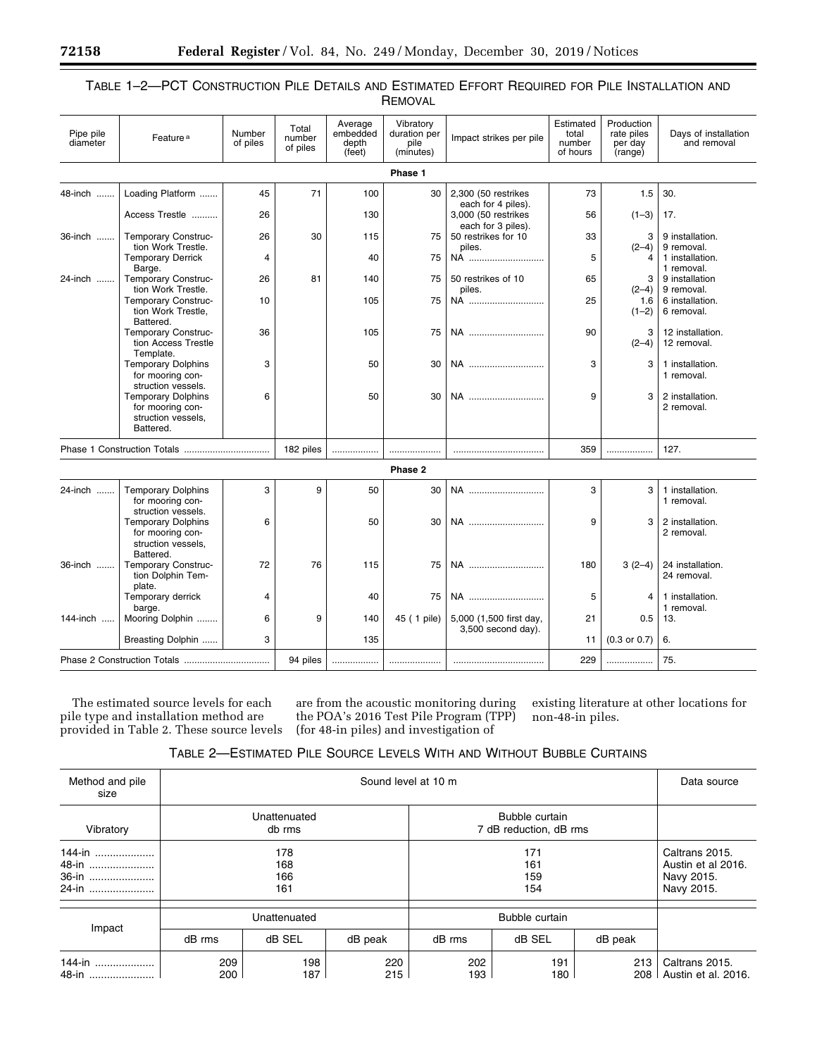| TABLE 1-2—PCT CONSTRUCTION PILE DETAILS AND ESTIMATED EFFORT REQUIRED FOR PILE INSTALLATION AND |         |  |  |
|-------------------------------------------------------------------------------------------------|---------|--|--|
|                                                                                                 | REMOVAL |  |  |

| Pipe pile<br>diameter | Feature <sup>a</sup>                                                                                   | Number<br>of piles | Total<br>number<br>of piles | Average<br>embedded<br>depth<br>(feet) | Vibratory<br>duration per<br>pile<br>(minutes) | Impact strikes per pile                                         | Estimated<br>total<br>number<br>of hours | Production<br>rate piles<br>per day<br>(range) | Days of installation<br>and removal |
|-----------------------|--------------------------------------------------------------------------------------------------------|--------------------|-----------------------------|----------------------------------------|------------------------------------------------|-----------------------------------------------------------------|------------------------------------------|------------------------------------------------|-------------------------------------|
|                       |                                                                                                        |                    |                             |                                        | Phase 1                                        |                                                                 |                                          |                                                |                                     |
| 48-inch               | Loading Platform                                                                                       | 45                 | 71                          | 100                                    | 30                                             | 2,300 (50 restrikes                                             | 73                                       | 1.5                                            | 30.                                 |
|                       | Access Trestle                                                                                         | 26                 |                             | 130                                    |                                                | each for 4 piles).<br>3,000 (50 restrikes<br>each for 3 piles). | 56                                       | $(1-3)$                                        | 17.                                 |
| 36-inch               | Temporary Construc-<br>tion Work Trestle.                                                              | 26                 | 30                          | 115                                    | 75                                             | 50 restrikes for 10<br>piles.                                   | 33                                       | 3<br>$(2-4)$                                   | 9 installation.<br>9 removal.       |
|                       | <b>Temporary Derrick</b><br>Barge.                                                                     | $\overline{4}$     |                             | 40                                     | 75                                             | NA                                                              | 5                                        | 4                                              | 1 installation.<br>1 removal.       |
| 24-inch               | Temporary Construc-<br>tion Work Trestle.                                                              | 26                 | 81                          | 140                                    | 75                                             | 50 restrikes of 10<br>piles.                                    | 65                                       | 3<br>$(2-4)$                                   | 9 installation<br>9 removal.        |
|                       | Temporary Construc-<br>tion Work Trestle,<br>Battered.                                                 | 10                 |                             | 105                                    | 75                                             | NA                                                              | 25                                       | 1.6<br>$(1-2)$                                 | 6 installation.<br>6 removal.       |
|                       | Temporary Construc-<br>tion Access Trestle<br>Template.                                                | 36                 |                             | 105                                    | 75                                             | NA                                                              | 90                                       | 3<br>$(2-4)$                                   | 12 installation.<br>12 removal.     |
|                       | <b>Temporary Dolphins</b><br>for mooring con-<br>struction vessels.                                    | 3                  |                             | 50                                     | 30                                             | NA                                                              | 3                                        | 3                                              | 1 installation.<br>1 removal.       |
|                       | <b>Temporary Dolphins</b><br>for mooring con-<br>struction vessels,<br>Battered.                       | 6                  |                             | 50                                     | 30                                             | NA                                                              | 9                                        | 3                                              | 2 installation.<br>2 removal.       |
|                       |                                                                                                        |                    | 182 piles                   |                                        |                                                |                                                                 | 359                                      |                                                | 127.                                |
|                       |                                                                                                        |                    |                             |                                        | Phase 2                                        |                                                                 |                                          |                                                |                                     |
| 24-inch               | <b>Temporary Dolphins</b><br>for mooring con-                                                          | 3                  | 9                           | 50                                     | 30                                             | NA                                                              | 3                                        | 3                                              | 1 installation.<br>1 removal.       |
|                       | struction vessels.<br><b>Temporary Dolphins</b><br>for mooring con-<br>struction vessels.<br>Battered. | 6                  |                             | 50                                     | 30                                             | NA                                                              | 9                                        | 3                                              | 2 installation.<br>2 removal.       |
| 36-inch               | Temporary Construc-<br>tion Dolphin Tem-<br>plate.                                                     | 72                 | 76                          | 115                                    | 75                                             | NA                                                              | 180                                      | $3(2-4)$                                       | 24 installation.<br>24 removal.     |
|                       | Temporary derrick<br>barge.                                                                            | $\overline{4}$     |                             | 40                                     | 75                                             | NA                                                              | 5                                        | 4                                              | 1 installation.<br>1 removal.       |
| 144-inch              | Mooring Dolphin                                                                                        | 6                  | 9                           | 140                                    | 45 ( 1 pile)                                   | 5,000 (1,500 first day,<br>3,500 second day).                   | 21                                       | 0.5                                            | 13.                                 |
|                       | Breasting Dolphin                                                                                      | 3                  |                             | 135                                    |                                                |                                                                 | 11                                       | $(0.3 \text{ or } 0.7)$                        | 6.                                  |
|                       |                                                                                                        |                    | 94 piles                    |                                        |                                                |                                                                 | 229                                      |                                                | 75.                                 |

The estimated source levels for each pile type and installation method are provided in Table 2. These source levels

are from the acoustic monitoring during the POA's 2016 Test Pile Program (TPP) (for 48-in piles) and investigation of

existing literature at other locations for non-48-in piles.

# TABLE 2—ESTIMATED PILE SOURCE LEVELS WITH AND WITHOUT BUBBLE CURTAINS

| Method and pile<br>size           |                          | Data source |            |                        |                                                                  |            |                                       |
|-----------------------------------|--------------------------|-------------|------------|------------------------|------------------------------------------------------------------|------------|---------------------------------------|
| Vibratory                         | Unattenuated<br>db rms   |             |            | 7 dB reduction, dB rms |                                                                  |            |                                       |
| 144-in<br>48-in<br>36-in<br>24-in | 178<br>168<br>166<br>161 |             |            |                        | Caltrans 2015.<br>Austin et al 2016.<br>Navy 2015.<br>Navy 2015. |            |                                       |
|                                   | Unattenuated             |             |            | Bubble curtain         |                                                                  |            |                                       |
| Impact                            | dB rms                   | dB SEL      | dB peak    | dB rms                 | dB SEL                                                           | dB peak    |                                       |
| 144-in<br>48-in                   | 209<br>200               | 198<br>187  | 220<br>215 | 202<br>193             | 191<br>180                                                       | 213<br>208 | Caltrans 2015.<br>Austin et al. 2016. |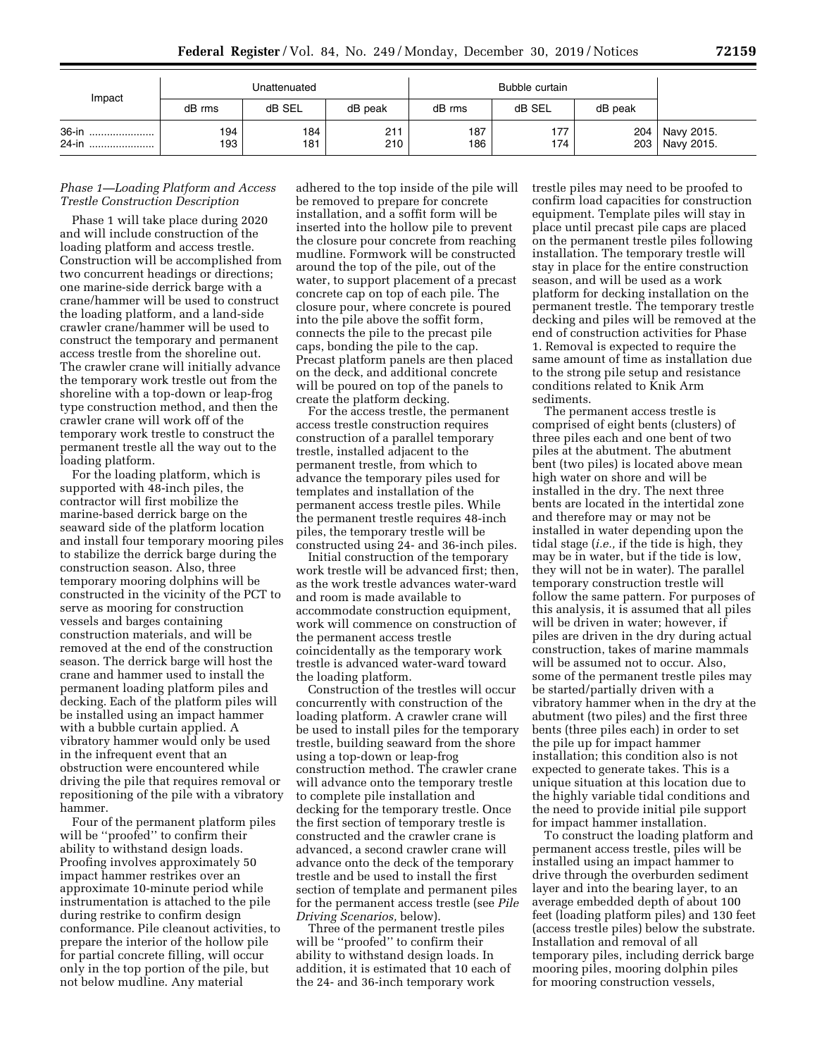| Impact             | Unattenuated |            |            |            |            |         |                                |
|--------------------|--------------|------------|------------|------------|------------|---------|--------------------------------|
|                    | dB rms       | dB SEL     | dB peak    | dB rms     | dB SEL     | dB peak |                                |
| 36-in<br>24-in<br> | 194<br>193   | 184<br>181 | 211<br>210 | 187<br>186 | 177<br>174 | 204     | Navy 2015.<br>203   Navy 2015. |

## *Phase 1—Loading Platform and Access Trestle Construction Description*

Phase 1 will take place during 2020 and will include construction of the loading platform and access trestle. Construction will be accomplished from two concurrent headings or directions; one marine-side derrick barge with a crane/hammer will be used to construct the loading platform, and a land-side crawler crane/hammer will be used to construct the temporary and permanent access trestle from the shoreline out. The crawler crane will initially advance the temporary work trestle out from the shoreline with a top-down or leap-frog type construction method, and then the crawler crane will work off of the temporary work trestle to construct the permanent trestle all the way out to the loading platform.

For the loading platform, which is supported with 48-inch piles, the contractor will first mobilize the marine-based derrick barge on the seaward side of the platform location and install four temporary mooring piles to stabilize the derrick barge during the construction season. Also, three temporary mooring dolphins will be constructed in the vicinity of the PCT to serve as mooring for construction vessels and barges containing construction materials, and will be removed at the end of the construction season. The derrick barge will host the crane and hammer used to install the permanent loading platform piles and decking. Each of the platform piles will be installed using an impact hammer with a bubble curtain applied. A vibratory hammer would only be used in the infrequent event that an obstruction were encountered while driving the pile that requires removal or repositioning of the pile with a vibratory hammer.

Four of the permanent platform piles will be ''proofed'' to confirm their ability to withstand design loads. Proofing involves approximately 50 impact hammer restrikes over an approximate 10-minute period while instrumentation is attached to the pile during restrike to confirm design conformance. Pile cleanout activities, to prepare the interior of the hollow pile for partial concrete filling, will occur only in the top portion of the pile, but not below mudline. Any material

adhered to the top inside of the pile will be removed to prepare for concrete installation, and a soffit form will be inserted into the hollow pile to prevent the closure pour concrete from reaching mudline. Formwork will be constructed around the top of the pile, out of the water, to support placement of a precast concrete cap on top of each pile. The closure pour, where concrete is poured into the pile above the soffit form, connects the pile to the precast pile caps, bonding the pile to the cap. Precast platform panels are then placed on the deck, and additional concrete will be poured on top of the panels to create the platform decking.

For the access trestle, the permanent access trestle construction requires construction of a parallel temporary trestle, installed adjacent to the permanent trestle, from which to advance the temporary piles used for templates and installation of the permanent access trestle piles. While the permanent trestle requires 48-inch piles, the temporary trestle will be constructed using 24- and 36-inch piles.

Initial construction of the temporary work trestle will be advanced first; then, as the work trestle advances water-ward and room is made available to accommodate construction equipment, work will commence on construction of the permanent access trestle coincidentally as the temporary work trestle is advanced water-ward toward the loading platform.

Construction of the trestles will occur concurrently with construction of the loading platform. A crawler crane will be used to install piles for the temporary trestle, building seaward from the shore using a top-down or leap-frog construction method. The crawler crane will advance onto the temporary trestle to complete pile installation and decking for the temporary trestle. Once the first section of temporary trestle is constructed and the crawler crane is advanced, a second crawler crane will advance onto the deck of the temporary trestle and be used to install the first section of template and permanent piles for the permanent access trestle (see *Pile Driving Scenarios,* below).

Three of the permanent trestle piles will be ''proofed'' to confirm their ability to withstand design loads. In addition, it is estimated that 10 each of the 24- and 36-inch temporary work

trestle piles may need to be proofed to confirm load capacities for construction equipment. Template piles will stay in place until precast pile caps are placed on the permanent trestle piles following installation. The temporary trestle will stay in place for the entire construction season, and will be used as a work platform for decking installation on the permanent trestle. The temporary trestle decking and piles will be removed at the end of construction activities for Phase 1. Removal is expected to require the same amount of time as installation due to the strong pile setup and resistance conditions related to Knik Arm sediments.

The permanent access trestle is comprised of eight bents (clusters) of three piles each and one bent of two piles at the abutment. The abutment bent (two piles) is located above mean high water on shore and will be installed in the dry. The next three bents are located in the intertidal zone and therefore may or may not be installed in water depending upon the tidal stage (*i.e.,* if the tide is high, they may be in water, but if the tide is low, they will not be in water). The parallel temporary construction trestle will follow the same pattern. For purposes of this analysis, it is assumed that all piles will be driven in water; however, if piles are driven in the dry during actual construction, takes of marine mammals will be assumed not to occur. Also, some of the permanent trestle piles may be started/partially driven with a vibratory hammer when in the dry at the abutment (two piles) and the first three bents (three piles each) in order to set the pile up for impact hammer installation; this condition also is not expected to generate takes. This is a unique situation at this location due to the highly variable tidal conditions and the need to provide initial pile support for impact hammer installation.

To construct the loading platform and permanent access trestle, piles will be installed using an impact hammer to drive through the overburden sediment layer and into the bearing layer, to an average embedded depth of about 100 feet (loading platform piles) and 130 feet (access trestle piles) below the substrate. Installation and removal of all temporary piles, including derrick barge mooring piles, mooring dolphin piles for mooring construction vessels,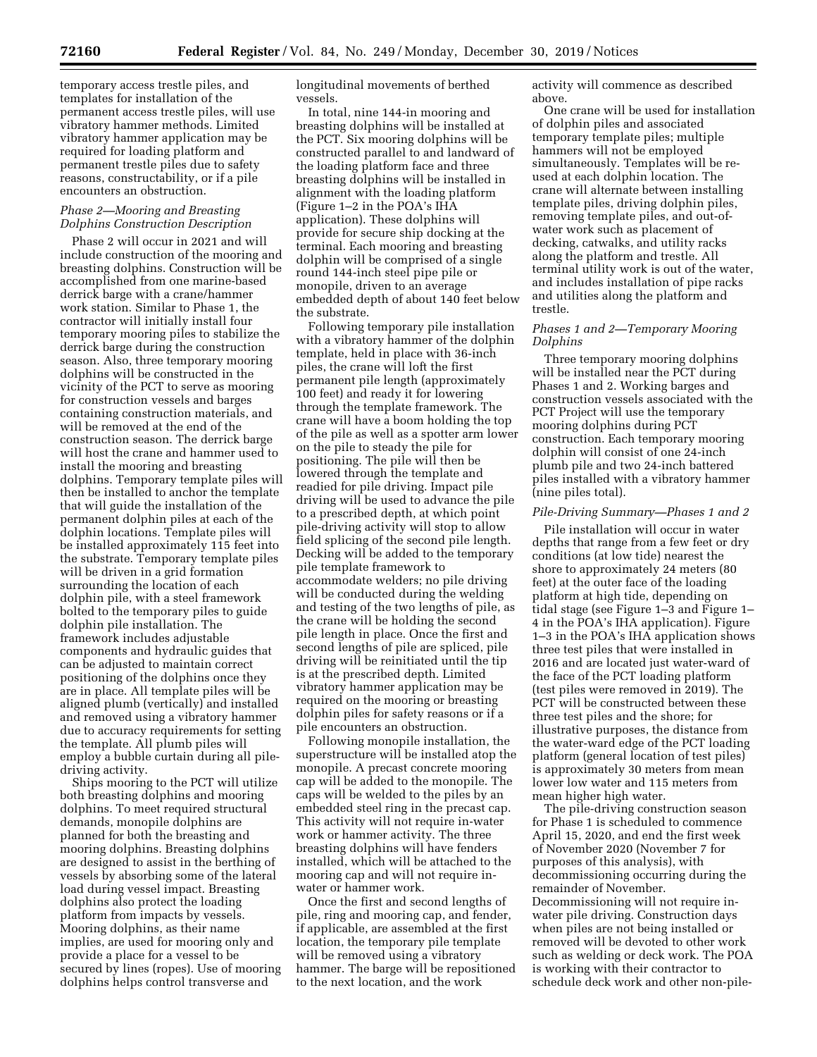temporary access trestle piles, and templates for installation of the permanent access trestle piles, will use vibratory hammer methods. Limited vibratory hammer application may be required for loading platform and permanent trestle piles due to safety reasons, constructability, or if a pile encounters an obstruction.

## *Phase 2—Mooring and Breasting Dolphins Construction Description*

Phase 2 will occur in 2021 and will include construction of the mooring and breasting dolphins. Construction will be accomplished from one marine-based derrick barge with a crane/hammer work station. Similar to Phase 1, the contractor will initially install four temporary mooring piles to stabilize the derrick barge during the construction season. Also, three temporary mooring dolphins will be constructed in the vicinity of the PCT to serve as mooring for construction vessels and barges containing construction materials, and will be removed at the end of the construction season. The derrick barge will host the crane and hammer used to install the mooring and breasting dolphins. Temporary template piles will then be installed to anchor the template that will guide the installation of the permanent dolphin piles at each of the dolphin locations. Template piles will be installed approximately 115 feet into the substrate. Temporary template piles will be driven in a grid formation surrounding the location of each dolphin pile, with a steel framework bolted to the temporary piles to guide dolphin pile installation. The framework includes adjustable components and hydraulic guides that can be adjusted to maintain correct positioning of the dolphins once they are in place. All template piles will be aligned plumb (vertically) and installed and removed using a vibratory hammer due to accuracy requirements for setting the template. All plumb piles will employ a bubble curtain during all piledriving activity.

Ships mooring to the PCT will utilize both breasting dolphins and mooring dolphins. To meet required structural demands, monopile dolphins are planned for both the breasting and mooring dolphins. Breasting dolphins are designed to assist in the berthing of vessels by absorbing some of the lateral load during vessel impact. Breasting dolphins also protect the loading platform from impacts by vessels. Mooring dolphins, as their name implies, are used for mooring only and provide a place for a vessel to be secured by lines (ropes). Use of mooring dolphins helps control transverse and

longitudinal movements of berthed vessels.

In total, nine 144-in mooring and breasting dolphins will be installed at the PCT. Six mooring dolphins will be constructed parallel to and landward of the loading platform face and three breasting dolphins will be installed in alignment with the loading platform (Figure 1–2 in the POA's IHA application). These dolphins will provide for secure ship docking at the terminal. Each mooring and breasting dolphin will be comprised of a single round 144-inch steel pipe pile or monopile, driven to an average embedded depth of about 140 feet below the substrate.

Following temporary pile installation with a vibratory hammer of the dolphin template, held in place with 36-inch piles, the crane will loft the first permanent pile length (approximately 100 feet) and ready it for lowering through the template framework. The crane will have a boom holding the top of the pile as well as a spotter arm lower on the pile to steady the pile for positioning. The pile will then be lowered through the template and readied for pile driving. Impact pile driving will be used to advance the pile to a prescribed depth, at which point pile-driving activity will stop to allow field splicing of the second pile length. Decking will be added to the temporary pile template framework to accommodate welders; no pile driving will be conducted during the welding and testing of the two lengths of pile, as the crane will be holding the second pile length in place. Once the first and second lengths of pile are spliced, pile driving will be reinitiated until the tip is at the prescribed depth. Limited vibratory hammer application may be required on the mooring or breasting dolphin piles for safety reasons or if a pile encounters an obstruction.

Following monopile installation, the superstructure will be installed atop the monopile. A precast concrete mooring cap will be added to the monopile. The caps will be welded to the piles by an embedded steel ring in the precast cap. This activity will not require in-water work or hammer activity. The three breasting dolphins will have fenders installed, which will be attached to the mooring cap and will not require inwater or hammer work.

Once the first and second lengths of pile, ring and mooring cap, and fender, if applicable, are assembled at the first location, the temporary pile template will be removed using a vibratory hammer. The barge will be repositioned to the next location, and the work

activity will commence as described above.

One crane will be used for installation of dolphin piles and associated temporary template piles; multiple hammers will not be employed simultaneously. Templates will be reused at each dolphin location. The crane will alternate between installing template piles, driving dolphin piles, removing template piles, and out-ofwater work such as placement of decking, catwalks, and utility racks along the platform and trestle. All terminal utility work is out of the water, and includes installation of pipe racks and utilities along the platform and trestle.

## *Phases 1 and 2—Temporary Mooring Dolphins*

Three temporary mooring dolphins will be installed near the PCT during Phases 1 and 2. Working barges and construction vessels associated with the PCT Project will use the temporary mooring dolphins during PCT construction. Each temporary mooring dolphin will consist of one 24-inch plumb pile and two 24-inch battered piles installed with a vibratory hammer (nine piles total).

### *Pile-Driving Summary—Phases 1 and 2*

Pile installation will occur in water depths that range from a few feet or dry conditions (at low tide) nearest the shore to approximately 24 meters (80 feet) at the outer face of the loading platform at high tide, depending on tidal stage (see Figure 1–3 and Figure 1– 4 in the POA's IHA application). Figure 1–3 in the POA's IHA application shows three test piles that were installed in 2016 and are located just water-ward of the face of the PCT loading platform (test piles were removed in 2019). The PCT will be constructed between these three test piles and the shore; for illustrative purposes, the distance from the water-ward edge of the PCT loading platform (general location of test piles) is approximately 30 meters from mean lower low water and 115 meters from mean higher high water.

The pile-driving construction season for Phase 1 is scheduled to commence April 15, 2020, and end the first week of November 2020 (November 7 for purposes of this analysis), with decommissioning occurring during the remainder of November. Decommissioning will not require inwater pile driving. Construction days when piles are not being installed or removed will be devoted to other work such as welding or deck work. The POA is working with their contractor to schedule deck work and other non-pile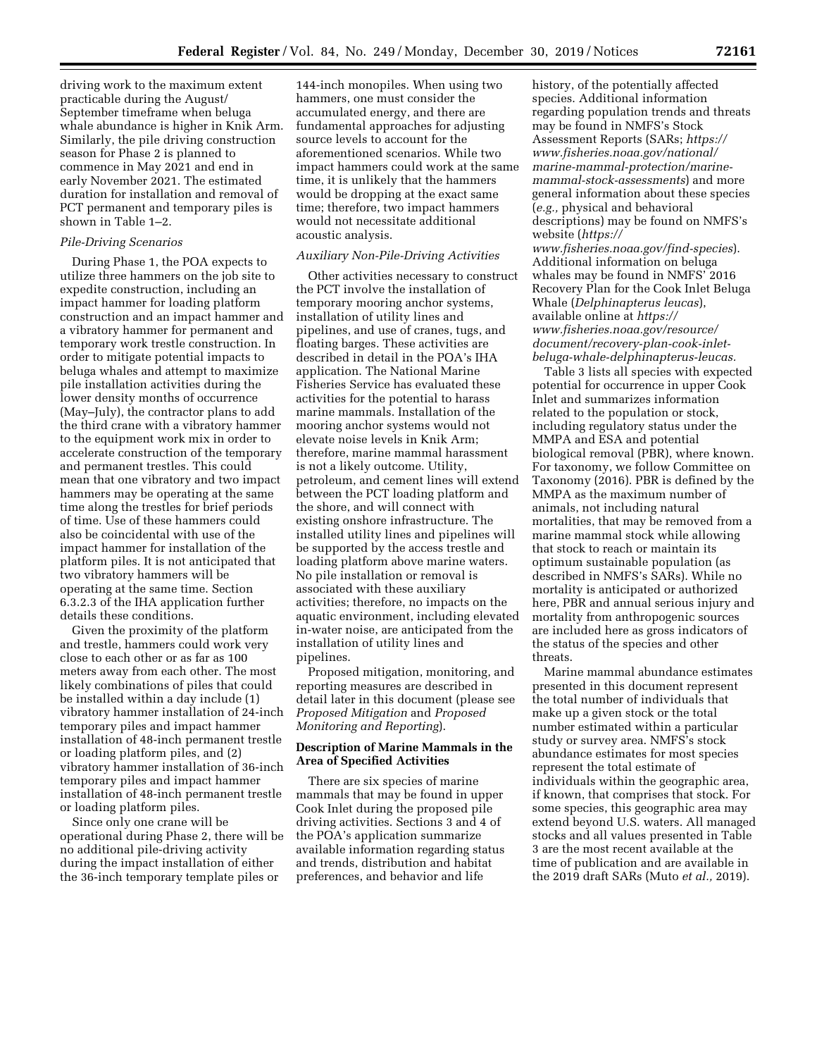driving work to the maximum extent practicable during the August/ September timeframe when beluga whale abundance is higher in Knik Arm. Similarly, the pile driving construction season for Phase 2 is planned to commence in May 2021 and end in early November 2021. The estimated duration for installation and removal of PCT permanent and temporary piles is shown in Table 1–2.

## *Pile-Driving Scenarios*

During Phase 1, the POA expects to utilize three hammers on the job site to expedite construction, including an impact hammer for loading platform construction and an impact hammer and a vibratory hammer for permanent and temporary work trestle construction. In order to mitigate potential impacts to beluga whales and attempt to maximize pile installation activities during the lower density months of occurrence (May–July), the contractor plans to add the third crane with a vibratory hammer to the equipment work mix in order to accelerate construction of the temporary and permanent trestles. This could mean that one vibratory and two impact hammers may be operating at the same time along the trestles for brief periods of time. Use of these hammers could also be coincidental with use of the impact hammer for installation of the platform piles. It is not anticipated that two vibratory hammers will be operating at the same time. Section 6.3.2.3 of the IHA application further details these conditions.

Given the proximity of the platform and trestle, hammers could work very close to each other or as far as 100 meters away from each other. The most likely combinations of piles that could be installed within a day include (1) vibratory hammer installation of 24-inch temporary piles and impact hammer installation of 48-inch permanent trestle or loading platform piles, and (2) vibratory hammer installation of 36-inch temporary piles and impact hammer installation of 48-inch permanent trestle or loading platform piles.

Since only one crane will be operational during Phase 2, there will be no additional pile-driving activity during the impact installation of either the 36-inch temporary template piles or

144-inch monopiles. When using two hammers, one must consider the accumulated energy, and there are fundamental approaches for adjusting source levels to account for the aforementioned scenarios. While two impact hammers could work at the same time, it is unlikely that the hammers would be dropping at the exact same time; therefore, two impact hammers would not necessitate additional acoustic analysis.

### *Auxiliary Non-Pile-Driving Activities*

Other activities necessary to construct the PCT involve the installation of temporary mooring anchor systems, installation of utility lines and pipelines, and use of cranes, tugs, and floating barges. These activities are described in detail in the POA's IHA application. The National Marine Fisheries Service has evaluated these activities for the potential to harass marine mammals. Installation of the mooring anchor systems would not elevate noise levels in Knik Arm; therefore, marine mammal harassment is not a likely outcome. Utility, petroleum, and cement lines will extend between the PCT loading platform and the shore, and will connect with existing onshore infrastructure. The installed utility lines and pipelines will be supported by the access trestle and loading platform above marine waters. No pile installation or removal is associated with these auxiliary activities; therefore, no impacts on the aquatic environment, including elevated in-water noise, are anticipated from the installation of utility lines and pipelines.

Proposed mitigation, monitoring, and reporting measures are described in detail later in this document (please see *Proposed Mitigation* and *Proposed Monitoring and Reporting*).

### **Description of Marine Mammals in the Area of Specified Activities**

There are six species of marine mammals that may be found in upper Cook Inlet during the proposed pile driving activities. Sections 3 and 4 of the POA's application summarize available information regarding status and trends, distribution and habitat preferences, and behavior and life

history, of the potentially affected species. Additional information regarding population trends and threats may be found in NMFS's Stock Assessment Reports (SARs; *[https://](https://www.fisheries.noaa.gov/national/marine-mammal-protection/marine-mammal-stock-assessments) [www.fisheries.noaa.gov/national/](https://www.fisheries.noaa.gov/national/marine-mammal-protection/marine-mammal-stock-assessments) [marine-mammal-protection/marine](https://www.fisheries.noaa.gov/national/marine-mammal-protection/marine-mammal-stock-assessments)[mammal-stock-assessments](https://www.fisheries.noaa.gov/national/marine-mammal-protection/marine-mammal-stock-assessments)*) and more general information about these species (*e.g.,* physical and behavioral descriptions) may be found on NMFS's website (*[https://](https://www.fisheries.noaa.gov/find-species) [www.fisheries.noaa.gov/find-species](https://www.fisheries.noaa.gov/find-species)*).

Additional information on beluga whales may be found in NMFS' 2016 Recovery Plan for the Cook Inlet Beluga Whale (*Delphinapterus leucas*), available online at *[https://](https://www.fisheries.noaa.gov/resource/document/recovery-plan-cook-inlet-beluga-whale-delphinapterus-leucas) [www.fisheries.noaa.gov/resource/](https://www.fisheries.noaa.gov/resource/document/recovery-plan-cook-inlet-beluga-whale-delphinapterus-leucas) [document/recovery-plan-cook-inlet](https://www.fisheries.noaa.gov/resource/document/recovery-plan-cook-inlet-beluga-whale-delphinapterus-leucas)[beluga-whale-delphinapterus-leucas.](https://www.fisheries.noaa.gov/resource/document/recovery-plan-cook-inlet-beluga-whale-delphinapterus-leucas)* 

Table 3 lists all species with expected potential for occurrence in upper Cook Inlet and summarizes information related to the population or stock, including regulatory status under the MMPA and ESA and potential biological removal (PBR), where known. For taxonomy, we follow Committee on Taxonomy (2016). PBR is defined by the MMPA as the maximum number of animals, not including natural mortalities, that may be removed from a marine mammal stock while allowing that stock to reach or maintain its optimum sustainable population (as described in NMFS's SARs). While no mortality is anticipated or authorized here, PBR and annual serious injury and mortality from anthropogenic sources are included here as gross indicators of the status of the species and other threats.

Marine mammal abundance estimates presented in this document represent the total number of individuals that make up a given stock or the total number estimated within a particular study or survey area. NMFS's stock abundance estimates for most species represent the total estimate of individuals within the geographic area, if known, that comprises that stock. For some species, this geographic area may extend beyond U.S. waters. All managed stocks and all values presented in Table 3 are the most recent available at the time of publication and are available in the 2019 draft SARs (Muto *et al.,* 2019).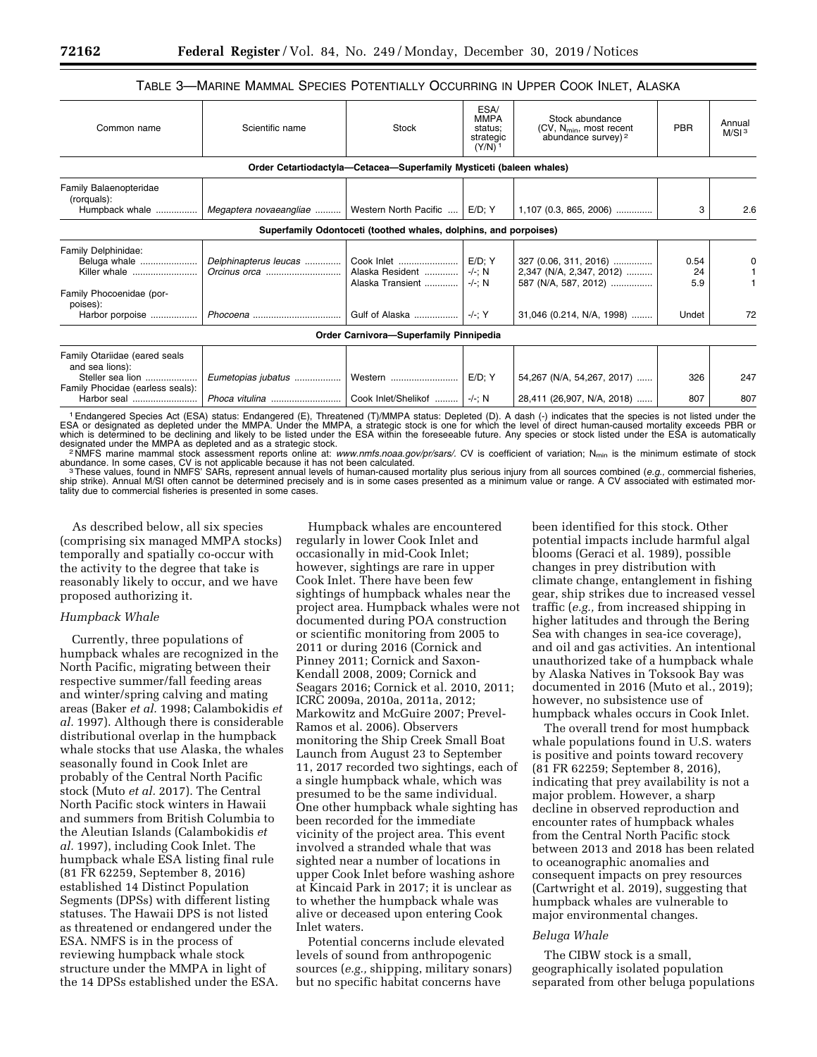## TABLE 3—MARINE MAMMAL SPECIES POTENTIALLY OCCURRING IN UPPER COOK INLET, ALASKA

| Common name                                                                                              | Scientific name                                 | <b>Stock</b>                                                        | ESA/<br><b>MMPA</b><br>status:<br>strategic<br>$(Y/N)^1$ | Stock abundance<br>(CV, $N_{min}$ , most recent<br>abundance survey) <sup>2</sup> | <b>PBR</b>        | Annual<br>M/SI <sup>3</sup> |
|----------------------------------------------------------------------------------------------------------|-------------------------------------------------|---------------------------------------------------------------------|----------------------------------------------------------|-----------------------------------------------------------------------------------|-------------------|-----------------------------|
|                                                                                                          |                                                 | Order Cetartiodactyla—Cetacea—Superfamily Mysticeti (baleen whales) |                                                          |                                                                                   |                   |                             |
| Family Balaenopteridae<br>(rorquals):<br>Humpback whale                                                  | Megaptera novaeangliae    Western North Pacific |                                                                     | E/D; Y                                                   | $1,107$ (0.3, 865, 2006)                                                          | 3                 | 2.6                         |
|                                                                                                          |                                                 | Superfamily Odontoceti (toothed whales, dolphins, and porpoises)    |                                                          |                                                                                   |                   |                             |
| Family Delphinidae:<br>Beluga whale<br>Killer whale<br>Family Phocoenidae (por-<br>poises):              | Delphinapterus leucas<br>Orcinus orca           | Alaska Resident<br>Alaska Transient                                 | $E/D$ ; Y<br>-/-: N<br>$-/-; N$                          | 327 (0.06, 311, 2016)<br>2,347 (N/A, 2,347, 2012)<br>587 (N/A, 587, 2012)         | 0.54<br>24<br>5.9 |                             |
| Harbor porpoise                                                                                          |                                                 |                                                                     | -/-: Y                                                   | 31,046 (0.214, N/A, 1998)                                                         | Undet             | 72                          |
|                                                                                                          |                                                 | Order Carnivora-Superfamily Pinnipedia                              |                                                          |                                                                                   |                   |                             |
| Family Otariidae (eared seals<br>and sea lions):<br>Steller sea lion<br>Family Phocidae (earless seals): |                                                 |                                                                     | $E/D$ ; Y                                                | 54,267 (N/A, 54,267, 2017)                                                        | 326               | 247                         |
| Harbor seal                                                                                              | Phoca vitulina   Cook Inlet/Shelikof    -/-; N  |                                                                     |                                                          | 28,411 (26,907, N/A, 2018)                                                        | 807               | 807                         |

<sup>1</sup> Endangered Species Act (ESA) status: Endangered (E), Threatened (T)/MMPA status: Depleted (D). A dash (-) indicates that the species is not listed under the<br>ESA or designated as depleted under the MMPA. Under the MMPA, which is determined to be declining and likely to be listed under the ESA within the foreseeable future. Any species or stock listed under the ESA is automatically designated under the MMPA as depleted and as a strategic s

<sup>2</sup>NMFS marine mammal stock assessment reports online at: [www.nmfs.noaa.gov/pr/sars/.](http://www.nmfs.noaa.gov/pr/sars/) CV is coefficient of variation; N<sub>min</sub> is the minimum estimate of stock abundance. In some cases, CV is not applicable because it has not been calculated.<br>These values, found in NMFS' SARs, represent annual levels of human-caused mortality plus serious injury from all sources combined (e.g., c

ship strike). Annual M/SI often cannot be determined precisely and is in some cases presented as a minimum value or range. A CV associated with estimated mortality due to commercial fisheries is presented in some cases.

As described below, all six species (comprising six managed MMPA stocks) temporally and spatially co-occur with the activity to the degree that take is reasonably likely to occur, and we have proposed authorizing it.

### *Humpback Whale*

Currently, three populations of humpback whales are recognized in the North Pacific, migrating between their respective summer/fall feeding areas and winter/spring calving and mating areas (Baker *et al.* 1998; Calambokidis *et al.* 1997). Although there is considerable distributional overlap in the humpback whale stocks that use Alaska, the whales seasonally found in Cook Inlet are probably of the Central North Pacific stock (Muto *et al.* 2017). The Central North Pacific stock winters in Hawaii and summers from British Columbia to the Aleutian Islands (Calambokidis *et al.* 1997), including Cook Inlet. The humpback whale ESA listing final rule (81 FR 62259, September 8, 2016) established 14 Distinct Population Segments (DPSs) with different listing statuses. The Hawaii DPS is not listed as threatened or endangered under the ESA. NMFS is in the process of reviewing humpback whale stock structure under the MMPA in light of the 14 DPSs established under the ESA.

Humpback whales are encountered regularly in lower Cook Inlet and occasionally in mid-Cook Inlet; however, sightings are rare in upper Cook Inlet. There have been few sightings of humpback whales near the project area. Humpback whales were not documented during POA construction or scientific monitoring from 2005 to 2011 or during 2016 (Cornick and Pinney 2011; Cornick and Saxon-Kendall 2008, 2009; Cornick and Seagars 2016; Cornick et al. 2010, 2011; ICRC 2009a, 2010a, 2011a, 2012; Markowitz and McGuire 2007; Prevel-Ramos et al. 2006). Observers monitoring the Ship Creek Small Boat Launch from August 23 to September 11, 2017 recorded two sightings, each of a single humpback whale, which was presumed to be the same individual. One other humpback whale sighting has been recorded for the immediate vicinity of the project area. This event involved a stranded whale that was sighted near a number of locations in upper Cook Inlet before washing ashore at Kincaid Park in 2017; it is unclear as to whether the humpback whale was alive or deceased upon entering Cook Inlet waters.

Potential concerns include elevated levels of sound from anthropogenic sources (*e.g.,* shipping, military sonars) but no specific habitat concerns have

been identified for this stock. Other potential impacts include harmful algal blooms (Geraci et al. 1989), possible changes in prey distribution with climate change, entanglement in fishing gear, ship strikes due to increased vessel traffic (*e.g.,* from increased shipping in higher latitudes and through the Bering Sea with changes in sea-ice coverage), and oil and gas activities. An intentional unauthorized take of a humpback whale by Alaska Natives in Toksook Bay was documented in 2016 (Muto et al., 2019); however, no subsistence use of humpback whales occurs in Cook Inlet.

The overall trend for most humpback whale populations found in U.S. waters is positive and points toward recovery (81 FR 62259; September 8, 2016), indicating that prey availability is not a major problem. However, a sharp decline in observed reproduction and encounter rates of humpback whales from the Central North Pacific stock between 2013 and 2018 has been related to oceanographic anomalies and consequent impacts on prey resources (Cartwright et al. 2019), suggesting that humpback whales are vulnerable to major environmental changes.

#### *Beluga Whale*

The CIBW stock is a small, geographically isolated population separated from other beluga populations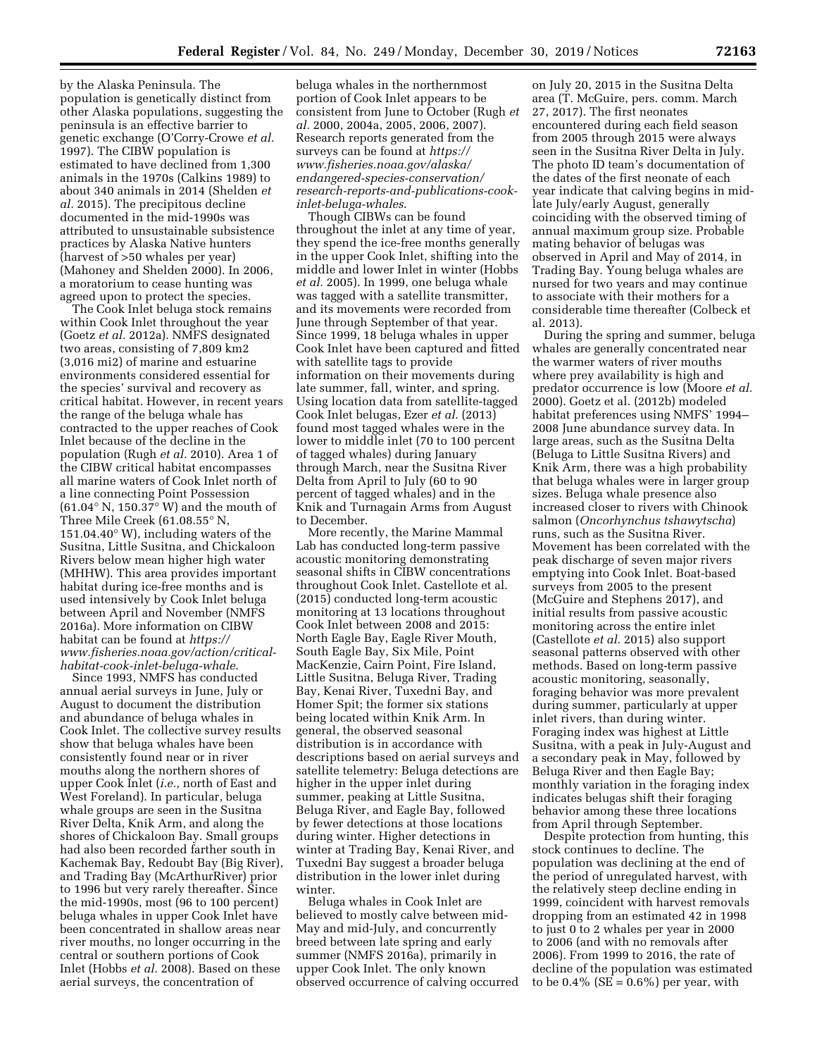by the Alaska Peninsula. The population is genetically distinct from other Alaska populations, suggesting the peninsula is an effective barrier to genetic exchange (O'Corry-Crowe *et al.*  1997). The CIBW population is estimated to have declined from 1,300 animals in the 1970s (Calkins 1989) to about 340 animals in 2014 (Shelden *et al.* 2015). The precipitous decline documented in the mid-1990s was attributed to unsustainable subsistence practices by Alaska Native hunters (harvest of >50 whales per year) (Mahoney and Shelden 2000). In 2006, a moratorium to cease hunting was agreed upon to protect the species.

The Cook Inlet beluga stock remains within Cook Inlet throughout the year (Goetz *et al.* 2012a). NMFS designated two areas, consisting of 7,809 km2 (3,016 mi2) of marine and estuarine environments considered essential for the species' survival and recovery as critical habitat. However, in recent years the range of the beluga whale has contracted to the upper reaches of Cook Inlet because of the decline in the population (Rugh *et al.* 2010). Area 1 of the CIBW critical habitat encompasses all marine waters of Cook Inlet north of a line connecting Point Possession (61.04 $\degree$  N, 150.37 $\degree$  W) and the mouth of Three Mile Creek (61.08.55° N, 151.04.40° W), including waters of the Susitna, Little Susitna, and Chickaloon Rivers below mean higher high water (MHHW). This area provides important habitat during ice-free months and is used intensively by Cook Inlet beluga between April and November (NMFS 2016a). More information on CIBW habitat can be found at *[https://](https://www.fisheries.noaa.gov/action/critical-habitat-cook-inlet-beluga-whale) [www.fisheries.noaa.gov/action/critical](https://www.fisheries.noaa.gov/action/critical-habitat-cook-inlet-beluga-whale)[habitat-cook-inlet-beluga-whale](https://www.fisheries.noaa.gov/action/critical-habitat-cook-inlet-beluga-whale)*.

Since 1993, NMFS has conducted annual aerial surveys in June, July or August to document the distribution and abundance of beluga whales in Cook Inlet. The collective survey results show that beluga whales have been consistently found near or in river mouths along the northern shores of upper Cook Inlet (*i.e.,* north of East and West Foreland). In particular, beluga whale groups are seen in the Susitna River Delta, Knik Arm, and along the shores of Chickaloon Bay. Small groups had also been recorded farther south in Kachemak Bay, Redoubt Bay (Big River), and Trading Bay (McArthurRiver) prior to 1996 but very rarely thereafter. Since the mid-1990s, most (96 to 100 percent) beluga whales in upper Cook Inlet have been concentrated in shallow areas near river mouths, no longer occurring in the central or southern portions of Cook Inlet (Hobbs *et al.* 2008). Based on these aerial surveys, the concentration of

beluga whales in the northernmost portion of Cook Inlet appears to be consistent from June to October (Rugh *et al.* 2000, 2004a, 2005, 2006, 2007). Research reports generated from the surveys can be found at *[https://](https://www.fisheries.noaa.gov/alaska/endangered-species-conservation/research-reports-and-publications-cook-inlet-beluga-whales) [www.fisheries.noaa.gov/alaska/](https://www.fisheries.noaa.gov/alaska/endangered-species-conservation/research-reports-and-publications-cook-inlet-beluga-whales) [endangered-species-conservation/](https://www.fisheries.noaa.gov/alaska/endangered-species-conservation/research-reports-and-publications-cook-inlet-beluga-whales)  [research-reports-and-publications-cook](https://www.fisheries.noaa.gov/alaska/endangered-species-conservation/research-reports-and-publications-cook-inlet-beluga-whales)[inlet-beluga-whales](https://www.fisheries.noaa.gov/alaska/endangered-species-conservation/research-reports-and-publications-cook-inlet-beluga-whales)*.

Though CIBWs can be found throughout the inlet at any time of year, they spend the ice-free months generally in the upper Cook Inlet, shifting into the middle and lower Inlet in winter (Hobbs *et al.* 2005). In 1999, one beluga whale was tagged with a satellite transmitter, and its movements were recorded from June through September of that year. Since 1999, 18 beluga whales in upper Cook Inlet have been captured and fitted with satellite tags to provide information on their movements during late summer, fall, winter, and spring. Using location data from satellite-tagged Cook Inlet belugas, Ezer *et al.* (2013) found most tagged whales were in the lower to middle inlet (70 to 100 percent of tagged whales) during January through March, near the Susitna River Delta from April to July (60 to 90 percent of tagged whales) and in the Knik and Turnagain Arms from August to December.

More recently, the Marine Mammal Lab has conducted long-term passive acoustic monitoring demonstrating seasonal shifts in CIBW concentrations throughout Cook Inlet. Castellote et al. (2015) conducted long-term acoustic monitoring at 13 locations throughout Cook Inlet between 2008 and 2015: North Eagle Bay, Eagle River Mouth, South Eagle Bay, Six Mile, Point MacKenzie, Cairn Point, Fire Island, Little Susitna, Beluga River, Trading Bay, Kenai River, Tuxedni Bay, and Homer Spit; the former six stations being located within Knik Arm. In general, the observed seasonal distribution is in accordance with descriptions based on aerial surveys and satellite telemetry: Beluga detections are higher in the upper inlet during summer, peaking at Little Susitna, Beluga River, and Eagle Bay, followed by fewer detections at those locations during winter. Higher detections in winter at Trading Bay, Kenai River, and Tuxedni Bay suggest a broader beluga distribution in the lower inlet during winter.

Beluga whales in Cook Inlet are believed to mostly calve between mid-May and mid-July, and concurrently breed between late spring and early summer (NMFS 2016a), primarily in upper Cook Inlet. The only known observed occurrence of calving occurred

on July 20, 2015 in the Susitna Delta area (T. McGuire, pers. comm. March 27, 2017). The first neonates encountered during each field season from 2005 through 2015 were always seen in the Susitna River Delta in July. The photo ID team's documentation of the dates of the first neonate of each year indicate that calving begins in midlate July/early August, generally coinciding with the observed timing of annual maximum group size. Probable mating behavior of belugas was observed in April and May of 2014, in Trading Bay. Young beluga whales are nursed for two years and may continue to associate with their mothers for a considerable time thereafter (Colbeck et al. 2013).

During the spring and summer, beluga whales are generally concentrated near the warmer waters of river mouths where prey availability is high and predator occurrence is low (Moore *et al.*  2000). Goetz et al. (2012b) modeled habitat preferences using NMFS' 1994– 2008 June abundance survey data. In large areas, such as the Susitna Delta (Beluga to Little Susitna Rivers) and Knik Arm, there was a high probability that beluga whales were in larger group sizes. Beluga whale presence also increased closer to rivers with Chinook salmon (*Oncorhynchus tshawytscha*) runs, such as the Susitna River. Movement has been correlated with the peak discharge of seven major rivers emptying into Cook Inlet. Boat-based surveys from 2005 to the present (McGuire and Stephens 2017), and initial results from passive acoustic monitoring across the entire inlet (Castellote *et al.* 2015) also support seasonal patterns observed with other methods. Based on long-term passive acoustic monitoring, seasonally, foraging behavior was more prevalent during summer, particularly at upper inlet rivers, than during winter. Foraging index was highest at Little Susitna, with a peak in July-August and a secondary peak in May, followed by Beluga River and then Eagle Bay; monthly variation in the foraging index indicates belugas shift their foraging behavior among these three locations from April through September.

Despite protection from hunting, this stock continues to decline. The population was declining at the end of the period of unregulated harvest, with the relatively steep decline ending in 1999, coincident with harvest removals dropping from an estimated 42 in 1998 to just 0 to 2 whales per year in 2000 to 2006 (and with no removals after 2006). From 1999 to 2016, the rate of decline of the population was estimated to be  $0.4\%$  (SE =  $0.6\%$ ) per year, with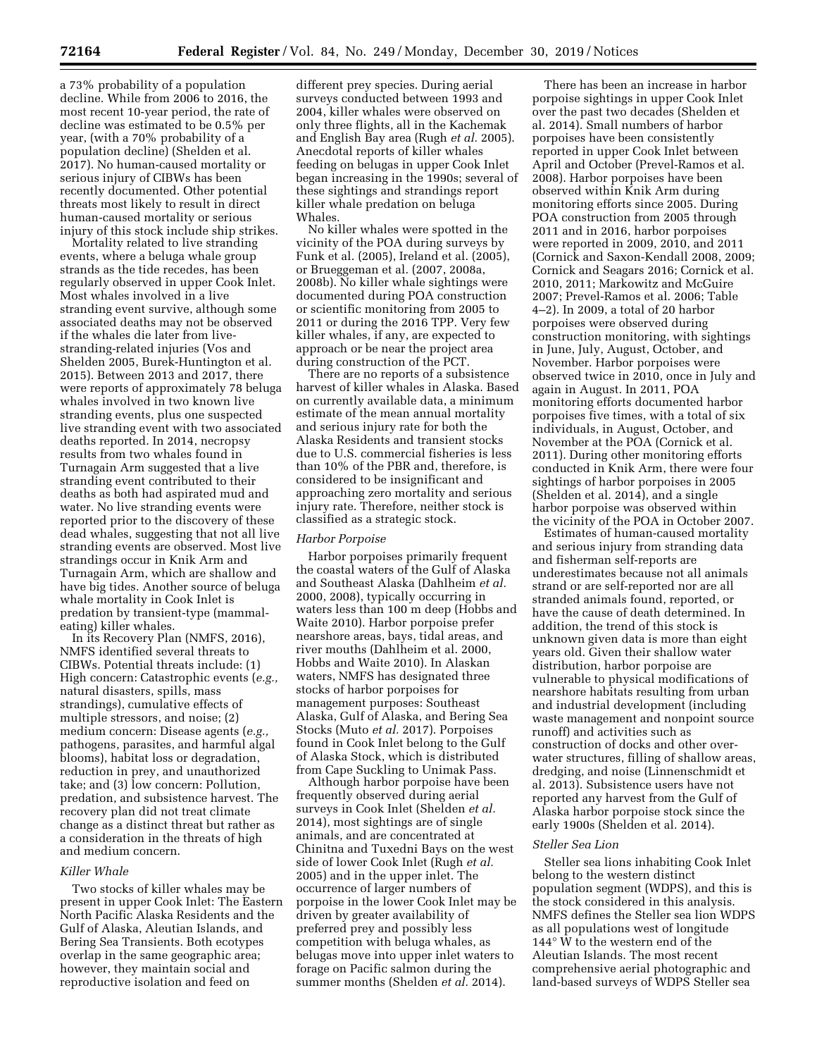a 73% probability of a population decline. While from 2006 to 2016, the most recent 10-year period, the rate of decline was estimated to be 0.5% per year, (with a 70% probability of a population decline) (Shelden et al. 2017). No human-caused mortality or serious injury of CIBWs has been recently documented. Other potential threats most likely to result in direct human-caused mortality or serious injury of this stock include ship strikes.

Mortality related to live stranding events, where a beluga whale group strands as the tide recedes, has been regularly observed in upper Cook Inlet. Most whales involved in a live stranding event survive, although some associated deaths may not be observed if the whales die later from livestranding-related injuries (Vos and Shelden 2005, Burek-Huntington et al. 2015). Between 2013 and 2017, there were reports of approximately 78 beluga whales involved in two known live stranding events, plus one suspected live stranding event with two associated deaths reported. In 2014, necropsy results from two whales found in Turnagain Arm suggested that a live stranding event contributed to their deaths as both had aspirated mud and water. No live stranding events were reported prior to the discovery of these dead whales, suggesting that not all live stranding events are observed. Most live strandings occur in Knik Arm and Turnagain Arm, which are shallow and have big tides. Another source of beluga whale mortality in Cook Inlet is predation by transient-type (mammaleating) killer whales.

In its Recovery Plan (NMFS, 2016), NMFS identified several threats to CIBWs. Potential threats include: (1) High concern: Catastrophic events (*e.g.,*  natural disasters, spills, mass strandings), cumulative effects of multiple stressors, and noise; (2) medium concern: Disease agents (*e.g.,*  pathogens, parasites, and harmful algal blooms), habitat loss or degradation, reduction in prey, and unauthorized take; and (3) low concern: Pollution, predation, and subsistence harvest. The recovery plan did not treat climate change as a distinct threat but rather as a consideration in the threats of high and medium concern.

### *Killer Whale*

Two stocks of killer whales may be present in upper Cook Inlet: The Eastern North Pacific Alaska Residents and the Gulf of Alaska, Aleutian Islands, and Bering Sea Transients. Both ecotypes overlap in the same geographic area; however, they maintain social and reproductive isolation and feed on

different prey species. During aerial surveys conducted between 1993 and 2004, killer whales were observed on only three flights, all in the Kachemak and English Bay area (Rugh *et al.* 2005). Anecdotal reports of killer whales feeding on belugas in upper Cook Inlet began increasing in the 1990s; several of these sightings and strandings report killer whale predation on beluga Whales.

No killer whales were spotted in the vicinity of the POA during surveys by Funk et al. (2005), Ireland et al. (2005), or Brueggeman et al. (2007, 2008a, 2008b). No killer whale sightings were documented during POA construction or scientific monitoring from 2005 to 2011 or during the 2016 TPP. Very few killer whales, if any, are expected to approach or be near the project area during construction of the PCT.

There are no reports of a subsistence harvest of killer whales in Alaska. Based on currently available data, a minimum estimate of the mean annual mortality and serious injury rate for both the Alaska Residents and transient stocks due to U.S. commercial fisheries is less than 10% of the PBR and, therefore, is considered to be insignificant and approaching zero mortality and serious injury rate. Therefore, neither stock is classified as a strategic stock.

### *Harbor Porpoise*

Harbor porpoises primarily frequent the coastal waters of the Gulf of Alaska and Southeast Alaska (Dahlheim *et al.*  2000, 2008), typically occurring in waters less than 100 m deep (Hobbs and Waite 2010). Harbor porpoise prefer nearshore areas, bays, tidal areas, and river mouths (Dahlheim et al. 2000, Hobbs and Waite 2010). In Alaskan waters, NMFS has designated three stocks of harbor porpoises for management purposes: Southeast Alaska, Gulf of Alaska, and Bering Sea Stocks (Muto *et al.* 2017). Porpoises found in Cook Inlet belong to the Gulf of Alaska Stock, which is distributed from Cape Suckling to Unimak Pass.

Although harbor porpoise have been frequently observed during aerial surveys in Cook Inlet (Shelden *et al.*  2014), most sightings are of single animals, and are concentrated at Chinitna and Tuxedni Bays on the west side of lower Cook Inlet (Rugh *et al.*  2005) and in the upper inlet. The occurrence of larger numbers of porpoise in the lower Cook Inlet may be driven by greater availability of preferred prey and possibly less competition with beluga whales, as belugas move into upper inlet waters to forage on Pacific salmon during the summer months (Shelden *et al.* 2014).

There has been an increase in harbor porpoise sightings in upper Cook Inlet over the past two decades (Shelden et al. 2014). Small numbers of harbor porpoises have been consistently reported in upper Cook Inlet between April and October (Prevel-Ramos et al. 2008). Harbor porpoises have been observed within Knik Arm during monitoring efforts since 2005. During POA construction from 2005 through 2011 and in 2016, harbor porpoises were reported in 2009, 2010, and 2011 (Cornick and Saxon-Kendall 2008, 2009; Cornick and Seagars 2016; Cornick et al. 2010, 2011; Markowitz and McGuire 2007; Prevel-Ramos et al. 2006; Table 4–2). In 2009, a total of 20 harbor porpoises were observed during construction monitoring, with sightings in June, July, August, October, and November. Harbor porpoises were observed twice in 2010, once in July and again in August. In 2011, POA monitoring efforts documented harbor porpoises five times, with a total of six individuals, in August, October, and November at the POA (Cornick et al. 2011). During other monitoring efforts conducted in Knik Arm, there were four sightings of harbor porpoises in 2005 (Shelden et al. 2014), and a single harbor porpoise was observed within the vicinity of the POA in October 2007.

Estimates of human-caused mortality and serious injury from stranding data and fisherman self-reports are underestimates because not all animals strand or are self-reported nor are all stranded animals found, reported, or have the cause of death determined. In addition, the trend of this stock is unknown given data is more than eight years old. Given their shallow water distribution, harbor porpoise are vulnerable to physical modifications of nearshore habitats resulting from urban and industrial development (including waste management and nonpoint source runoff) and activities such as construction of docks and other overwater structures, filling of shallow areas, dredging, and noise (Linnenschmidt et al. 2013). Subsistence users have not reported any harvest from the Gulf of Alaska harbor porpoise stock since the early 1900s (Shelden et al. 2014).

### *Steller Sea Lion*

Steller sea lions inhabiting Cook Inlet belong to the western distinct population segment (WDPS), and this is the stock considered in this analysis. NMFS defines the Steller sea lion WDPS as all populations west of longitude 144° W to the western end of the Aleutian Islands. The most recent comprehensive aerial photographic and land-based surveys of WDPS Steller sea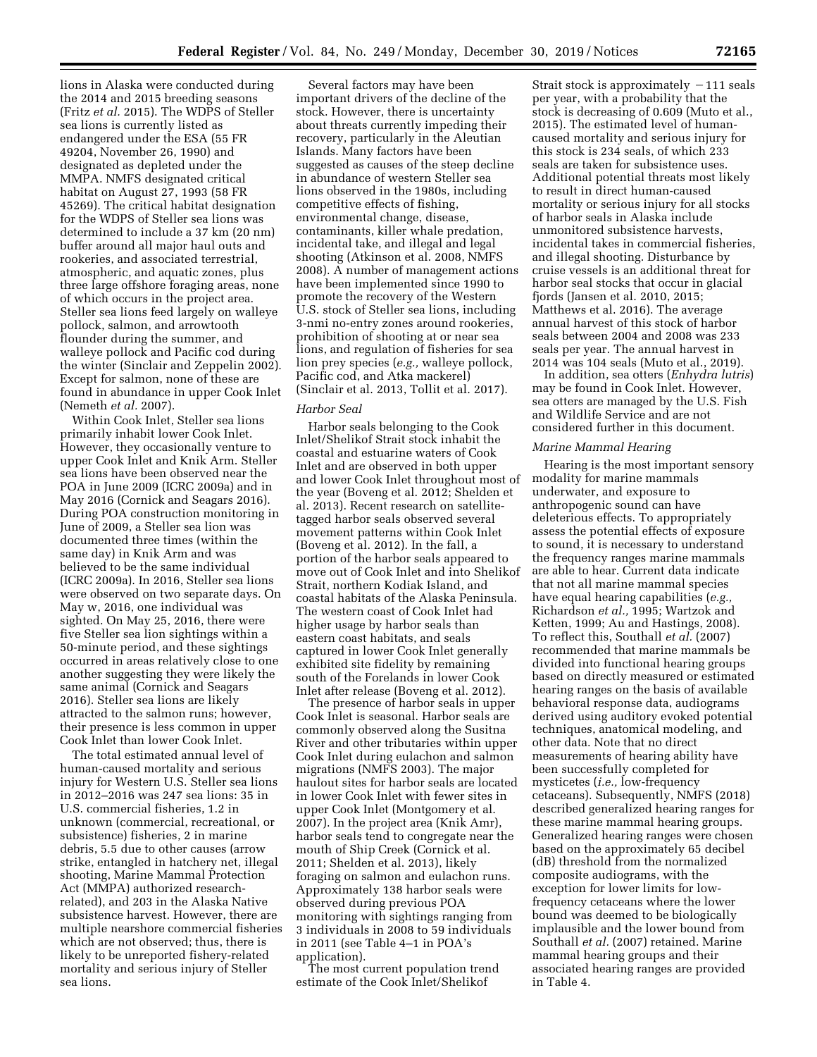lions in Alaska were conducted during the 2014 and 2015 breeding seasons (Fritz *et al.* 2015). The WDPS of Steller sea lions is currently listed as endangered under the ESA (55 FR 49204, November 26, 1990) and designated as depleted under the MMPA. NMFS designated critical habitat on August 27, 1993 (58 FR 45269). The critical habitat designation for the WDPS of Steller sea lions was determined to include a 37 km (20 nm) buffer around all major haul outs and rookeries, and associated terrestrial, atmospheric, and aquatic zones, plus three large offshore foraging areas, none of which occurs in the project area. Steller sea lions feed largely on walleye pollock, salmon, and arrowtooth flounder during the summer, and walleye pollock and Pacific cod during the winter (Sinclair and Zeppelin 2002). Except for salmon, none of these are found in abundance in upper Cook Inlet (Nemeth *et al.* 2007).

Within Cook Inlet, Steller sea lions primarily inhabit lower Cook Inlet. However, they occasionally venture to upper Cook Inlet and Knik Arm. Steller sea lions have been observed near the POA in June 2009 (ICRC 2009a) and in May 2016 (Cornick and Seagars 2016). During POA construction monitoring in June of 2009, a Steller sea lion was documented three times (within the same day) in Knik Arm and was believed to be the same individual (ICRC 2009a). In 2016, Steller sea lions were observed on two separate days. On May w, 2016, one individual was sighted. On May 25, 2016, there were five Steller sea lion sightings within a 50-minute period, and these sightings occurred in areas relatively close to one another suggesting they were likely the same animal (Cornick and Seagars 2016). Steller sea lions are likely attracted to the salmon runs; however, their presence is less common in upper Cook Inlet than lower Cook Inlet.

The total estimated annual level of human-caused mortality and serious injury for Western U.S. Steller sea lions in 2012–2016 was 247 sea lions: 35 in U.S. commercial fisheries, 1.2 in unknown (commercial, recreational, or subsistence) fisheries, 2 in marine debris, 5.5 due to other causes (arrow strike, entangled in hatchery net, illegal shooting, Marine Mammal Protection Act (MMPA) authorized researchrelated), and 203 in the Alaska Native subsistence harvest. However, there are multiple nearshore commercial fisheries which are not observed; thus, there is likely to be unreported fishery-related mortality and serious injury of Steller sea lions.

Several factors may have been important drivers of the decline of the stock. However, there is uncertainty about threats currently impeding their recovery, particularly in the Aleutian Islands. Many factors have been suggested as causes of the steep decline in abundance of western Steller sea lions observed in the 1980s, including competitive effects of fishing, environmental change, disease, contaminants, killer whale predation, incidental take, and illegal and legal shooting (Atkinson et al. 2008, NMFS 2008).  $\overline{A}$  number of management actions have been implemented since 1990 to promote the recovery of the Western U.S. stock of Steller sea lions, including 3-nmi no-entry zones around rookeries, prohibition of shooting at or near sea lions, and regulation of fisheries for sea lion prey species (*e.g.,* walleye pollock, Pacific cod, and Atka mackerel) (Sinclair et al. 2013, Tollit et al. 2017).

### *Harbor Seal*

Harbor seals belonging to the Cook Inlet/Shelikof Strait stock inhabit the coastal and estuarine waters of Cook Inlet and are observed in both upper and lower Cook Inlet throughout most of the year (Boveng et al. 2012; Shelden et al. 2013). Recent research on satellitetagged harbor seals observed several movement patterns within Cook Inlet (Boveng et al. 2012). In the fall, a portion of the harbor seals appeared to move out of Cook Inlet and into Shelikof Strait, northern Kodiak Island, and coastal habitats of the Alaska Peninsula. The western coast of Cook Inlet had higher usage by harbor seals than eastern coast habitats, and seals captured in lower Cook Inlet generally exhibited site fidelity by remaining south of the Forelands in lower Cook Inlet after release (Boveng et al. 2012).

The presence of harbor seals in upper Cook Inlet is seasonal. Harbor seals are commonly observed along the Susitna River and other tributaries within upper Cook Inlet during eulachon and salmon migrations (NMFS 2003). The major haulout sites for harbor seals are located in lower Cook Inlet with fewer sites in upper Cook Inlet (Montgomery et al. 2007). In the project area (Knik Amr), harbor seals tend to congregate near the mouth of Ship Creek (Cornick et al. 2011; Shelden et al. 2013), likely foraging on salmon and eulachon runs. Approximately 138 harbor seals were observed during previous POA monitoring with sightings ranging from 3 individuals in 2008 to 59 individuals in 2011 (see Table 4–1 in POA's application).

The most current population trend estimate of the Cook Inlet/Shelikof

Strait stock is approximately  $-111$  seals per year, with a probability that the stock is decreasing of 0.609 (Muto et al., 2015). The estimated level of humancaused mortality and serious injury for this stock is 234 seals, of which 233 seals are taken for subsistence uses. Additional potential threats most likely to result in direct human-caused mortality or serious injury for all stocks of harbor seals in Alaska include unmonitored subsistence harvests, incidental takes in commercial fisheries, and illegal shooting. Disturbance by cruise vessels is an additional threat for harbor seal stocks that occur in glacial fjords (Jansen et al. 2010, 2015; Matthews et al. 2016). The average annual harvest of this stock of harbor seals between 2004 and 2008 was 233 seals per year. The annual harvest in 2014 was 104 seals (Muto et al., 2019).

In addition, sea otters (*Enhydra lutris*) may be found in Cook Inlet. However, sea otters are managed by the U.S. Fish and Wildlife Service and are not considered further in this document.

### *Marine Mammal Hearing*

Hearing is the most important sensory modality for marine mammals underwater, and exposure to anthropogenic sound can have deleterious effects. To appropriately assess the potential effects of exposure to sound, it is necessary to understand the frequency ranges marine mammals are able to hear. Current data indicate that not all marine mammal species have equal hearing capabilities (*e.g.,*  Richardson *et al.,* 1995; Wartzok and Ketten, 1999; Au and Hastings, 2008). To reflect this, Southall *et al.* (2007) recommended that marine mammals be divided into functional hearing groups based on directly measured or estimated hearing ranges on the basis of available behavioral response data, audiograms derived using auditory evoked potential techniques, anatomical modeling, and other data. Note that no direct measurements of hearing ability have been successfully completed for mysticetes (*i.e.,* low-frequency cetaceans). Subsequently, NMFS (2018) described generalized hearing ranges for these marine mammal hearing groups. Generalized hearing ranges were chosen based on the approximately 65 decibel (dB) threshold from the normalized composite audiograms, with the exception for lower limits for lowfrequency cetaceans where the lower bound was deemed to be biologically implausible and the lower bound from Southall *et al.* (2007) retained. Marine mammal hearing groups and their associated hearing ranges are provided in Table 4.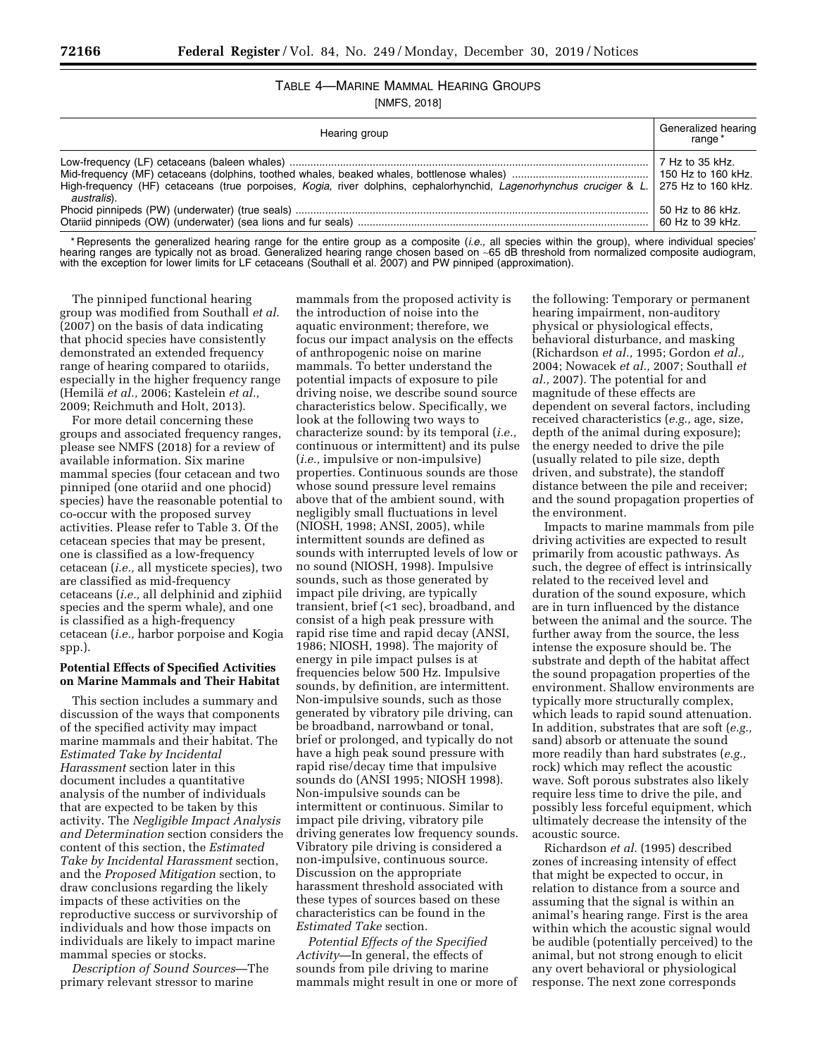# TABLE 4—MARINE MAMMAL HEARING GROUPS

[NMFS, 2018]

| Hearing group                                                                                                                                         |                                      |  |  |  |
|-------------------------------------------------------------------------------------------------------------------------------------------------------|--------------------------------------|--|--|--|
| High-frequency (HF) cetaceans (true porpoises, Kogia, river dolphins, cephalorhynchid, Lagenorhynchus cruciger & L. 275 Hz to 160 kHz.<br>australis). | 7 Hz to 35 kHz.                      |  |  |  |
|                                                                                                                                                       | 50 Hz to 86 kHz.<br>60 Hz to 39 kHz. |  |  |  |

\* Represents the generalized hearing range for the entire group as a composite (*i.e.,* all species within the group), where individual species' hearing ranges are typically not as broad. Generalized hearing range chosen based on ∼65 dB threshold from normalized composite audiogram, with the exception for lower limits for LF cetaceans (Southall et al. 2007) and PW pinniped (approximation).

The pinniped functional hearing group was modified from Southall *et al.*  (2007) on the basis of data indicating that phocid species have consistently demonstrated an extended frequency range of hearing compared to otariids, especially in the higher frequency range (Hemila¨ *et al.,* 2006; Kastelein *et al.,*  2009; Reichmuth and Holt, 2013).

For more detail concerning these groups and associated frequency ranges, please see NMFS (2018) for a review of available information. Six marine mammal species (four cetacean and two pinniped (one otariid and one phocid) species) have the reasonable potential to co-occur with the proposed survey activities. Please refer to Table 3. Of the cetacean species that may be present, one is classified as a low-frequency cetacean (*i.e.,* all mysticete species), two are classified as mid-frequency cetaceans (*i.e.,* all delphinid and ziphiid species and the sperm whale), and one is classified as a high-frequency cetacean (*i.e.,* harbor porpoise and Kogia spp.).

## **Potential Effects of Specified Activities on Marine Mammals and Their Habitat**

This section includes a summary and discussion of the ways that components of the specified activity may impact marine mammals and their habitat. The *Estimated Take by Incidental Harassment* section later in this document includes a quantitative analysis of the number of individuals that are expected to be taken by this activity. The *Negligible Impact Analysis and Determination* section considers the content of this section, the *Estimated Take by Incidental Harassment* section, and the *Proposed Mitigation* section, to draw conclusions regarding the likely impacts of these activities on the reproductive success or survivorship of individuals and how those impacts on individuals are likely to impact marine mammal species or stocks.

*Description of Sound Sources*—The primary relevant stressor to marine

mammals from the proposed activity is the introduction of noise into the aquatic environment; therefore, we focus our impact analysis on the effects of anthropogenic noise on marine mammals. To better understand the potential impacts of exposure to pile driving noise, we describe sound source characteristics below. Specifically, we look at the following two ways to characterize sound: by its temporal (*i.e.,*  continuous or intermittent) and its pulse (*i.e.,* impulsive or non-impulsive) properties. Continuous sounds are those whose sound pressure level remains above that of the ambient sound, with negligibly small fluctuations in level (NIOSH, 1998; ANSI, 2005), while intermittent sounds are defined as sounds with interrupted levels of low or no sound (NIOSH, 1998). Impulsive sounds, such as those generated by impact pile driving, are typically transient, brief (<1 sec), broadband, and consist of a high peak pressure with rapid rise time and rapid decay (ANSI, 1986; NIOSH, 1998). The majority of energy in pile impact pulses is at frequencies below 500 Hz. Impulsive sounds, by definition, are intermittent. Non-impulsive sounds, such as those generated by vibratory pile driving, can be broadband, narrowband or tonal, brief or prolonged, and typically do not have a high peak sound pressure with rapid rise/decay time that impulsive sounds do (ANSI 1995; NIOSH 1998). Non-impulsive sounds can be intermittent or continuous. Similar to impact pile driving, vibratory pile driving generates low frequency sounds. Vibratory pile driving is considered a non-impulsive, continuous source. Discussion on the appropriate harassment threshold associated with these types of sources based on these characteristics can be found in the *Estimated Take* section.

*Potential Effects of the Specified Activity*—In general, the effects of sounds from pile driving to marine mammals might result in one or more of

the following: Temporary or permanent hearing impairment, non-auditory physical or physiological effects, behavioral disturbance, and masking (Richardson *et al.,* 1995; Gordon *et al.,*  2004; Nowacek *et al.,* 2007; Southall *et al.,* 2007). The potential for and magnitude of these effects are dependent on several factors, including received characteristics (*e.g.,* age, size, depth of the animal during exposure); the energy needed to drive the pile (usually related to pile size, depth driven, and substrate), the standoff distance between the pile and receiver; and the sound propagation properties of the environment.

Impacts to marine mammals from pile driving activities are expected to result primarily from acoustic pathways. As such, the degree of effect is intrinsically related to the received level and duration of the sound exposure, which are in turn influenced by the distance between the animal and the source. The further away from the source, the less intense the exposure should be. The substrate and depth of the habitat affect the sound propagation properties of the environment. Shallow environments are typically more structurally complex, which leads to rapid sound attenuation. In addition, substrates that are soft (*e.g.,*  sand) absorb or attenuate the sound more readily than hard substrates (*e.g.,*  rock) which may reflect the acoustic wave. Soft porous substrates also likely require less time to drive the pile, and possibly less forceful equipment, which ultimately decrease the intensity of the acoustic source.

Richardson *et al.* (1995) described zones of increasing intensity of effect that might be expected to occur, in relation to distance from a source and assuming that the signal is within an animal's hearing range. First is the area within which the acoustic signal would be audible (potentially perceived) to the animal, but not strong enough to elicit any overt behavioral or physiological response. The next zone corresponds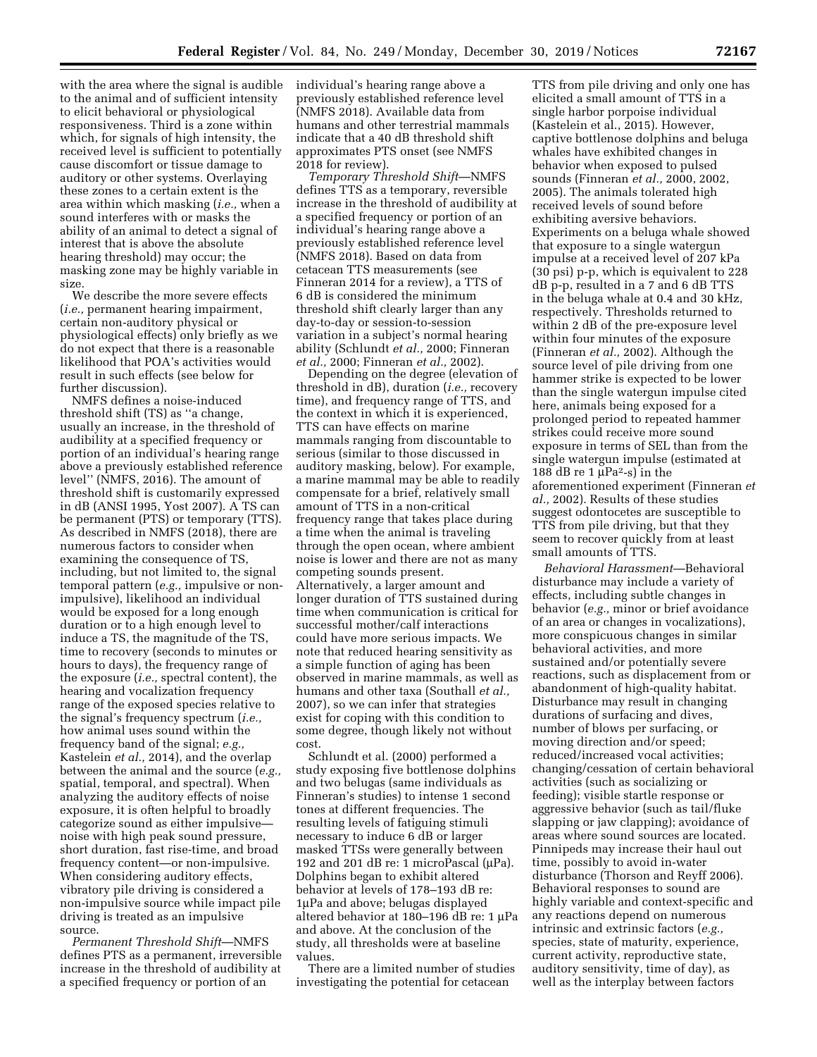with the area where the signal is audible to the animal and of sufficient intensity to elicit behavioral or physiological responsiveness. Third is a zone within which, for signals of high intensity, the received level is sufficient to potentially cause discomfort or tissue damage to auditory or other systems. Overlaying these zones to a certain extent is the area within which masking (*i.e.,* when a sound interferes with or masks the ability of an animal to detect a signal of interest that is above the absolute hearing threshold) may occur; the masking zone may be highly variable in size.

We describe the more severe effects (*i.e.,* permanent hearing impairment, certain non-auditory physical or physiological effects) only briefly as we do not expect that there is a reasonable likelihood that POA's activities would result in such effects (see below for further discussion).

NMFS defines a noise-induced threshold shift (TS) as ''a change, usually an increase, in the threshold of audibility at a specified frequency or portion of an individual's hearing range above a previously established reference level'' (NMFS, 2016). The amount of threshold shift is customarily expressed in dB (ANSI 1995, Yost 2007). A TS can be permanent (PTS) or temporary (TTS). As described in NMFS (2018), there are numerous factors to consider when examining the consequence of TS, including, but not limited to, the signal temporal pattern (*e.g.,* impulsive or nonimpulsive), likelihood an individual would be exposed for a long enough duration or to a high enough level to induce a TS, the magnitude of the TS, time to recovery (seconds to minutes or hours to days), the frequency range of the exposure (*i.e.,* spectral content), the hearing and vocalization frequency range of the exposed species relative to the signal's frequency spectrum (*i.e.,*  how animal uses sound within the frequency band of the signal; *e.g.,*  Kastelein *et al.,* 2014), and the overlap between the animal and the source (*e.g.,*  spatial, temporal, and spectral). When analyzing the auditory effects of noise exposure, it is often helpful to broadly categorize sound as either impulsive noise with high peak sound pressure, short duration, fast rise-time, and broad frequency content—or non-impulsive. When considering auditory effects, vibratory pile driving is considered a non-impulsive source while impact pile driving is treated as an impulsive source.

*Permanent Threshold Shift*—NMFS defines PTS as a permanent, irreversible increase in the threshold of audibility at a specified frequency or portion of an

individual's hearing range above a previously established reference level (NMFS 2018). Available data from humans and other terrestrial mammals indicate that a 40 dB threshold shift approximates PTS onset (see NMFS 2018 for review).

*Temporary Threshold Shift*—NMFS defines TTS as a temporary, reversible increase in the threshold of audibility at a specified frequency or portion of an individual's hearing range above a previously established reference level (NMFS 2018). Based on data from cetacean TTS measurements (see Finneran 2014 for a review), a TTS of 6 dB is considered the minimum threshold shift clearly larger than any day-to-day or session-to-session variation in a subject's normal hearing ability (Schlundt *et al.,* 2000; Finneran *et al.,* 2000; Finneran *et al.,* 2002).

Depending on the degree (elevation of threshold in dB), duration (*i.e.,* recovery time), and frequency range of TTS, and the context in which it is experienced, TTS can have effects on marine mammals ranging from discountable to serious (similar to those discussed in auditory masking, below). For example, a marine mammal may be able to readily compensate for a brief, relatively small amount of TTS in a non-critical frequency range that takes place during a time when the animal is traveling through the open ocean, where ambient noise is lower and there are not as many competing sounds present. Alternatively, a larger amount and longer duration of TTS sustained during time when communication is critical for successful mother/calf interactions could have more serious impacts. We note that reduced hearing sensitivity as a simple function of aging has been observed in marine mammals, as well as humans and other taxa (Southall *et al.,*  2007), so we can infer that strategies exist for coping with this condition to some degree, though likely not without cost.

Schlundt et al. (2000) performed a study exposing five bottlenose dolphins and two belugas (same individuals as Finneran's studies) to intense 1 second tones at different frequencies. The resulting levels of fatiguing stimuli necessary to induce 6 dB or larger masked TTSs were generally between 192 and 201 dB re: 1 microPascal (µPa). Dolphins began to exhibit altered behavior at levels of 178–193 dB re: 1µPa and above; belugas displayed altered behavior at 180-196 dB re: 1 µPa and above. At the conclusion of the study, all thresholds were at baseline values.

There are a limited number of studies investigating the potential for cetacean

TTS from pile driving and only one has elicited a small amount of TTS in a single harbor porpoise individual (Kastelein et al., 2015). However, captive bottlenose dolphins and beluga whales have exhibited changes in behavior when exposed to pulsed sounds (Finneran *et al.,* 2000, 2002, 2005). The animals tolerated high received levels of sound before exhibiting aversive behaviors. Experiments on a beluga whale showed that exposure to a single watergun impulse at a received level of 207 kPa (30 psi) p-p, which is equivalent to 228 dB p-p, resulted in a 7 and 6 dB TTS in the beluga whale at 0.4 and 30 kHz, respectively. Thresholds returned to within 2 dB of the pre-exposure level within four minutes of the exposure (Finneran *et al.,* 2002). Although the source level of pile driving from one hammer strike is expected to be lower than the single watergun impulse cited here, animals being exposed for a prolonged period to repeated hammer strikes could receive more sound exposure in terms of SEL than from the single watergun impulse (estimated at 188 dB re 1  $\mu$ Pa<sup>2</sup>-s) in the aforementioned experiment (Finneran *et al.,* 2002). Results of these studies suggest odontocetes are susceptible to TTS from pile driving, but that they seem to recover quickly from at least small amounts of TTS.

*Behavioral Harassment*—Behavioral disturbance may include a variety of effects, including subtle changes in behavior (*e.g.,* minor or brief avoidance of an area or changes in vocalizations), more conspicuous changes in similar behavioral activities, and more sustained and/or potentially severe reactions, such as displacement from or abandonment of high-quality habitat. Disturbance may result in changing durations of surfacing and dives, number of blows per surfacing, or moving direction and/or speed; reduced/increased vocal activities; changing/cessation of certain behavioral activities (such as socializing or feeding); visible startle response or aggressive behavior (such as tail/fluke slapping or jaw clapping); avoidance of areas where sound sources are located. Pinnipeds may increase their haul out time, possibly to avoid in-water disturbance (Thorson and Reyff 2006). Behavioral responses to sound are highly variable and context-specific and any reactions depend on numerous intrinsic and extrinsic factors (*e.g.,*  species, state of maturity, experience, current activity, reproductive state, auditory sensitivity, time of day), as well as the interplay between factors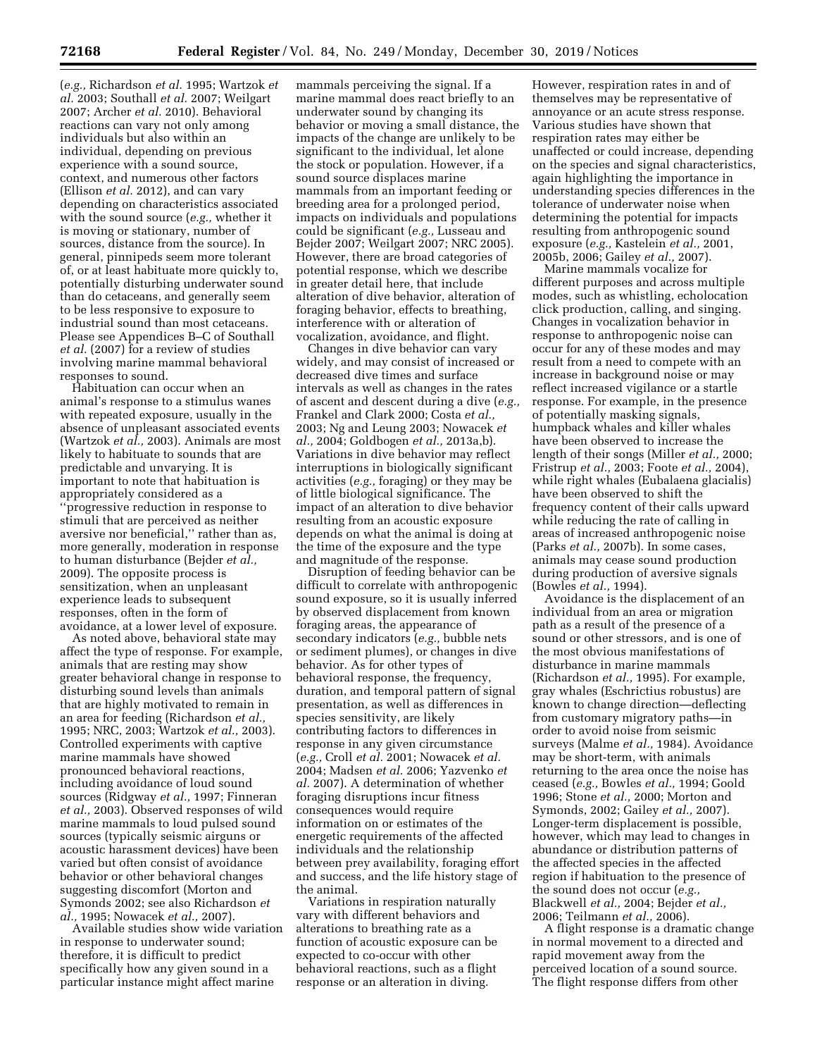(*e.g.,* Richardson *et al.* 1995; Wartzok *et al.* 2003; Southall *et al.* 2007; Weilgart 2007; Archer *et al.* 2010). Behavioral reactions can vary not only among individuals but also within an individual, depending on previous experience with a sound source, context, and numerous other factors (Ellison *et al.* 2012), and can vary depending on characteristics associated with the sound source (*e.g.,* whether it is moving or stationary, number of sources, distance from the source). In general, pinnipeds seem more tolerant of, or at least habituate more quickly to, potentially disturbing underwater sound than do cetaceans, and generally seem to be less responsive to exposure to industrial sound than most cetaceans. Please see Appendices B–C of Southall *et al.* (2007) for a review of studies involving marine mammal behavioral responses to sound.

Habituation can occur when an animal's response to a stimulus wanes with repeated exposure, usually in the absence of unpleasant associated events (Wartzok *et al.,* 2003). Animals are most likely to habituate to sounds that are predictable and unvarying. It is important to note that habituation is appropriately considered as a ''progressive reduction in response to stimuli that are perceived as neither aversive nor beneficial,'' rather than as, more generally, moderation in response to human disturbance (Bejder *et al.,*  2009). The opposite process is sensitization, when an unpleasant experience leads to subsequent responses, often in the form of avoidance, at a lower level of exposure.

As noted above, behavioral state may affect the type of response. For example, animals that are resting may show greater behavioral change in response to disturbing sound levels than animals that are highly motivated to remain in an area for feeding (Richardson *et al.,*  1995; NRC, 2003; Wartzok *et al.,* 2003). Controlled experiments with captive marine mammals have showed pronounced behavioral reactions, including avoidance of loud sound sources (Ridgway *et al.,* 1997; Finneran *et al.,* 2003). Observed responses of wild marine mammals to loud pulsed sound sources (typically seismic airguns or acoustic harassment devices) have been varied but often consist of avoidance behavior or other behavioral changes suggesting discomfort (Morton and Symonds 2002; see also Richardson *et al.,* 1995; Nowacek *et al.,* 2007).

Available studies show wide variation in response to underwater sound; therefore, it is difficult to predict specifically how any given sound in a particular instance might affect marine

mammals perceiving the signal. If a marine mammal does react briefly to an underwater sound by changing its behavior or moving a small distance, the impacts of the change are unlikely to be significant to the individual, let alone the stock or population. However, if a sound source displaces marine mammals from an important feeding or breeding area for a prolonged period, impacts on individuals and populations could be significant (*e.g.,* Lusseau and Bejder 2007; Weilgart 2007; NRC 2005). However, there are broad categories of potential response, which we describe in greater detail here, that include alteration of dive behavior, alteration of foraging behavior, effects to breathing, interference with or alteration of vocalization, avoidance, and flight.

Changes in dive behavior can vary widely, and may consist of increased or decreased dive times and surface intervals as well as changes in the rates of ascent and descent during a dive (*e.g.,*  Frankel and Clark 2000; Costa *et al.,*  2003; Ng and Leung 2003; Nowacek *et al.,* 2004; Goldbogen *et al.,* 2013a,b). Variations in dive behavior may reflect interruptions in biologically significant activities (*e.g.,* foraging) or they may be of little biological significance. The impact of an alteration to dive behavior resulting from an acoustic exposure depends on what the animal is doing at the time of the exposure and the type and magnitude of the response.

Disruption of feeding behavior can be difficult to correlate with anthropogenic sound exposure, so it is usually inferred by observed displacement from known foraging areas, the appearance of secondary indicators (*e.g.,* bubble nets or sediment plumes), or changes in dive behavior. As for other types of behavioral response, the frequency, duration, and temporal pattern of signal presentation, as well as differences in species sensitivity, are likely contributing factors to differences in response in any given circumstance (*e.g.,* Croll *et al.* 2001; Nowacek *et al.*  2004; Madsen *et al.* 2006; Yazvenko *et al.* 2007). A determination of whether foraging disruptions incur fitness consequences would require information on or estimates of the energetic requirements of the affected individuals and the relationship between prey availability, foraging effort and success, and the life history stage of the animal.

Variations in respiration naturally vary with different behaviors and alterations to breathing rate as a function of acoustic exposure can be expected to co-occur with other behavioral reactions, such as a flight response or an alteration in diving.

However, respiration rates in and of themselves may be representative of annoyance or an acute stress response. Various studies have shown that respiration rates may either be unaffected or could increase, depending on the species and signal characteristics, again highlighting the importance in understanding species differences in the tolerance of underwater noise when determining the potential for impacts resulting from anthropogenic sound exposure (*e.g.,* Kastelein *et al.,* 2001, 2005b, 2006; Gailey *et al.,* 2007).

Marine mammals vocalize for different purposes and across multiple modes, such as whistling, echolocation click production, calling, and singing. Changes in vocalization behavior in response to anthropogenic noise can occur for any of these modes and may result from a need to compete with an increase in background noise or may reflect increased vigilance or a startle response. For example, in the presence of potentially masking signals, humpback whales and killer whales have been observed to increase the length of their songs (Miller *et al.,* 2000; Fristrup *et al.,* 2003; Foote *et al.,* 2004), while right whales (Eubalaena glacialis) have been observed to shift the frequency content of their calls upward while reducing the rate of calling in areas of increased anthropogenic noise (Parks *et al.,* 2007b). In some cases, animals may cease sound production during production of aversive signals (Bowles *et al.,* 1994).

Avoidance is the displacement of an individual from an area or migration path as a result of the presence of a sound or other stressors, and is one of the most obvious manifestations of disturbance in marine mammals (Richardson *et al.,* 1995). For example, gray whales (Eschrictius robustus) are known to change direction—deflecting from customary migratory paths—in order to avoid noise from seismic surveys (Malme *et al.,* 1984). Avoidance may be short-term, with animals returning to the area once the noise has ceased (*e.g.,* Bowles *et al.,* 1994; Goold 1996; Stone *et al.,* 2000; Morton and Symonds, 2002; Gailey *et al.,* 2007). Longer-term displacement is possible, however, which may lead to changes in abundance or distribution patterns of the affected species in the affected region if habituation to the presence of the sound does not occur (*e.g.,*  Blackwell *et al.,* 2004; Bejder *et al.,*  2006; Teilmann *et al.,* 2006).

A flight response is a dramatic change in normal movement to a directed and rapid movement away from the perceived location of a sound source. The flight response differs from other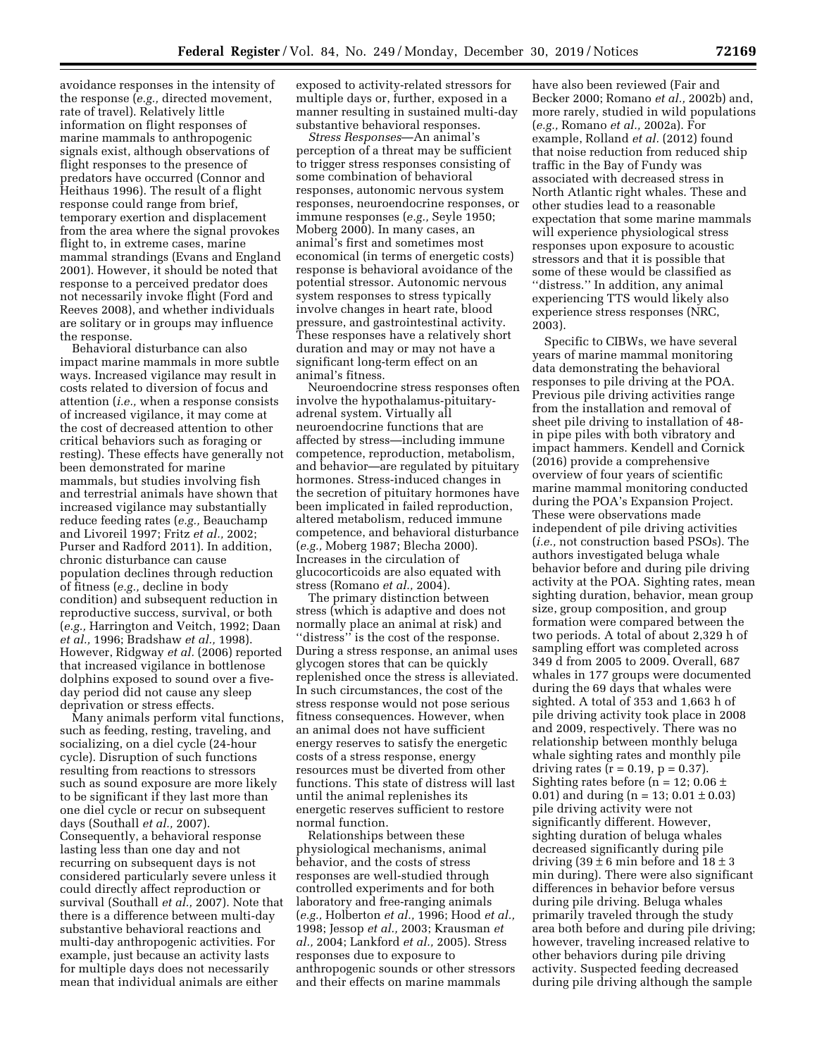avoidance responses in the intensity of the response (*e.g.,* directed movement, rate of travel). Relatively little information on flight responses of marine mammals to anthropogenic signals exist, although observations of flight responses to the presence of predators have occurred (Connor and Heithaus 1996). The result of a flight response could range from brief, temporary exertion and displacement from the area where the signal provokes flight to, in extreme cases, marine mammal strandings (Evans and England 2001). However, it should be noted that response to a perceived predator does not necessarily invoke flight (Ford and Reeves 2008), and whether individuals are solitary or in groups may influence the response.

Behavioral disturbance can also impact marine mammals in more subtle ways. Increased vigilance may result in costs related to diversion of focus and attention (*i.e.,* when a response consists of increased vigilance, it may come at the cost of decreased attention to other critical behaviors such as foraging or resting). These effects have generally not been demonstrated for marine mammals, but studies involving fish and terrestrial animals have shown that increased vigilance may substantially reduce feeding rates (*e.g.,* Beauchamp and Livoreil 1997; Fritz *et al.,* 2002; Purser and Radford 2011). In addition, chronic disturbance can cause population declines through reduction of fitness (*e.g.,* decline in body condition) and subsequent reduction in reproductive success, survival, or both (*e.g.,* Harrington and Veitch, 1992; Daan *et al.,* 1996; Bradshaw *et al.,* 1998). However, Ridgway *et al.* (2006) reported that increased vigilance in bottlenose dolphins exposed to sound over a fiveday period did not cause any sleep deprivation or stress effects.

Many animals perform vital functions, such as feeding, resting, traveling, and socializing, on a diel cycle (24-hour cycle). Disruption of such functions resulting from reactions to stressors such as sound exposure are more likely to be significant if they last more than one diel cycle or recur on subsequent days (Southall *et al.,* 2007). Consequently, a behavioral response lasting less than one day and not recurring on subsequent days is not considered particularly severe unless it could directly affect reproduction or survival (Southall *et al.,* 2007). Note that there is a difference between multi-day substantive behavioral reactions and multi-day anthropogenic activities. For example, just because an activity lasts for multiple days does not necessarily mean that individual animals are either

exposed to activity-related stressors for multiple days or, further, exposed in a manner resulting in sustained multi-day substantive behavioral responses.

*Stress Responses*—An animal's perception of a threat may be sufficient to trigger stress responses consisting of some combination of behavioral responses, autonomic nervous system responses, neuroendocrine responses, or immune responses (*e.g.,* Seyle 1950; Moberg 2000). In many cases, an animal's first and sometimes most economical (in terms of energetic costs) response is behavioral avoidance of the potential stressor. Autonomic nervous system responses to stress typically involve changes in heart rate, blood pressure, and gastrointestinal activity. These responses have a relatively short duration and may or may not have a significant long-term effect on an animal's fitness.

Neuroendocrine stress responses often involve the hypothalamus-pituitaryadrenal system. Virtually all neuroendocrine functions that are affected by stress—including immune competence, reproduction, metabolism, and behavior—are regulated by pituitary hormones. Stress-induced changes in the secretion of pituitary hormones have been implicated in failed reproduction, altered metabolism, reduced immune competence, and behavioral disturbance (*e.g.,* Moberg 1987; Blecha 2000). Increases in the circulation of glucocorticoids are also equated with stress (Romano *et al.,* 2004).

The primary distinction between stress (which is adaptive and does not normally place an animal at risk) and ''distress'' is the cost of the response. During a stress response, an animal uses glycogen stores that can be quickly replenished once the stress is alleviated. In such circumstances, the cost of the stress response would not pose serious fitness consequences. However, when an animal does not have sufficient energy reserves to satisfy the energetic costs of a stress response, energy resources must be diverted from other functions. This state of distress will last until the animal replenishes its energetic reserves sufficient to restore normal function.

Relationships between these physiological mechanisms, animal behavior, and the costs of stress responses are well-studied through controlled experiments and for both laboratory and free-ranging animals (*e.g.,* Holberton *et al.,* 1996; Hood *et al.,*  1998; Jessop *et al.,* 2003; Krausman *et al.,* 2004; Lankford *et al.,* 2005). Stress responses due to exposure to anthropogenic sounds or other stressors and their effects on marine mammals

have also been reviewed (Fair and Becker 2000; Romano *et al.,* 2002b) and, more rarely, studied in wild populations (*e.g.,* Romano *et al.,* 2002a). For example, Rolland *et al.* (2012) found that noise reduction from reduced ship traffic in the Bay of Fundy was associated with decreased stress in North Atlantic right whales. These and other studies lead to a reasonable expectation that some marine mammals will experience physiological stress responses upon exposure to acoustic stressors and that it is possible that some of these would be classified as ''distress.'' In addition, any animal experiencing TTS would likely also experience stress responses (NRC, 2003).

Specific to CIBWs, we have several years of marine mammal monitoring data demonstrating the behavioral responses to pile driving at the POA. Previous pile driving activities range from the installation and removal of sheet pile driving to installation of 48 in pipe piles with both vibratory and impact hammers. Kendell and Cornick (2016) provide a comprehensive overview of four years of scientific marine mammal monitoring conducted during the POA's Expansion Project. These were observations made independent of pile driving activities (*i.e.,* not construction based PSOs). The authors investigated beluga whale behavior before and during pile driving activity at the POA. Sighting rates, mean sighting duration, behavior, mean group size, group composition, and group formation were compared between the two periods. A total of about 2,329 h of sampling effort was completed across 349 d from 2005 to 2009. Overall, 687 whales in 177 groups were documented during the 69 days that whales were sighted. A total of 353 and 1,663 h of pile driving activity took place in 2008 and 2009, respectively. There was no relationship between monthly beluga whale sighting rates and monthly pile driving rates ( $r = 0.19$ ,  $p = 0.37$ ). Sighting rates before (n = 12;  $0.06 \pm$ 0.01) and during  $(n = 13; 0.01 \pm 0.03)$ pile driving activity were not significantly different. However, sighting duration of beluga whales decreased significantly during pile driving  $(39 \pm 6 \text{ min})$  before and  $18 \pm 3$ min during). There were also significant differences in behavior before versus during pile driving. Beluga whales primarily traveled through the study area both before and during pile driving; however, traveling increased relative to other behaviors during pile driving activity. Suspected feeding decreased during pile driving although the sample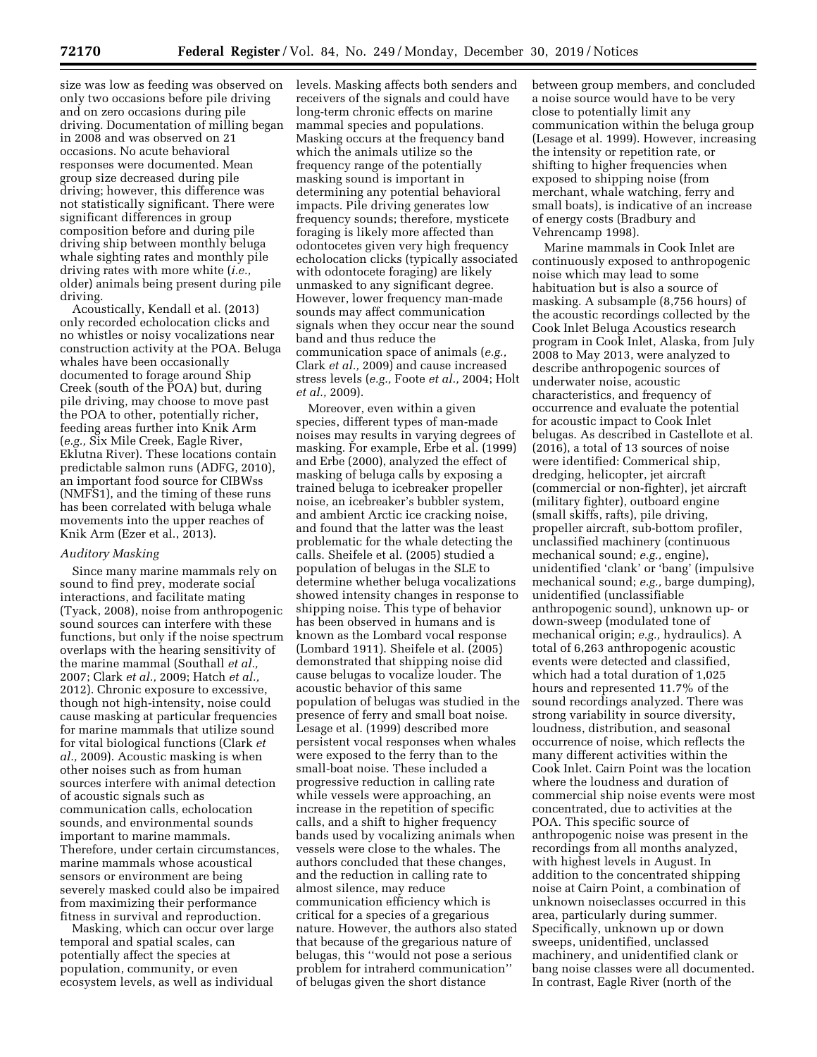size was low as feeding was observed on only two occasions before pile driving and on zero occasions during pile driving. Documentation of milling began in 2008 and was observed on 21 occasions. No acute behavioral responses were documented. Mean group size decreased during pile driving; however, this difference was not statistically significant. There were significant differences in group composition before and during pile driving ship between monthly beluga whale sighting rates and monthly pile driving rates with more white (*i.e.,*  older) animals being present during pile driving.

Acoustically, Kendall et al. (2013) only recorded echolocation clicks and no whistles or noisy vocalizations near construction activity at the POA. Beluga whales have been occasionally documented to forage around Ship Creek (south of the POA) but, during pile driving, may choose to move past the POA to other, potentially richer, feeding areas further into Knik Arm (*e.g.,* Six Mile Creek, Eagle River, Eklutna River). These locations contain predictable salmon runs (ADFG, 2010), an important food source for CIBWss (NMFS1), and the timing of these runs has been correlated with beluga whale movements into the upper reaches of Knik Arm (Ezer et al., 2013).

### *Auditory Masking*

Since many marine mammals rely on sound to find prey, moderate social interactions, and facilitate mating (Tyack, 2008), noise from anthropogenic sound sources can interfere with these functions, but only if the noise spectrum overlaps with the hearing sensitivity of the marine mammal (Southall *et al.,*  2007; Clark *et al.,* 2009; Hatch *et al.,*  2012). Chronic exposure to excessive, though not high-intensity, noise could cause masking at particular frequencies for marine mammals that utilize sound for vital biological functions (Clark *et al.,* 2009). Acoustic masking is when other noises such as from human sources interfere with animal detection of acoustic signals such as communication calls, echolocation sounds, and environmental sounds important to marine mammals. Therefore, under certain circumstances, marine mammals whose acoustical sensors or environment are being severely masked could also be impaired from maximizing their performance fitness in survival and reproduction.

Masking, which can occur over large temporal and spatial scales, can potentially affect the species at population, community, or even ecosystem levels, as well as individual

levels. Masking affects both senders and receivers of the signals and could have long-term chronic effects on marine mammal species and populations. Masking occurs at the frequency band which the animals utilize so the frequency range of the potentially masking sound is important in determining any potential behavioral impacts. Pile driving generates low frequency sounds; therefore, mysticete foraging is likely more affected than odontocetes given very high frequency echolocation clicks (typically associated with odontocete foraging) are likely unmasked to any significant degree. However, lower frequency man-made sounds may affect communication signals when they occur near the sound band and thus reduce the communication space of animals (*e.g.,*  Clark *et al.,* 2009) and cause increased stress levels (*e.g.,* Foote *et al.,* 2004; Holt *et al.,* 2009).

Moreover, even within a given species, different types of man-made noises may results in varying degrees of masking. For example, Erbe et al. (1999) and Erbe (2000), analyzed the effect of masking of beluga calls by exposing a trained beluga to icebreaker propeller noise, an icebreaker's bubbler system, and ambient Arctic ice cracking noise, and found that the latter was the least problematic for the whale detecting the calls. Sheifele et al. (2005) studied a population of belugas in the SLE to determine whether beluga vocalizations showed intensity changes in response to shipping noise. This type of behavior has been observed in humans and is known as the Lombard vocal response (Lombard 1911). Sheifele et al. (2005) demonstrated that shipping noise did cause belugas to vocalize louder. The acoustic behavior of this same population of belugas was studied in the presence of ferry and small boat noise. Lesage et al. (1999) described more persistent vocal responses when whales were exposed to the ferry than to the small-boat noise. These included a progressive reduction in calling rate while vessels were approaching, an increase in the repetition of specific calls, and a shift to higher frequency bands used by vocalizing animals when vessels were close to the whales. The authors concluded that these changes, and the reduction in calling rate to almost silence, may reduce communication efficiency which is critical for a species of a gregarious nature. However, the authors also stated that because of the gregarious nature of belugas, this ''would not pose a serious problem for intraherd communication'' of belugas given the short distance

between group members, and concluded a noise source would have to be very close to potentially limit any communication within the beluga group (Lesage et al. 1999). However, increasing the intensity or repetition rate, or shifting to higher frequencies when exposed to shipping noise (from merchant, whale watching, ferry and small boats), is indicative of an increase of energy costs (Bradbury and Vehrencamp 1998).

Marine mammals in Cook Inlet are continuously exposed to anthropogenic noise which may lead to some habituation but is also a source of masking. A subsample (8,756 hours) of the acoustic recordings collected by the Cook Inlet Beluga Acoustics research program in Cook Inlet, Alaska, from July 2008 to May 2013, were analyzed to describe anthropogenic sources of underwater noise, acoustic characteristics, and frequency of occurrence and evaluate the potential for acoustic impact to Cook Inlet belugas. As described in Castellote et al. (2016), a total of 13 sources of noise were identified: Commerical ship, dredging, helicopter, jet aircraft (commercial or non-fighter), jet aircraft (military fighter), outboard engine (small skiffs, rafts), pile driving, propeller aircraft, sub-bottom profiler, unclassified machinery (continuous mechanical sound; *e.g.,* engine), unidentified 'clank' or 'bang' (impulsive mechanical sound; *e.g.,* barge dumping), unidentified (unclassifiable anthropogenic sound), unknown up- or down-sweep (modulated tone of mechanical origin; *e.g.,* hydraulics). A total of 6,263 anthropogenic acoustic events were detected and classified, which had a total duration of 1,025 hours and represented 11.7% of the sound recordings analyzed. There was strong variability in source diversity, loudness, distribution, and seasonal occurrence of noise, which reflects the many different activities within the Cook Inlet. Cairn Point was the location where the loudness and duration of commercial ship noise events were most concentrated, due to activities at the POA. This specific source of anthropogenic noise was present in the recordings from all months analyzed, with highest levels in August. In addition to the concentrated shipping noise at Cairn Point, a combination of unknown noiseclasses occurred in this area, particularly during summer. Specifically, unknown up or down sweeps, unidentified, unclassed machinery, and unidentified clank or bang noise classes were all documented. In contrast, Eagle River (north of the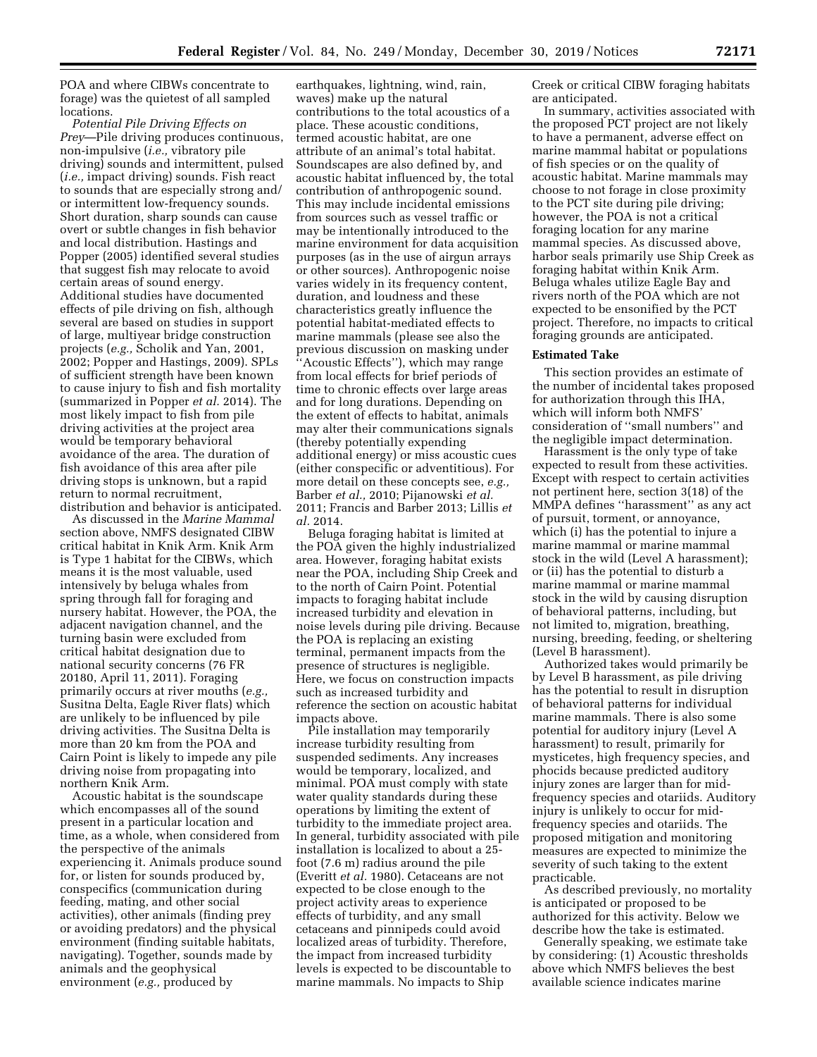POA and where CIBWs concentrate to forage) was the quietest of all sampled locations.

*Potential Pile Driving Effects on Prey*—Pile driving produces continuous, non-impulsive (*i.e.,* vibratory pile driving) sounds and intermittent, pulsed (*i.e.,* impact driving) sounds. Fish react to sounds that are especially strong and/ or intermittent low-frequency sounds. Short duration, sharp sounds can cause overt or subtle changes in fish behavior and local distribution. Hastings and Popper (2005) identified several studies that suggest fish may relocate to avoid certain areas of sound energy. Additional studies have documented effects of pile driving on fish, although several are based on studies in support of large, multiyear bridge construction projects (*e.g.,* Scholik and Yan, 2001, 2002; Popper and Hastings, 2009). SPLs of sufficient strength have been known to cause injury to fish and fish mortality (summarized in Popper *et al.* 2014). The most likely impact to fish from pile driving activities at the project area would be temporary behavioral avoidance of the area. The duration of fish avoidance of this area after pile driving stops is unknown, but a rapid return to normal recruitment, distribution and behavior is anticipated.

As discussed in the *Marine Mammal*  section above, NMFS designated CIBW critical habitat in Knik Arm. Knik Arm is Type 1 habitat for the CIBWs, which means it is the most valuable, used intensively by beluga whales from spring through fall for foraging and nursery habitat. However, the POA, the adjacent navigation channel, and the turning basin were excluded from critical habitat designation due to national security concerns (76 FR 20180, April 11, 2011). Foraging primarily occurs at river mouths (*e.g.,*  Susitna Delta, Eagle River flats) which are unlikely to be influenced by pile driving activities. The Susitna Delta is more than 20 km from the POA and Cairn Point is likely to impede any pile driving noise from propagating into northern Knik Arm.

Acoustic habitat is the soundscape which encompasses all of the sound present in a particular location and time, as a whole, when considered from the perspective of the animals experiencing it. Animals produce sound for, or listen for sounds produced by, conspecifics (communication during feeding, mating, and other social activities), other animals (finding prey or avoiding predators) and the physical environment (finding suitable habitats, navigating). Together, sounds made by animals and the geophysical environment (*e.g.,* produced by

earthquakes, lightning, wind, rain, waves) make up the natural contributions to the total acoustics of a place. These acoustic conditions, termed acoustic habitat, are one attribute of an animal's total habitat. Soundscapes are also defined by, and acoustic habitat influenced by, the total contribution of anthropogenic sound. This may include incidental emissions from sources such as vessel traffic or may be intentionally introduced to the marine environment for data acquisition purposes (as in the use of airgun arrays or other sources). Anthropogenic noise varies widely in its frequency content, duration, and loudness and these characteristics greatly influence the potential habitat-mediated effects to marine mammals (please see also the previous discussion on masking under ''Acoustic Effects''), which may range from local effects for brief periods of time to chronic effects over large areas and for long durations. Depending on the extent of effects to habitat, animals may alter their communications signals (thereby potentially expending additional energy) or miss acoustic cues (either conspecific or adventitious). For more detail on these concepts see, *e.g.,*  Barber *et al.,* 2010; Pijanowski *et al.*  2011; Francis and Barber 2013; Lillis *et al.* 2014.

Beluga foraging habitat is limited at the POA given the highly industrialized area. However, foraging habitat exists near the POA, including Ship Creek and to the north of Cairn Point. Potential impacts to foraging habitat include increased turbidity and elevation in noise levels during pile driving. Because the POA is replacing an existing terminal, permanent impacts from the presence of structures is negligible. Here, we focus on construction impacts such as increased turbidity and reference the section on acoustic habitat impacts above.

Pile installation may temporarily increase turbidity resulting from suspended sediments. Any increases would be temporary, localized, and minimal. POA must comply with state water quality standards during these operations by limiting the extent of turbidity to the immediate project area. In general, turbidity associated with pile installation is localized to about a 25 foot (7.6 m) radius around the pile (Everitt *et al.* 1980). Cetaceans are not expected to be close enough to the project activity areas to experience effects of turbidity, and any small cetaceans and pinnipeds could avoid localized areas of turbidity. Therefore, the impact from increased turbidity levels is expected to be discountable to marine mammals. No impacts to Ship

Creek or critical CIBW foraging habitats are anticipated.

In summary, activities associated with the proposed PCT project are not likely to have a permanent, adverse effect on marine mammal habitat or populations of fish species or on the quality of acoustic habitat. Marine mammals may choose to not forage in close proximity to the PCT site during pile driving; however, the POA is not a critical foraging location for any marine mammal species. As discussed above, harbor seals primarily use Ship Creek as foraging habitat within Knik Arm. Beluga whales utilize Eagle Bay and rivers north of the POA which are not expected to be ensonified by the PCT project. Therefore, no impacts to critical foraging grounds are anticipated.

### **Estimated Take**

This section provides an estimate of the number of incidental takes proposed for authorization through this IHA, which will inform both NMFS' consideration of ''small numbers'' and the negligible impact determination.

Harassment is the only type of take expected to result from these activities. Except with respect to certain activities not pertinent here, section 3(18) of the MMPA defines ''harassment'' as any act of pursuit, torment, or annoyance, which (i) has the potential to injure a marine mammal or marine mammal stock in the wild (Level A harassment); or (ii) has the potential to disturb a marine mammal or marine mammal stock in the wild by causing disruption of behavioral patterns, including, but not limited to, migration, breathing, nursing, breeding, feeding, or sheltering (Level B harassment).

Authorized takes would primarily be by Level B harassment, as pile driving has the potential to result in disruption of behavioral patterns for individual marine mammals. There is also some potential for auditory injury (Level A harassment) to result, primarily for mysticetes, high frequency species, and phocids because predicted auditory injury zones are larger than for midfrequency species and otariids. Auditory injury is unlikely to occur for midfrequency species and otariids. The proposed mitigation and monitoring measures are expected to minimize the severity of such taking to the extent practicable.

As described previously, no mortality is anticipated or proposed to be authorized for this activity. Below we describe how the take is estimated.

Generally speaking, we estimate take by considering: (1) Acoustic thresholds above which NMFS believes the best available science indicates marine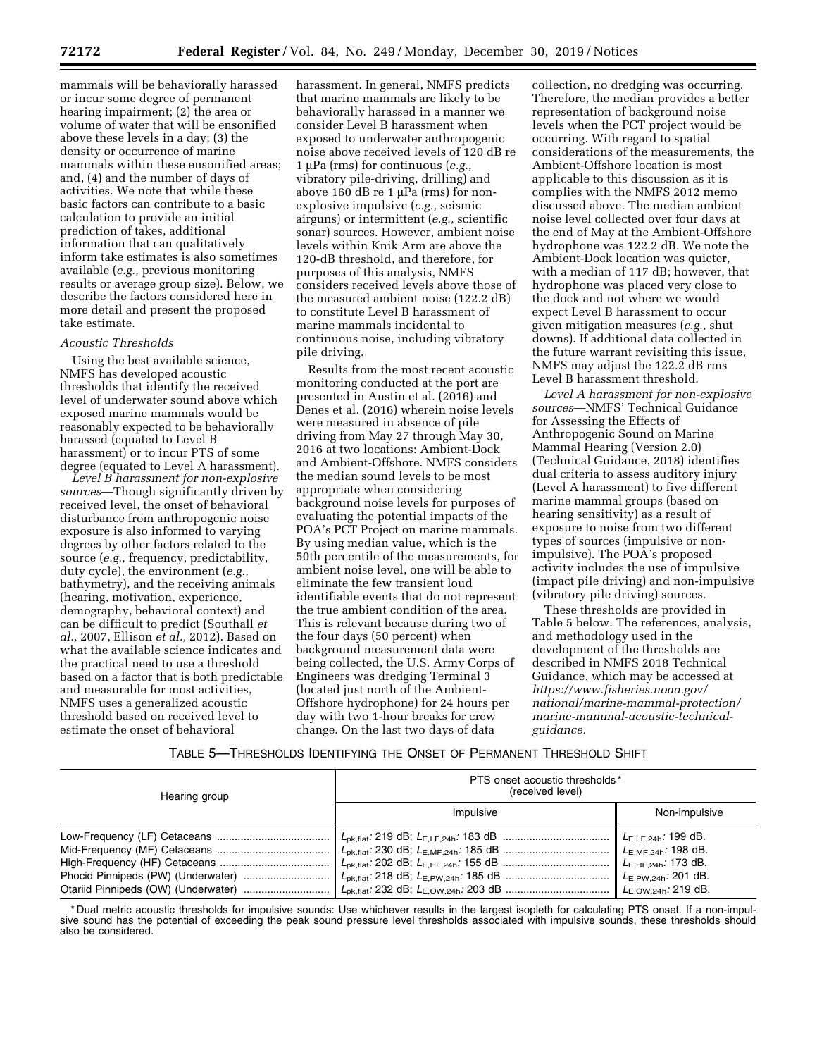mammals will be behaviorally harassed or incur some degree of permanent hearing impairment; (2) the area or volume of water that will be ensonified above these levels in a day; (3) the density or occurrence of marine mammals within these ensonified areas; and, (4) and the number of days of activities. We note that while these basic factors can contribute to a basic calculation to provide an initial prediction of takes, additional information that can qualitatively inform take estimates is also sometimes available (*e.g.,* previous monitoring results or average group size). Below, we describe the factors considered here in more detail and present the proposed take estimate.

### *Acoustic Thresholds*

Using the best available science, NMFS has developed acoustic thresholds that identify the received level of underwater sound above which exposed marine mammals would be reasonably expected to be behaviorally harassed (equated to Level B harassment) or to incur PTS of some degree (equated to Level A harassment).

*Level B harassment for non-explosive sources*—Though significantly driven by received level, the onset of behavioral disturbance from anthropogenic noise exposure is also informed to varying degrees by other factors related to the source (*e.g.,* frequency, predictability, duty cycle), the environment (*e.g.,*  bathymetry), and the receiving animals (hearing, motivation, experience, demography, behavioral context) and can be difficult to predict (Southall *et al.,* 2007, Ellison *et al.,* 2012). Based on what the available science indicates and the practical need to use a threshold based on a factor that is both predictable and measurable for most activities, NMFS uses a generalized acoustic threshold based on received level to estimate the onset of behavioral

harassment. In general, NMFS predicts that marine mammals are likely to be behaviorally harassed in a manner we consider Level B harassment when exposed to underwater anthropogenic noise above received levels of 120 dB re 1 mPa (rms) for continuous (*e.g.,*  vibratory pile-driving, drilling) and above 160 dB re 1  $\mu$ Pa (rms) for nonexplosive impulsive (*e.g.,* seismic airguns) or intermittent (*e.g.,* scientific sonar) sources. However, ambient noise levels within Knik Arm are above the 120-dB threshold, and therefore, for purposes of this analysis, NMFS considers received levels above those of the measured ambient noise (122.2 dB) to constitute Level B harassment of marine mammals incidental to continuous noise, including vibratory pile driving.

Results from the most recent acoustic monitoring conducted at the port are presented in Austin et al. (2016) and Denes et al. (2016) wherein noise levels were measured in absence of pile driving from May 27 through May 30, 2016 at two locations: Ambient-Dock and Ambient-Offshore. NMFS considers the median sound levels to be most appropriate when considering background noise levels for purposes of evaluating the potential impacts of the POA's PCT Project on marine mammals. By using median value, which is the 50th percentile of the measurements, for ambient noise level, one will be able to eliminate the few transient loud identifiable events that do not represent the true ambient condition of the area. This is relevant because during two of the four days (50 percent) when background measurement data were being collected, the U.S. Army Corps of Engineers was dredging Terminal 3 (located just north of the Ambient-Offshore hydrophone) for 24 hours per day with two 1-hour breaks for crew change. On the last two days of data

collection, no dredging was occurring. Therefore, the median provides a better representation of background noise levels when the PCT project would be occurring. With regard to spatial considerations of the measurements, the Ambient-Offshore location is most applicable to this discussion as it is complies with the NMFS 2012 memo discussed above. The median ambient noise level collected over four days at the end of May at the Ambient-Offshore hydrophone was 122.2 dB. We note the Ambient-Dock location was quieter, with a median of 117 dB; however, that hydrophone was placed very close to the dock and not where we would expect Level B harassment to occur given mitigation measures (*e.g.,* shut downs). If additional data collected in the future warrant revisiting this issue, NMFS may adjust the 122.2 dB rms Level B harassment threshold.

*Level A harassment for non-explosive sources*—NMFS' Technical Guidance for Assessing the Effects of Anthropogenic Sound on Marine Mammal Hearing (Version 2.0) (Technical Guidance, 2018) identifies dual criteria to assess auditory injury (Level A harassment) to five different marine mammal groups (based on hearing sensitivity) as a result of exposure to noise from two different types of sources (impulsive or nonimpulsive). The POA's proposed activity includes the use of impulsive (impact pile driving) and non-impulsive (vibratory pile driving) sources.

These thresholds are provided in Table 5 below. The references, analysis, and methodology used in the development of the thresholds are described in NMFS 2018 Technical Guidance, which may be accessed at *[https://www.fisheries.noaa.gov/](https://www.fisheries.noaa.gov/national/marine-mammal-protection/marine-mammal-acoustic-technical-guidance) [national/marine-mammal-protection/](https://www.fisheries.noaa.gov/national/marine-mammal-protection/marine-mammal-acoustic-technical-guidance) [marine-mammal-acoustic-technical](https://www.fisheries.noaa.gov/national/marine-mammal-protection/marine-mammal-acoustic-technical-guidance)[guidance.](https://www.fisheries.noaa.gov/national/marine-mammal-protection/marine-mammal-acoustic-technical-guidance)* 

### TABLE 5—THRESHOLDS IDENTIFYING THE ONSET OF PERMANENT THRESHOLD SHIFT

| Hearing group | PTS onset acoustic thresholds *<br>(received level) |               |  |  |  |  |
|---------------|-----------------------------------------------------|---------------|--|--|--|--|
|               | Impulsive                                           | Non-impulsive |  |  |  |  |
|               |                                                     |               |  |  |  |  |

\* Dual metric acoustic thresholds for impulsive sounds: Use whichever results in the largest isopleth for calculating PTS onset. If a non-impulsive sound has the potential of exceeding the peak sound pressure level thresholds associated with impulsive sounds, these thresholds should also be considered.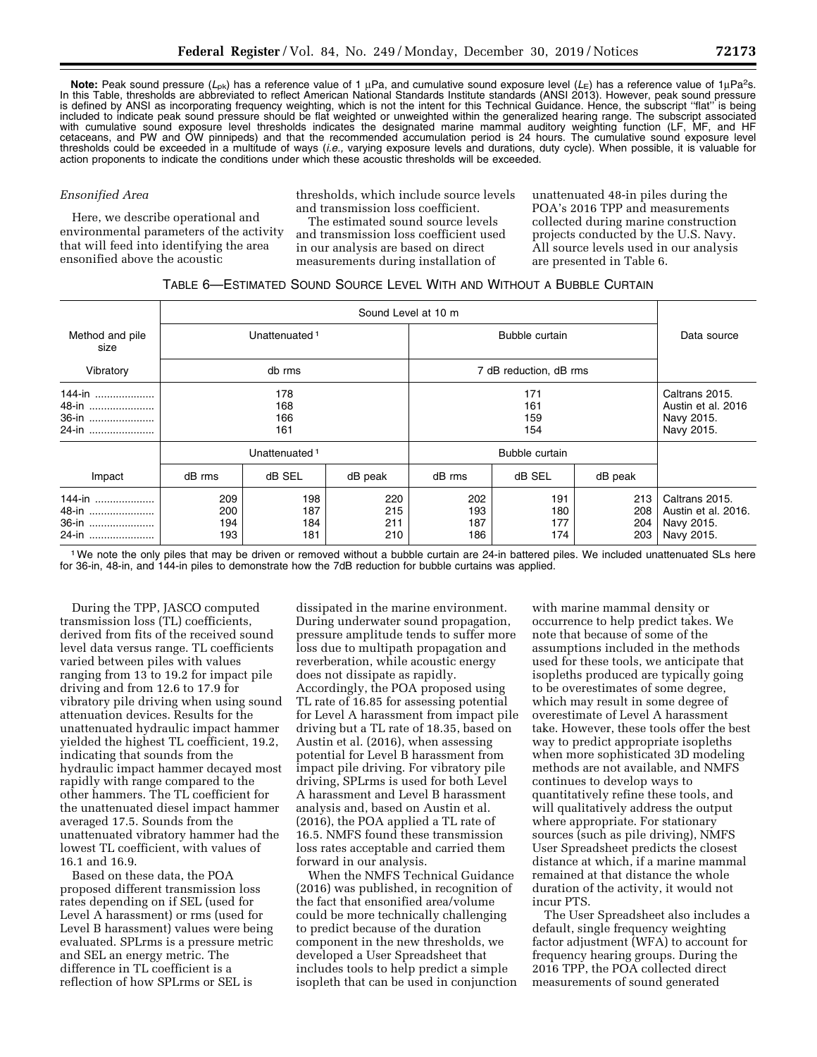**Note:** Peak sound pressure (L<sub>pk</sub>) has a reference value of 1 μPa, and cumulative sound exposure level (L<sub>E</sub>) has a reference value of 1μPa<sup>2</sup>s. In this Table, thresholds are abbreviated to reflect American National Standards Institute standards (ANSI 2013). However, peak sound pressure is defined by ANSI as incorporating frequency weighting, which is not the intent for this Technical Guidance. Hence, the subscript ''flat'' is being included to indicate peak sound pressure should be flat weighted or unweighted within the generalized hearing range. The subscript associated with cumulative sound exposure level thresholds indicates the designated marine mammal auditory weighting function (LF, MF, and HF cetaceans, and PW and OW pinnipeds) and that the recommended accumulation period is 24 hours. The cumulative sound exposure level thresholds could be exceeded in a multitude of ways (*i.e.,* varying exposure levels and durations, duty cycle). When possible, it is valuable for action proponents to indicate the conditions under which these acoustic thresholds will be exceeded.

### *Ensonified Area*

Here, we describe operational and environmental parameters of the activity that will feed into identifying the area ensonified above the acoustic

thresholds, which include source levels and transmission loss coefficient.

The estimated sound source levels and transmission loss coefficient used in our analysis are based on direct measurements during installation of

unattenuated 48-in piles during the POA's 2016 TPP and measurements collected during marine construction projects conducted by the U.S. Navy. All source levels used in our analysis are presented in Table 6.

## TABLE 6—ESTIMATED SOUND SOURCE LEVEL WITH AND WITHOUT A BUBBLE CURTAIN

| Method and pile<br>size           |                           | Unattenuated <sup>1</sup> |                          |                          | Data source                                                      |                          |                                                                   |
|-----------------------------------|---------------------------|---------------------------|--------------------------|--------------------------|------------------------------------------------------------------|--------------------------|-------------------------------------------------------------------|
| Vibratory                         |                           | db rms                    |                          |                          | 7 dB reduction, dB rms                                           |                          |                                                                   |
| 144-in<br>48-in<br>36-in<br>24-in | 178<br>168<br>166<br>161  |                           |                          |                          | Caltrans 2015.<br>Austin et al. 2016<br>Navy 2015.<br>Navy 2015. |                          |                                                                   |
|                                   | Unattenuated <sup>1</sup> |                           |                          |                          |                                                                  |                          |                                                                   |
| Impact                            | dB rms                    | dB SEL                    | dB peak                  | dB rms                   | dB SEL                                                           | dB peak                  |                                                                   |
| 144-in<br>48-in<br>36-in<br>24-in | 209<br>200<br>194<br>193  | 198<br>187<br>184<br>181  | 220<br>215<br>211<br>210 | 202<br>193<br>187<br>186 | 191<br>180<br>177<br>174                                         | 213<br>208<br>204<br>203 | Caltrans 2015.<br>Austin et al. 2016.<br>Navy 2015.<br>Navy 2015. |

1We note the only piles that may be driven or removed without a bubble curtain are 24-in battered piles. We included unattenuated SLs here for 36-in, 48-in, and 144-in piles to demonstrate how the 7dB reduction for bubble curtains was applied.

During the TPP, JASCO computed transmission loss (TL) coefficients, derived from fits of the received sound level data versus range. TL coefficients varied between piles with values ranging from 13 to 19.2 for impact pile driving and from 12.6 to 17.9 for vibratory pile driving when using sound attenuation devices. Results for the unattenuated hydraulic impact hammer yielded the highest TL coefficient, 19.2, indicating that sounds from the hydraulic impact hammer decayed most rapidly with range compared to the other hammers. The TL coefficient for the unattenuated diesel impact hammer averaged 17.5. Sounds from the unattenuated vibratory hammer had the lowest TL coefficient, with values of 16.1 and 16.9.

Based on these data, the POA proposed different transmission loss rates depending on if SEL (used for Level A harassment) or rms (used for Level B harassment) values were being evaluated. SPLrms is a pressure metric and SEL an energy metric. The difference in TL coefficient is a reflection of how SPLrms or SEL is

dissipated in the marine environment. During underwater sound propagation, pressure amplitude tends to suffer more loss due to multipath propagation and reverberation, while acoustic energy does not dissipate as rapidly. Accordingly, the POA proposed using TL rate of 16.85 for assessing potential for Level A harassment from impact pile driving but a TL rate of 18.35, based on Austin et al. (2016), when assessing potential for Level B harassment from impact pile driving. For vibratory pile driving, SPLrms is used for both Level A harassment and Level B harassment analysis and, based on Austin et al. (2016), the POA applied a TL rate of 16.5. NMFS found these transmission loss rates acceptable and carried them forward in our analysis.

When the NMFS Technical Guidance (2016) was published, in recognition of the fact that ensonified area/volume could be more technically challenging to predict because of the duration component in the new thresholds, we developed a User Spreadsheet that includes tools to help predict a simple isopleth that can be used in conjunction

with marine mammal density or occurrence to help predict takes. We note that because of some of the assumptions included in the methods used for these tools, we anticipate that isopleths produced are typically going to be overestimates of some degree, which may result in some degree of overestimate of Level A harassment take. However, these tools offer the best way to predict appropriate isopleths when more sophisticated 3D modeling methods are not available, and NMFS continues to develop ways to quantitatively refine these tools, and will qualitatively address the output where appropriate. For stationary sources (such as pile driving), NMFS User Spreadsheet predicts the closest distance at which, if a marine mammal remained at that distance the whole duration of the activity, it would not incur PTS.

The User Spreadsheet also includes a default, single frequency weighting factor adjustment (WFA) to account for frequency hearing groups. During the 2016 TPP, the POA collected direct measurements of sound generated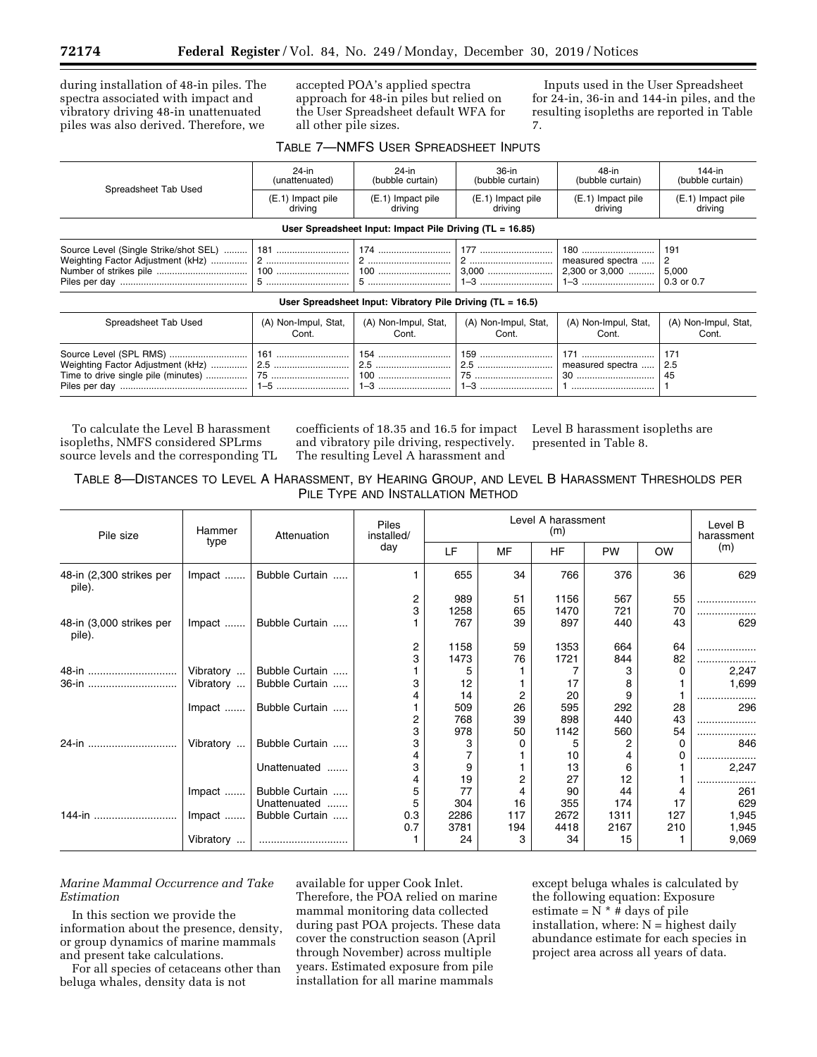during installation of 48-in piles. The spectra associated with impact and vibratory driving 48-in unattenuated piles was also derived. Therefore, we

accepted POA's applied spectra approach for 48-in piles but relied on the User Spreadsheet default WFA for all other pile sizes.

Inputs used in the User Spreadsheet for 24-in, 36-in and 144-in piles, and the resulting isopleths are reported in Table 7.

|                      | $24$ -in<br>(unattenuated)    | $24$ -in<br>(bubble curtain)                                 | 36-in<br>(bubble curtain)     | 48-in<br>(bubble curtain)                 | 144-in<br>(bubble curtain)      |
|----------------------|-------------------------------|--------------------------------------------------------------|-------------------------------|-------------------------------------------|---------------------------------|
| Spreadsheet Tab Used | (E.1) Impact pile<br>driving  | (E.1) Impact pile<br>driving                                 | (E.1) Impact pile<br>driving  | (E.1) Impact pile<br>driving              | (E.1) Impact pile<br>driving    |
|                      |                               | User Spreadsheet Input: Impact Pile Driving (TL = 16.85)     |                               |                                           |                                 |
|                      |                               |                                                              | 3,000<br>1-3                  | 180<br>measured spectra<br>2,300 or 3,000 | 191<br>2<br>5,000<br>0.3 or 0.7 |
|                      |                               | User Spreadsheet Input: Vibratory Pile Driving $(TL = 16.5)$ |                               |                                           |                                 |
| Spreadsheet Tab Used | (A) Non-Impul, Stat,<br>Cont. | (A) Non-Impul, Stat,<br>Cont.                                | (A) Non-Impul, Stat,<br>Cont. | (A) Non-Impul, Stat,<br>Cont.             | (A) Non-Impul, Stat,<br>Cont.   |
|                      |                               |                                                              | 159<br>75                     | 171<br>measured spectra<br>30             | 171<br>2.5<br>45                |

To calculate the Level B harassment isopleths, NMFS considered SPLrms source levels and the corresponding TL

coefficients of 18.35 and 16.5 for impact and vibratory pile driving, respectively. The resulting Level A harassment and

Level B harassment isopleths are presented in Table 8.

| TABLE 8-DISTANCES TO LEVEL A HARASSMENT, BY HEARING GROUP, AND LEVEL B HARASSMENT THRESHOLDS PER |  |
|--------------------------------------------------------------------------------------------------|--|
| PILE TYPE AND INSTALLATION METHOD                                                                |  |

| Pile size                          | Hammer<br>type | Attenuation    | Piles<br>installed/<br>day | Level A harassment<br>(m) |     |           |           |           | Level B<br>harassment |
|------------------------------------|----------------|----------------|----------------------------|---------------------------|-----|-----------|-----------|-----------|-----------------------|
|                                    |                |                |                            | LF                        | MF  | <b>HF</b> | <b>PW</b> | <b>OW</b> | (m)                   |
| 48-in (2,300 strikes per<br>pile). | Impact         | Bubble Curtain |                            | 655                       | 34  | 766       | 376       | 36        | 629                   |
|                                    |                |                | $\frac{2}{3}$              | 989                       | 51  | 1156      | 567       | 55        |                       |
|                                    |                |                |                            | 1258                      | 65  | 1470      | 721       | 70        |                       |
| 48-in (3,000 strikes per<br>pile). | Impact         | Bubble Curtain |                            | 767                       | 39  | 897       | 440       | 43        | 629                   |
|                                    |                |                | 2                          | 1158                      | 59  | 1353      | 664       | 64        |                       |
|                                    |                |                | 3                          | 1473                      | 76  | 1721      | 844       | 82        |                       |
| 48-in                              | Vibratory      | Bubble Curtain |                            |                           |     |           |           | 0         | 2,247                 |
| 36-in                              | Vibratory      | Bubble Curtain | 3                          | 12                        |     | 17        | 8         |           | 1,699                 |
|                                    |                |                |                            | 14                        | 2   | 20        | 9         |           |                       |
|                                    | Impact         | Bubble Curtain |                            | 509                       | 26  | 595       | 292       | 28        | 296                   |
|                                    |                |                | $\frac{2}{3}$              | 768                       | 39  | 898       | 440       | 43        | .                     |
|                                    |                |                |                            | 978                       | 50  | 1142      | 560       | 54        | .                     |
| 24-in                              | Vibratory      | Bubble Curtain | 3                          | з                         |     | 5         | 2         | 0         | 846                   |
|                                    |                |                | 4                          |                           |     | 10        |           | 0         |                       |
|                                    |                | Unattenuated   | 3                          | 9                         |     | 13        | 6         |           | 2,247                 |
|                                    |                |                | 4                          | 19                        |     | 27        | 12        |           |                       |
|                                    | Impact         | Bubble Curtain | 5                          | 77                        |     | 90        | 44        |           | 261                   |
|                                    |                | Unattenuated   | 5                          | 304                       | 16  | 355       | 174       | 17        | 629                   |
| 144-in                             | Impact         | Bubble Curtain | 0.3                        | 2286                      | 117 | 2672      | 1311      | 127       | 1,945                 |
|                                    |                |                | 0.7                        | 3781                      | 194 | 4418      | 2167      | 210       | 1,945                 |
|                                    | Vibratory      |                |                            | 24                        | 3   | 34        | 15        |           | 9,069                 |

*Marine Mammal Occurrence and Take Estimation* 

In this section we provide the information about the presence, density, or group dynamics of marine mammals and present take calculations.

For all species of cetaceans other than beluga whales, density data is not

available for upper Cook Inlet. Therefore, the POA relied on marine mammal monitoring data collected during past POA projects. These data cover the construction season (April through November) across multiple years. Estimated exposure from pile installation for all marine mammals

except beluga whales is calculated by the following equation: Exposure estimate =  $N^*$  # days of pile installation, where:  $N =$  highest daily abundance estimate for each species in project area across all years of data.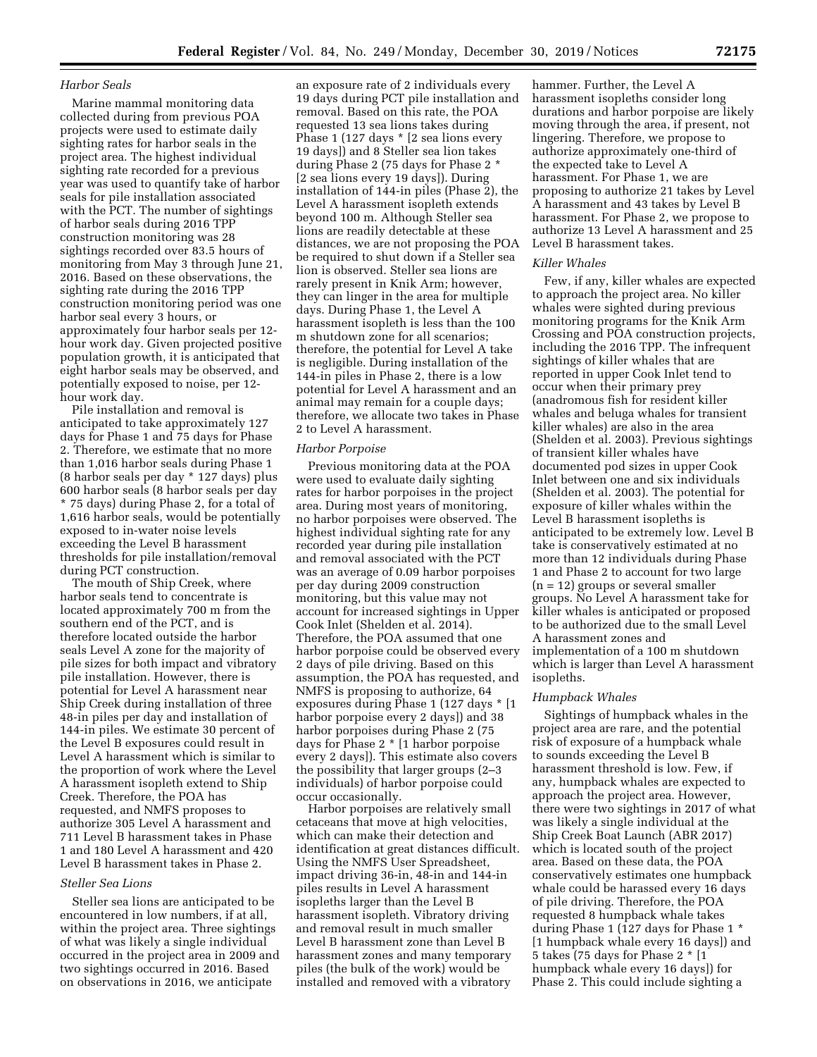### *Harbor Seals*

Marine mammal monitoring data collected during from previous POA projects were used to estimate daily sighting rates for harbor seals in the project area. The highest individual sighting rate recorded for a previous year was used to quantify take of harbor seals for pile installation associated with the PCT. The number of sightings of harbor seals during 2016 TPP construction monitoring was 28 sightings recorded over 83.5 hours of monitoring from May 3 through June 21, 2016. Based on these observations, the sighting rate during the 2016 TPP construction monitoring period was one harbor seal every 3 hours, or approximately four harbor seals per 12 hour work day. Given projected positive population growth, it is anticipated that eight harbor seals may be observed, and potentially exposed to noise, per 12 hour work day.

Pile installation and removal is anticipated to take approximately 127 days for Phase 1 and 75 days for Phase 2. Therefore, we estimate that no more than 1,016 harbor seals during Phase 1 (8 harbor seals per day \* 127 days) plus 600 harbor seals (8 harbor seals per day \* 75 days) during Phase 2, for a total of 1,616 harbor seals, would be potentially exposed to in-water noise levels exceeding the Level B harassment thresholds for pile installation/removal during PCT construction.

The mouth of Ship Creek, where harbor seals tend to concentrate is located approximately 700 m from the southern end of the PCT, and is therefore located outside the harbor seals Level A zone for the majority of pile sizes for both impact and vibratory pile installation. However, there is potential for Level A harassment near Ship Creek during installation of three 48-in piles per day and installation of 144-in piles. We estimate 30 percent of the Level B exposures could result in Level A harassment which is similar to the proportion of work where the Level A harassment isopleth extend to Ship Creek. Therefore, the POA has requested, and NMFS proposes to authorize 305 Level A harassment and 711 Level B harassment takes in Phase 1 and 180 Level A harassment and 420 Level B harassment takes in Phase 2.

### *Steller Sea Lions*

Steller sea lions are anticipated to be encountered in low numbers, if at all, within the project area. Three sightings of what was likely a single individual occurred in the project area in 2009 and two sightings occurred in 2016. Based on observations in 2016, we anticipate

an exposure rate of 2 individuals every 19 days during PCT pile installation and removal. Based on this rate, the POA requested 13 sea lions takes during Phase 1 (127 days \* [2 sea lions every 19 days]) and 8 Steller sea lion takes during Phase 2 (75 days for Phase 2 \* [2 sea lions every 19 days]). During installation of 144-in piles (Phase 2), the Level A harassment isopleth extends beyond 100 m. Although Steller sea lions are readily detectable at these distances, we are not proposing the POA be required to shut down if a Steller sea lion is observed. Steller sea lions are rarely present in Knik Arm; however, they can linger in the area for multiple days. During Phase 1, the Level A harassment isopleth is less than the 100 m shutdown zone for all scenarios; therefore, the potential for Level A take is negligible. During installation of the 144-in piles in Phase 2, there is a low potential for Level A harassment and an animal may remain for a couple days; therefore, we allocate two takes in Phase 2 to Level A harassment.

### *Harbor Porpoise*

Previous monitoring data at the POA were used to evaluate daily sighting rates for harbor porpoises in the project area. During most years of monitoring, no harbor porpoises were observed. The highest individual sighting rate for any recorded year during pile installation and removal associated with the PCT was an average of 0.09 harbor porpoises per day during 2009 construction monitoring, but this value may not account for increased sightings in Upper Cook Inlet (Shelden et al. 2014). Therefore, the POA assumed that one harbor porpoise could be observed every 2 days of pile driving. Based on this assumption, the POA has requested, and NMFS is proposing to authorize, 64 exposures during Phase 1 (127 days \* [1 harbor porpoise every 2 days]) and 38 harbor porpoises during Phase 2 (75 days for Phase 2 \* [1 harbor porpoise every 2 days]). This estimate also covers the possibility that larger groups (2–3 individuals) of harbor porpoise could occur occasionally.

Harbor porpoises are relatively small cetaceans that move at high velocities, which can make their detection and identification at great distances difficult. Using the NMFS User Spreadsheet, impact driving 36-in, 48-in and 144-in piles results in Level A harassment isopleths larger than the Level B harassment isopleth. Vibratory driving and removal result in much smaller Level B harassment zone than Level B harassment zones and many temporary piles (the bulk of the work) would be installed and removed with a vibratory

hammer. Further, the Level A harassment isopleths consider long durations and harbor porpoise are likely moving through the area, if present, not lingering. Therefore, we propose to authorize approximately one-third of the expected take to Level A harassment. For Phase 1, we are proposing to authorize 21 takes by Level A harassment and 43 takes by Level B harassment. For Phase 2, we propose to authorize 13 Level A harassment and 25 Level B harassment takes.

### *Killer Whales*

Few, if any, killer whales are expected to approach the project area. No killer whales were sighted during previous monitoring programs for the Knik Arm Crossing and POA construction projects, including the 2016 TPP. The infrequent sightings of killer whales that are reported in upper Cook Inlet tend to occur when their primary prey (anadromous fish for resident killer whales and beluga whales for transient killer whales) are also in the area (Shelden et al. 2003). Previous sightings of transient killer whales have documented pod sizes in upper Cook Inlet between one and six individuals (Shelden et al. 2003). The potential for exposure of killer whales within the Level B harassment isopleths is anticipated to be extremely low. Level B take is conservatively estimated at no more than 12 individuals during Phase 1 and Phase 2 to account for two large (n = 12) groups or several smaller groups. No Level A harassment take for killer whales is anticipated or proposed to be authorized due to the small Level A harassment zones and implementation of a 100 m shutdown which is larger than Level A harassment isopleths.

### *Humpback Whales*

Sightings of humpback whales in the project area are rare, and the potential risk of exposure of a humpback whale to sounds exceeding the Level B harassment threshold is low. Few, if any, humpback whales are expected to approach the project area. However, there were two sightings in 2017 of what was likely a single individual at the Ship Creek Boat Launch (ABR 2017) which is located south of the project area. Based on these data, the POA conservatively estimates one humpback whale could be harassed every 16 days of pile driving. Therefore, the POA requested 8 humpback whale takes during Phase 1 (127 days for Phase 1 \* [1 humpback whale every 16 days]) and 5 takes (75 days for Phase 2 \* [1 humpback whale every 16 days]) for Phase 2. This could include sighting a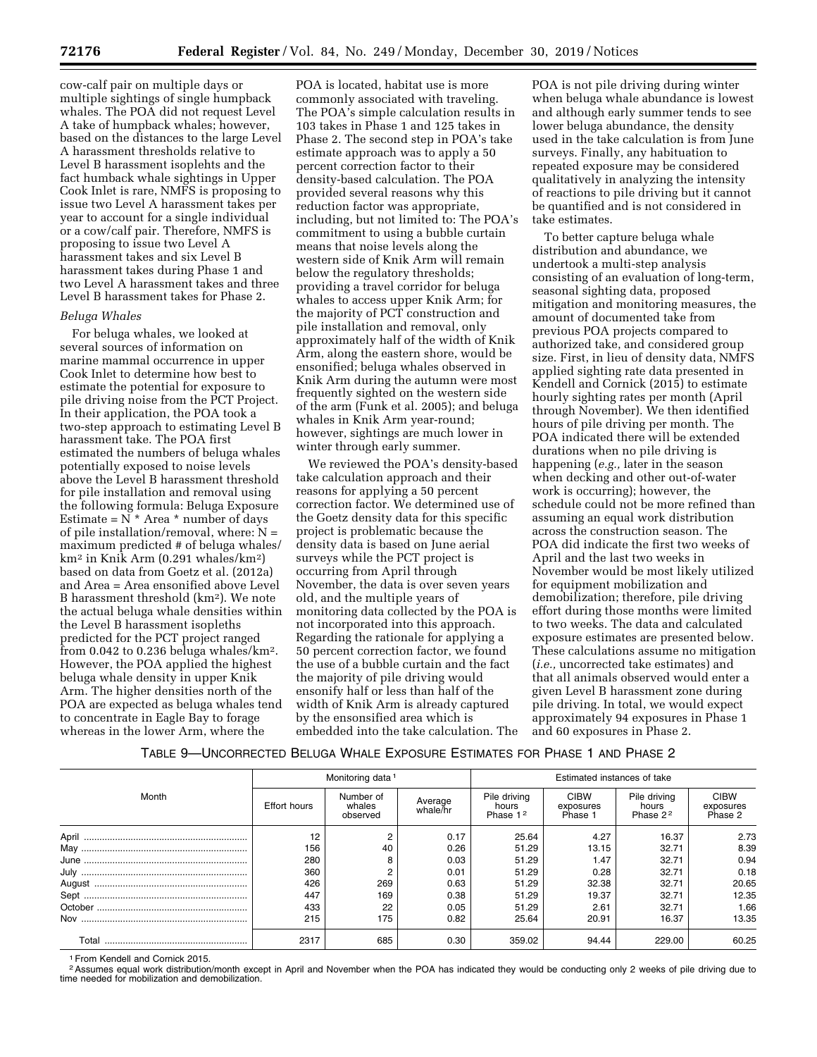cow-calf pair on multiple days or multiple sightings of single humpback whales. The POA did not request Level A take of humpback whales; however, based on the distances to the large Level A harassment thresholds relative to Level B harassment isoplehts and the fact humback whale sightings in Upper Cook Inlet is rare, NMFS is proposing to issue two Level A harassment takes per year to account for a single individual or a cow/calf pair. Therefore, NMFS is proposing to issue two Level A harassment takes and six Level B harassment takes during Phase 1 and two Level A harassment takes and three Level B harassment takes for Phase 2.

### *Beluga Whales*

For beluga whales, we looked at several sources of information on marine mammal occurrence in upper Cook Inlet to determine how best to estimate the potential for exposure to pile driving noise from the PCT Project. In their application, the POA took a two-step approach to estimating Level B harassment take. The POA first estimated the numbers of beluga whales potentially exposed to noise levels above the Level B harassment threshold for pile installation and removal using the following formula: Beluga Exposure Estimate =  $N^*$  Area \* number of days of pile installation/removal, where:  $N =$ maximum predicted # of beluga whales/ km2 in Knik Arm (0.291 whales/km2) based on data from Goetz et al. (2012a) and Area = Area ensonified above Level B harassment threshold (km2). We note the actual beluga whale densities within the Level B harassment isopleths predicted for the PCT project ranged from 0.042 to 0.236 beluga whales/km2. However, the POA applied the highest beluga whale density in upper Knik Arm. The higher densities north of the POA are expected as beluga whales tend to concentrate in Eagle Bay to forage whereas in the lower Arm, where the

POA is located, habitat use is more commonly associated with traveling. The POA's simple calculation results in 103 takes in Phase 1 and 125 takes in Phase 2. The second step in POA's take estimate approach was to apply a 50 percent correction factor to their density-based calculation. The POA provided several reasons why this reduction factor was appropriate, including, but not limited to: The POA's commitment to using a bubble curtain means that noise levels along the western side of Knik Arm will remain below the regulatory thresholds; providing a travel corridor for beluga whales to access upper Knik Arm; for the majority of PCT construction and pile installation and removal, only approximately half of the width of Knik Arm, along the eastern shore, would be ensonified; beluga whales observed in Knik Arm during the autumn were most frequently sighted on the western side of the arm (Funk et al. 2005); and beluga whales in Knik Arm year-round; however, sightings are much lower in winter through early summer.

We reviewed the POA's density-based take calculation approach and their reasons for applying a 50 percent correction factor. We determined use of the Goetz density data for this specific project is problematic because the density data is based on June aerial surveys while the PCT project is occurring from April through November, the data is over seven years old, and the multiple years of monitoring data collected by the POA is not incorporated into this approach. Regarding the rationale for applying a 50 percent correction factor, we found the use of a bubble curtain and the fact the majority of pile driving would ensonify half or less than half of the width of Knik Arm is already captured by the ensonsified area which is embedded into the take calculation. The

POA is not pile driving during winter when beluga whale abundance is lowest and although early summer tends to see lower beluga abundance, the density used in the take calculation is from June surveys. Finally, any habituation to repeated exposure may be considered qualitatively in analyzing the intensity of reactions to pile driving but it cannot be quantified and is not considered in take estimates.

To better capture beluga whale distribution and abundance, we undertook a multi-step analysis consisting of an evaluation of long-term, seasonal sighting data, proposed mitigation and monitoring measures, the amount of documented take from previous POA projects compared to authorized take, and considered group size. First, in lieu of density data, NMFS applied sighting rate data presented in Kendell and Cornick (2015) to estimate hourly sighting rates per month (April through November). We then identified hours of pile driving per month. The POA indicated there will be extended durations when no pile driving is happening (*e.g.,* later in the season when decking and other out-of-water work is occurring); however, the schedule could not be more refined than assuming an equal work distribution across the construction season. The POA did indicate the first two weeks of April and the last two weeks in November would be most likely utilized for equipment mobilization and demobilization; therefore, pile driving effort during those months were limited to two weeks. The data and calculated exposure estimates are presented below. These calculations assume no mitigation (*i.e.,* uncorrected take estimates) and that all animals observed would enter a given Level B harassment zone during pile driving. In total, we would expect approximately 94 exposures in Phase 1 and 60 exposures in Phase 2.

### TABLE 9—UNCORRECTED BELUGA WHALE EXPOSURE ESTIMATES FOR PHASE 1 AND PHASE 2

|       |                     | Monitoring data <sup>1</sup>    |                     | Estimated instances of take                   |                                     |                                               |                                     |
|-------|---------------------|---------------------------------|---------------------|-----------------------------------------------|-------------------------------------|-----------------------------------------------|-------------------------------------|
| Month | <b>Effort hours</b> | Number of<br>whales<br>observed | Average<br>whale/hr | Pile driving<br>hours<br>Phase 1 <sup>2</sup> | <b>CIBW</b><br>exposures<br>Phase 1 | Pile driving<br>hours<br>Phase 2 <sup>2</sup> | <b>CIBW</b><br>exposures<br>Phase 2 |
|       | 12                  |                                 | 0.17                | 25.64                                         | 4.27                                | 16.37                                         | 2.73                                |
|       | 156                 | 40                              | 0.26                | 51.29                                         | 13.15                               | 32.71                                         | 8.39                                |
|       | 280                 |                                 | 0.03                | 51.29                                         | 1.47                                | 32.71                                         | 0.94                                |
|       | 360                 |                                 | 0.01                | 51.29                                         | 0.28                                | 32.71                                         | 0.18                                |
|       | 426                 | 269                             | 0.63                | 51.29                                         | 32.38                               | 32.71                                         | 20.65                               |
|       | 447                 | 169                             | 0.38                | 51.29                                         | 19.37                               | 32.71                                         | 12.35                               |
|       | 433                 | 22                              | 0.05                | 51.29                                         | 2.61                                | 32.71                                         | 1.66                                |
|       | 215                 | 175                             | 0.82                | 25.64                                         | 20.91                               | 16.37                                         | 13.35                               |
|       | 2317                | 685                             | 0.30                | 359.02                                        | 94.44                               | 229.00                                        | 60.25                               |

1From Kendell and Cornick 2015.

<sup>2</sup> Assumes equal work distribution/month except in April and November when the POA has indicated they would be conducting only 2 weeks of pile driving due to time needed for mobilization and demobilization.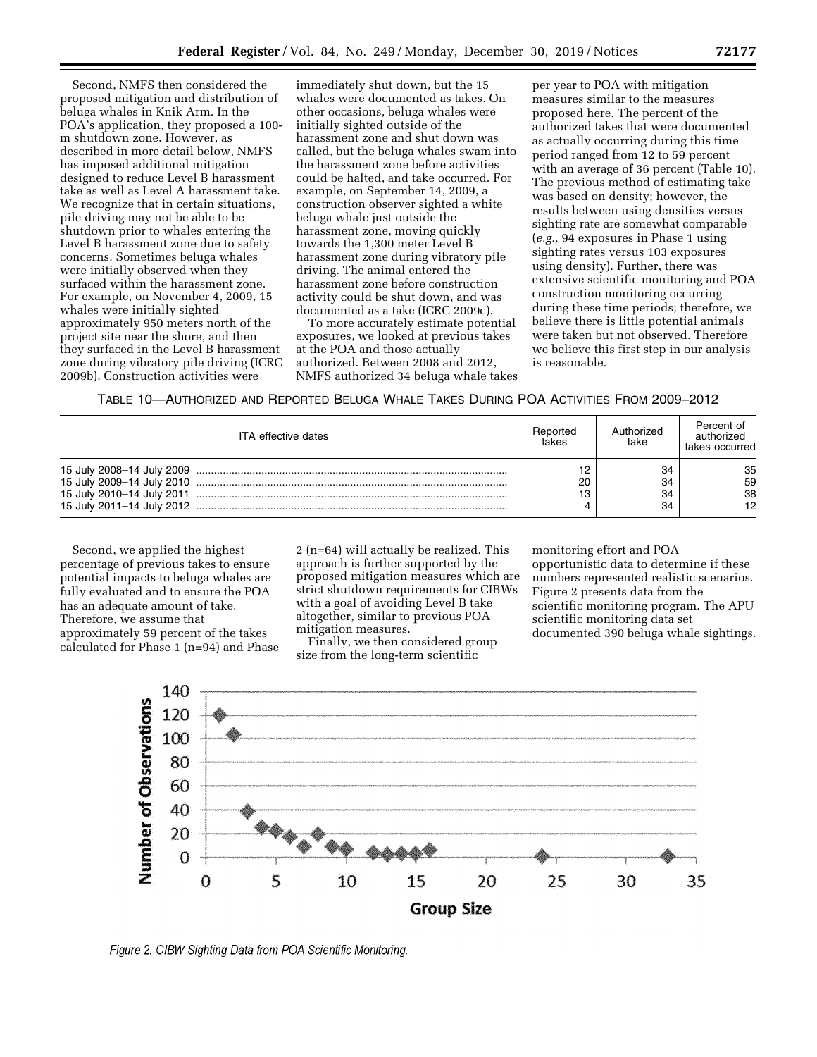Second, NMFS then considered the proposed mitigation and distribution of beluga whales in Knik Arm. In the POA's application, they proposed a 100 m shutdown zone. However, as described in more detail below, NMFS has imposed additional mitigation designed to reduce Level B harassment take as well as Level A harassment take. We recognize that in certain situations, pile driving may not be able to be shutdown prior to whales entering the Level B harassment zone due to safety concerns. Sometimes beluga whales were initially observed when they surfaced within the harassment zone. For example, on November 4, 2009, 15 whales were initially sighted approximately 950 meters north of the project site near the shore, and then they surfaced in the Level B harassment zone during vibratory pile driving (ICRC 2009b). Construction activities were

immediately shut down, but the 15 whales were documented as takes. On other occasions, beluga whales were initially sighted outside of the harassment zone and shut down was called, but the beluga whales swam into the harassment zone before activities could be halted, and take occurred. For example, on September 14, 2009, a construction observer sighted a white beluga whale just outside the harassment zone, moving quickly towards the 1,300 meter Level B harassment zone during vibratory pile driving. The animal entered the harassment zone before construction activity could be shut down, and was documented as a take (ICRC 2009c).

To more accurately estimate potential exposures, we looked at previous takes at the POA and those actually authorized. Between 2008 and 2012, NMFS authorized 34 beluga whale takes

per year to POA with mitigation measures similar to the measures proposed here. The percent of the authorized takes that were documented as actually occurring during this time period ranged from 12 to 59 percent with an average of 36 percent (Table 10). The previous method of estimating take was based on density; however, the results between using densities versus sighting rate are somewhat comparable (*e.g.,* 94 exposures in Phase 1 using sighting rates versus 103 exposures using density). Further, there was extensive scientific monitoring and POA construction monitoring occurring during these time periods; therefore, we believe there is little potential animals were taken but not observed. Therefore we believe this first step in our analysis is reasonable.

TABLE 10—AUTHORIZED AND REPORTED BELUGA WHALE TAKES DURING POA ACTIVITIES FROM 2009–2012

| <b>ITA</b> effective dates | Reported<br>takes | Authorized<br>take   | Percent of<br>authorized<br>takes occurred |
|----------------------------|-------------------|----------------------|--------------------------------------------|
|                            | 12<br>20<br>13    | 34<br>34<br>34<br>34 | 35<br>59<br>38<br>12                       |

Second, we applied the highest percentage of previous takes to ensure potential impacts to beluga whales are fully evaluated and to ensure the POA has an adequate amount of take. Therefore, we assume that approximately 59 percent of the takes calculated for Phase 1 (n=94) and Phase 2 (n=64) will actually be realized. This approach is further supported by the proposed mitigation measures which are strict shutdown requirements for CIBWs with a goal of avoiding Level B take altogether, similar to previous POA mitigation measures.

Finally, we then considered group size from the long-term scientific

monitoring effort and POA opportunistic data to determine if these numbers represented realistic scenarios. Figure 2 presents data from the scientific monitoring program. The APU scientific monitoring data set documented 390 beluga whale sightings.



Figure 2. CIBW Sighting Data from POA Scientific Monitoring.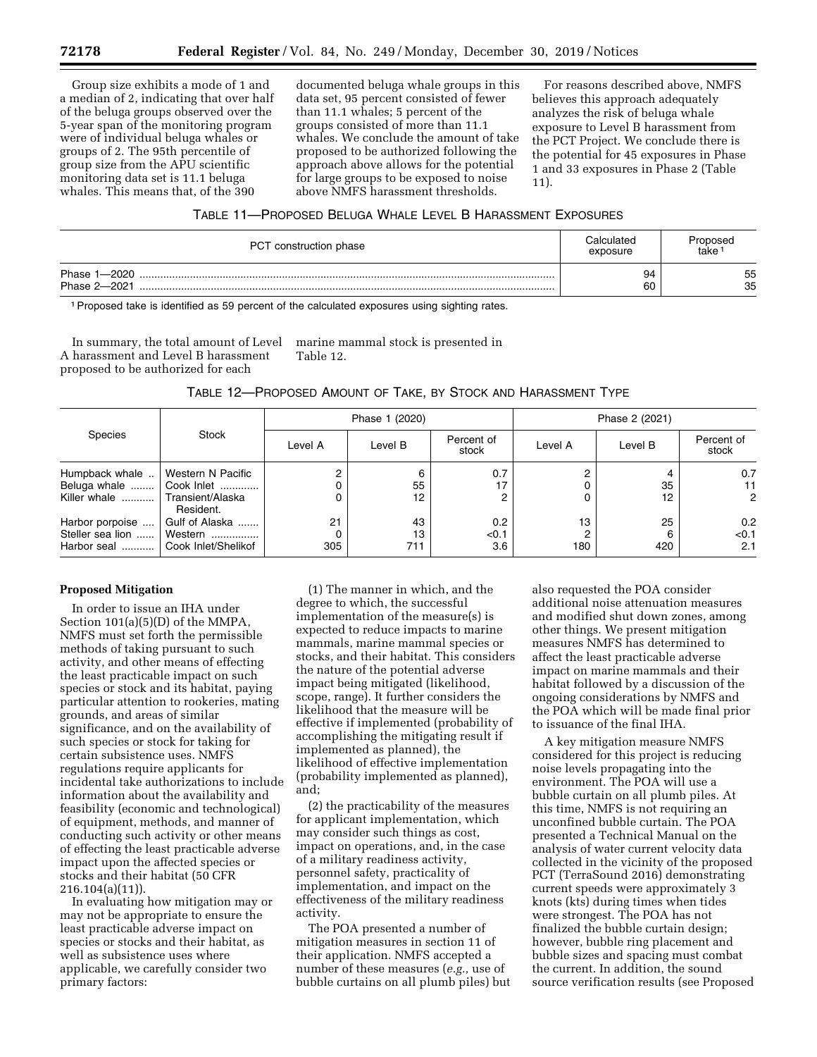Group size exhibits a mode of 1 and a median of 2, indicating that over half of the beluga groups observed over the 5-year span of the monitoring program were of individual beluga whales or groups of 2. The 95th percentile of group size from the APU scientific monitoring data set is 11.1 beluga whales. This means that, of the 390

documented beluga whale groups in this data set, 95 percent consisted of fewer than 11.1 whales; 5 percent of the groups consisted of more than 11.1 whales. We conclude the amount of take proposed to be authorized following the approach above allows for the potential for large groups to be exposed to noise above NMFS harassment thresholds.

For reasons described above, NMFS believes this approach adequately analyzes the risk of beluga whale exposure to Level B harassment from the PCT Project. We conclude there is the potential for 45 exposures in Phase 1 and 33 exposures in Phase 2 (Table 11).

## TABLE 11—PROPOSED BELUGA WHALE LEVEL B HARASSMENT EXPOSURES

| PCT construction phase       | Calculated<br>exposure | Proposed<br>take |
|------------------------------|------------------------|------------------|
| Phase 1-2020<br>Phase 2-2021 | 94<br>60               | 55<br>35         |

1Proposed take is identified as 59 percent of the calculated exposures using sighting rates.

In summary, the total amount of Level A harassment and Level B harassment proposed to be authorized for each

marine mammal stock is presented in Table 12.

### TABLE 12—PROPOSED AMOUNT OF TAKE, BY STOCK AND HARASSMENT TYPE

| Species                                            | Stock                                                              |           | Phase 1 (2020)  |                     | Phase 2 (2021) |           |                             |  |
|----------------------------------------------------|--------------------------------------------------------------------|-----------|-----------------|---------------------|----------------|-----------|-----------------------------|--|
|                                                    |                                                                    | Level A   | Level B         | Percent of<br>stock | Level A        | Level B   | Percent of<br>stock         |  |
| Humpback whale<br>Beluga whale<br>Killer whale     | Western N Pacific<br>Cook Inlet<br>  Transient/Alaska<br>Resident. |           | 6<br>55<br>12   | 0.7                 | 2              | 35<br>12  | 0.7<br>11<br>$\overline{2}$ |  |
| Harbor porpoise<br>Steller sea lion<br>Harbor seal | Gulf of Alaska<br>Western<br>Cook Inlet/Shelikof                   | 21<br>305 | 43<br>13<br>711 | 0.2<br>< 0.1<br>3.6 | 13<br>2<br>180 | 25<br>420 | 0.2<br>< 0.1<br>2.1         |  |

### **Proposed Mitigation**

In order to issue an IHA under Section 101(a)(5)(D) of the MMPA, NMFS must set forth the permissible methods of taking pursuant to such activity, and other means of effecting the least practicable impact on such species or stock and its habitat, paying particular attention to rookeries, mating grounds, and areas of similar significance, and on the availability of such species or stock for taking for certain subsistence uses. NMFS regulations require applicants for incidental take authorizations to include information about the availability and feasibility (economic and technological) of equipment, methods, and manner of conducting such activity or other means of effecting the least practicable adverse impact upon the affected species or stocks and their habitat (50 CFR 216.104(a)(11)).

In evaluating how mitigation may or may not be appropriate to ensure the least practicable adverse impact on species or stocks and their habitat, as well as subsistence uses where applicable, we carefully consider two primary factors:

(1) The manner in which, and the degree to which, the successful implementation of the measure(s) is expected to reduce impacts to marine mammals, marine mammal species or stocks, and their habitat. This considers the nature of the potential adverse impact being mitigated (likelihood, scope, range). It further considers the likelihood that the measure will be effective if implemented (probability of accomplishing the mitigating result if implemented as planned), the likelihood of effective implementation (probability implemented as planned), and;

(2) the practicability of the measures for applicant implementation, which may consider such things as cost, impact on operations, and, in the case of a military readiness activity, personnel safety, practicality of implementation, and impact on the effectiveness of the military readiness activity.

The POA presented a number of mitigation measures in section 11 of their application. NMFS accepted a number of these measures (*e.g.,* use of bubble curtains on all plumb piles) but also requested the POA consider additional noise attenuation measures and modified shut down zones, among other things. We present mitigation measures NMFS has determined to affect the least practicable adverse impact on marine mammals and their habitat followed by a discussion of the ongoing considerations by NMFS and the POA which will be made final prior to issuance of the final IHA.

A key mitigation measure NMFS considered for this project is reducing noise levels propagating into the environment. The POA will use a bubble curtain on all plumb piles. At this time, NMFS is not requiring an unconfined bubble curtain. The POA presented a Technical Manual on the analysis of water current velocity data collected in the vicinity of the proposed PCT (TerraSound 2016) demonstrating current speeds were approximately 3 knots (kts) during times when tides were strongest. The POA has not finalized the bubble curtain design; however, bubble ring placement and bubble sizes and spacing must combat the current. In addition, the sound source verification results (see Proposed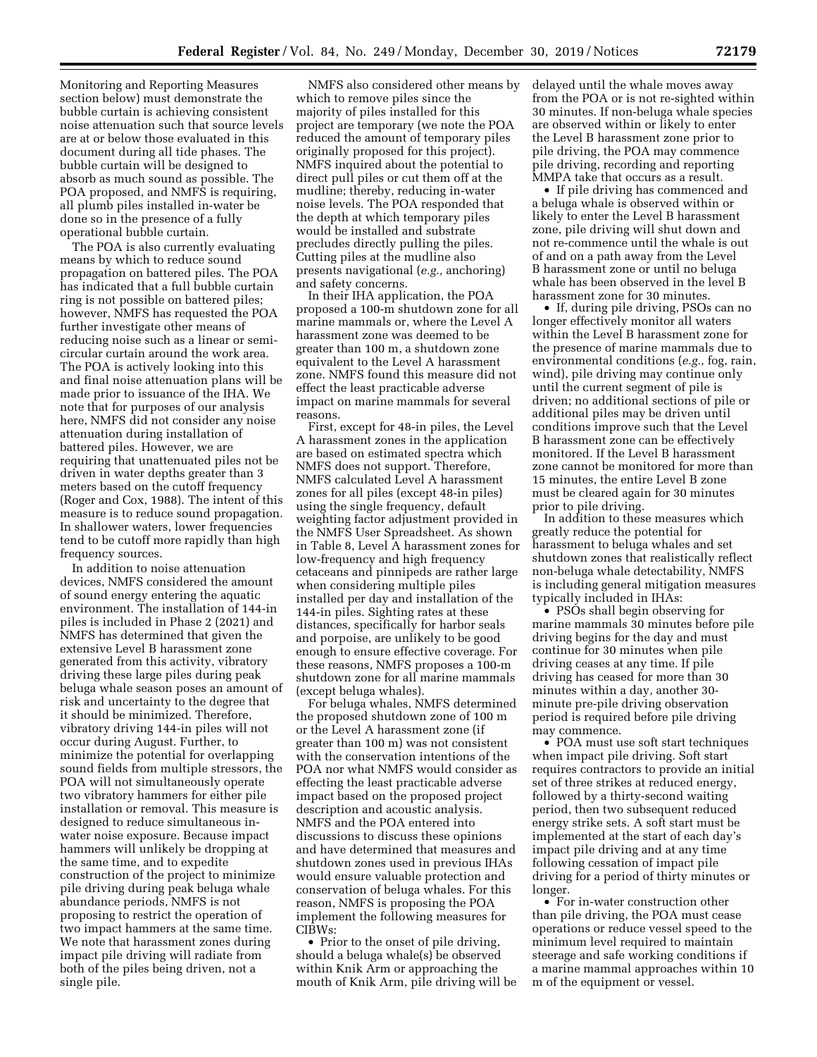Monitoring and Reporting Measures section below) must demonstrate the bubble curtain is achieving consistent noise attenuation such that source levels are at or below those evaluated in this document during all tide phases. The bubble curtain will be designed to absorb as much sound as possible. The POA proposed, and NMFS is requiring, all plumb piles installed in-water be done so in the presence of a fully operational bubble curtain.

The POA is also currently evaluating means by which to reduce sound propagation on battered piles. The POA has indicated that a full bubble curtain ring is not possible on battered piles; however, NMFS has requested the POA further investigate other means of reducing noise such as a linear or semicircular curtain around the work area. The POA is actively looking into this and final noise attenuation plans will be made prior to issuance of the IHA. We note that for purposes of our analysis here, NMFS did not consider any noise attenuation during installation of battered piles. However, we are requiring that unattenuated piles not be driven in water depths greater than 3 meters based on the cutoff frequency (Roger and Cox, 1988). The intent of this measure is to reduce sound propagation. In shallower waters, lower frequencies tend to be cutoff more rapidly than high frequency sources.

In addition to noise attenuation devices, NMFS considered the amount of sound energy entering the aquatic environment. The installation of 144-in piles is included in Phase 2 (2021) and NMFS has determined that given the extensive Level B harassment zone generated from this activity, vibratory driving these large piles during peak beluga whale season poses an amount of risk and uncertainty to the degree that it should be minimized. Therefore, vibratory driving 144-in piles will not occur during August. Further, to minimize the potential for overlapping sound fields from multiple stressors, the POA will not simultaneously operate two vibratory hammers for either pile installation or removal. This measure is designed to reduce simultaneous inwater noise exposure. Because impact hammers will unlikely be dropping at the same time, and to expedite construction of the project to minimize pile driving during peak beluga whale abundance periods, NMFS is not proposing to restrict the operation of two impact hammers at the same time. We note that harassment zones during impact pile driving will radiate from both of the piles being driven, not a single pile.

NMFS also considered other means by which to remove piles since the majority of piles installed for this project are temporary (we note the POA reduced the amount of temporary piles originally proposed for this project). NMFS inquired about the potential to direct pull piles or cut them off at the mudline; thereby, reducing in-water noise levels. The POA responded that the depth at which temporary piles would be installed and substrate precludes directly pulling the piles. Cutting piles at the mudline also presents navigational (*e.g.,* anchoring) and safety concerns.

In their IHA application, the POA proposed a 100-m shutdown zone for all marine mammals or, where the Level A harassment zone was deemed to be greater than 100 m, a shutdown zone equivalent to the Level A harassment zone. NMFS found this measure did not effect the least practicable adverse impact on marine mammals for several reasons.

First, except for 48-in piles, the Level A harassment zones in the application are based on estimated spectra which NMFS does not support. Therefore, NMFS calculated Level A harassment zones for all piles (except 48-in piles) using the single frequency, default weighting factor adjustment provided in the NMFS User Spreadsheet. As shown in Table 8, Level A harassment zones for low-frequency and high frequency cetaceans and pinnipeds are rather large when considering multiple piles installed per day and installation of the 144-in piles. Sighting rates at these distances, specifically for harbor seals and porpoise, are unlikely to be good enough to ensure effective coverage. For these reasons, NMFS proposes a 100-m shutdown zone for all marine mammals (except beluga whales).

For beluga whales, NMFS determined the proposed shutdown zone of 100 m or the Level A harassment zone (if greater than 100 m) was not consistent with the conservation intentions of the POA nor what NMFS would consider as effecting the least practicable adverse impact based on the proposed project description and acoustic analysis. NMFS and the POA entered into discussions to discuss these opinions and have determined that measures and shutdown zones used in previous IHAs would ensure valuable protection and conservation of beluga whales. For this reason, NMFS is proposing the POA implement the following measures for CIBWs:

• Prior to the onset of pile driving, should a beluga whale(s) be observed within Knik Arm or approaching the mouth of Knik Arm, pile driving will be delayed until the whale moves away from the POA or is not re-sighted within 30 minutes. If non-beluga whale species are observed within or likely to enter the Level B harassment zone prior to pile driving, the POA may commence pile driving, recording and reporting MMPA take that occurs as a result.

• If pile driving has commenced and a beluga whale is observed within or likely to enter the Level B harassment zone, pile driving will shut down and not re-commence until the whale is out of and on a path away from the Level B harassment zone or until no beluga whale has been observed in the level B harassment zone for 30 minutes.

• If, during pile driving, PSOs can no longer effectively monitor all waters within the Level B harassment zone for the presence of marine mammals due to environmental conditions (*e.g.,* fog, rain, wind), pile driving may continue only until the current segment of pile is driven; no additional sections of pile or additional piles may be driven until conditions improve such that the Level B harassment zone can be effectively monitored. If the Level B harassment zone cannot be monitored for more than 15 minutes, the entire Level B zone must be cleared again for 30 minutes prior to pile driving.

In addition to these measures which greatly reduce the potential for harassment to beluga whales and set shutdown zones that realistically reflect non-beluga whale detectability, NMFS is including general mitigation measures typically included in IHAs:

• PSOs shall begin observing for marine mammals 30 minutes before pile driving begins for the day and must continue for 30 minutes when pile driving ceases at any time. If pile driving has ceased for more than 30 minutes within a day, another 30 minute pre-pile driving observation period is required before pile driving may commence.

• POA must use soft start techniques when impact pile driving. Soft start requires contractors to provide an initial set of three strikes at reduced energy, followed by a thirty-second waiting period, then two subsequent reduced energy strike sets. A soft start must be implemented at the start of each day's impact pile driving and at any time following cessation of impact pile driving for a period of thirty minutes or longer.

• For in-water construction other than pile driving, the POA must cease operations or reduce vessel speed to the minimum level required to maintain steerage and safe working conditions if a marine mammal approaches within 10 m of the equipment or vessel.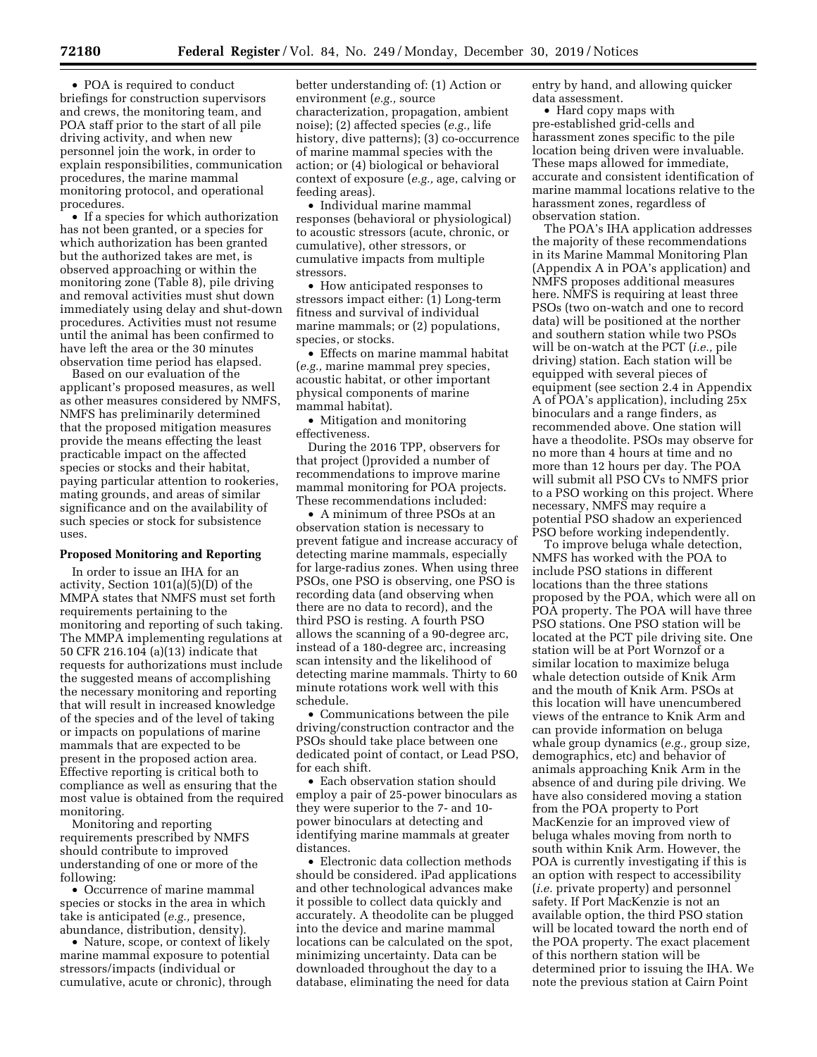• POA is required to conduct briefings for construction supervisors and crews, the monitoring team, and POA staff prior to the start of all pile driving activity, and when new personnel join the work, in order to explain responsibilities, communication procedures, the marine mammal monitoring protocol, and operational procedures.

• If a species for which authorization has not been granted, or a species for which authorization has been granted but the authorized takes are met, is observed approaching or within the monitoring zone (Table 8), pile driving and removal activities must shut down immediately using delay and shut-down procedures. Activities must not resume until the animal has been confirmed to have left the area or the 30 minutes observation time period has elapsed.

Based on our evaluation of the applicant's proposed measures, as well as other measures considered by NMFS, NMFS has preliminarily determined that the proposed mitigation measures provide the means effecting the least practicable impact on the affected species or stocks and their habitat, paying particular attention to rookeries, mating grounds, and areas of similar significance and on the availability of such species or stock for subsistence uses.

### **Proposed Monitoring and Reporting**

In order to issue an IHA for an activity, Section 101(a)(5)(D) of the MMPA states that NMFS must set forth requirements pertaining to the monitoring and reporting of such taking. The MMPA implementing regulations at 50 CFR 216.104 (a)(13) indicate that requests for authorizations must include the suggested means of accomplishing the necessary monitoring and reporting that will result in increased knowledge of the species and of the level of taking or impacts on populations of marine mammals that are expected to be present in the proposed action area. Effective reporting is critical both to compliance as well as ensuring that the most value is obtained from the required monitoring.

Monitoring and reporting requirements prescribed by NMFS should contribute to improved understanding of one or more of the following:

• Occurrence of marine mammal species or stocks in the area in which take is anticipated (*e.g.,* presence, abundance, distribution, density).

• Nature, scope, or context of likely marine mammal exposure to potential stressors/impacts (individual or cumulative, acute or chronic), through

better understanding of: (1) Action or environment (*e.g.,* source characterization, propagation, ambient noise); (2) affected species (*e.g.,* life history, dive patterns); (3) co-occurrence of marine mammal species with the action; or (4) biological or behavioral context of exposure (*e.g.,* age, calving or feeding areas).

• Individual marine mammal responses (behavioral or physiological) to acoustic stressors (acute, chronic, or cumulative), other stressors, or cumulative impacts from multiple stressors.

• How anticipated responses to stressors impact either: (1) Long-term fitness and survival of individual marine mammals; or (2) populations, species, or stocks.

• Effects on marine mammal habitat (*e.g.,* marine mammal prey species, acoustic habitat, or other important physical components of marine mammal habitat).

• Mitigation and monitoring effectiveness.

During the 2016 TPP, observers for that project ()provided a number of recommendations to improve marine mammal monitoring for POA projects. These recommendations included:

• A minimum of three PSOs at an observation station is necessary to prevent fatigue and increase accuracy of detecting marine mammals, especially for large-radius zones. When using three PSOs, one PSO is observing, one PSO is recording data (and observing when there are no data to record), and the third PSO is resting. A fourth PSO allows the scanning of a 90-degree arc, instead of a 180-degree arc, increasing scan intensity and the likelihood of detecting marine mammals. Thirty to 60 minute rotations work well with this schedule.

• Communications between the pile driving/construction contractor and the PSOs should take place between one dedicated point of contact, or Lead PSO, for each shift.

• Each observation station should employ a pair of 25-power binoculars as they were superior to the 7- and 10 power binoculars at detecting and identifying marine mammals at greater distances.

• Electronic data collection methods should be considered. iPad applications and other technological advances make it possible to collect data quickly and accurately. A theodolite can be plugged into the device and marine mammal locations can be calculated on the spot, minimizing uncertainty. Data can be downloaded throughout the day to a database, eliminating the need for data

entry by hand, and allowing quicker data assessment.

• Hard copy maps with pre-established grid-cells and harassment zones specific to the pile location being driven were invaluable. These maps allowed for immediate, accurate and consistent identification of marine mammal locations relative to the harassment zones, regardless of observation station.

The POA's IHA application addresses the majority of these recommendations in its Marine Mammal Monitoring Plan (Appendix A in POA's application) and NMFS proposes additional measures here. NMFS is requiring at least three PSOs (two on-watch and one to record data) will be positioned at the norther and southern station while two PSOs will be on-watch at the PCT (*i.e.,* pile driving) station. Each station will be equipped with several pieces of equipment (see section 2.4 in Appendix A of POA's application), including 25x binoculars and a range finders, as recommended above. One station will have a theodolite. PSOs may observe for no more than 4 hours at time and no more than 12 hours per day. The POA will submit all PSO CVs to NMFS prior to a PSO working on this project. Where necessary, NMFS may require a potential PSO shadow an experienced PSO before working independently.

To improve beluga whale detection, NMFS has worked with the POA to include PSO stations in different locations than the three stations proposed by the POA, which were all on POA property. The POA will have three PSO stations. One PSO station will be located at the PCT pile driving site. One station will be at Port Wornzof or a similar location to maximize beluga whale detection outside of Knik Arm and the mouth of Knik Arm. PSOs at this location will have unencumbered views of the entrance to Knik Arm and can provide information on beluga whale group dynamics (*e.g.,* group size, demographics, etc) and behavior of animals approaching Knik Arm in the absence of and during pile driving. We have also considered moving a station from the POA property to Port MacKenzie for an improved view of beluga whales moving from north to south within Knik Arm. However, the POA is currently investigating if this is an option with respect to accessibility (*i.e.* private property) and personnel safety. If Port MacKenzie is not an available option, the third PSO station will be located toward the north end of the POA property. The exact placement of this northern station will be determined prior to issuing the IHA. We note the previous station at Cairn Point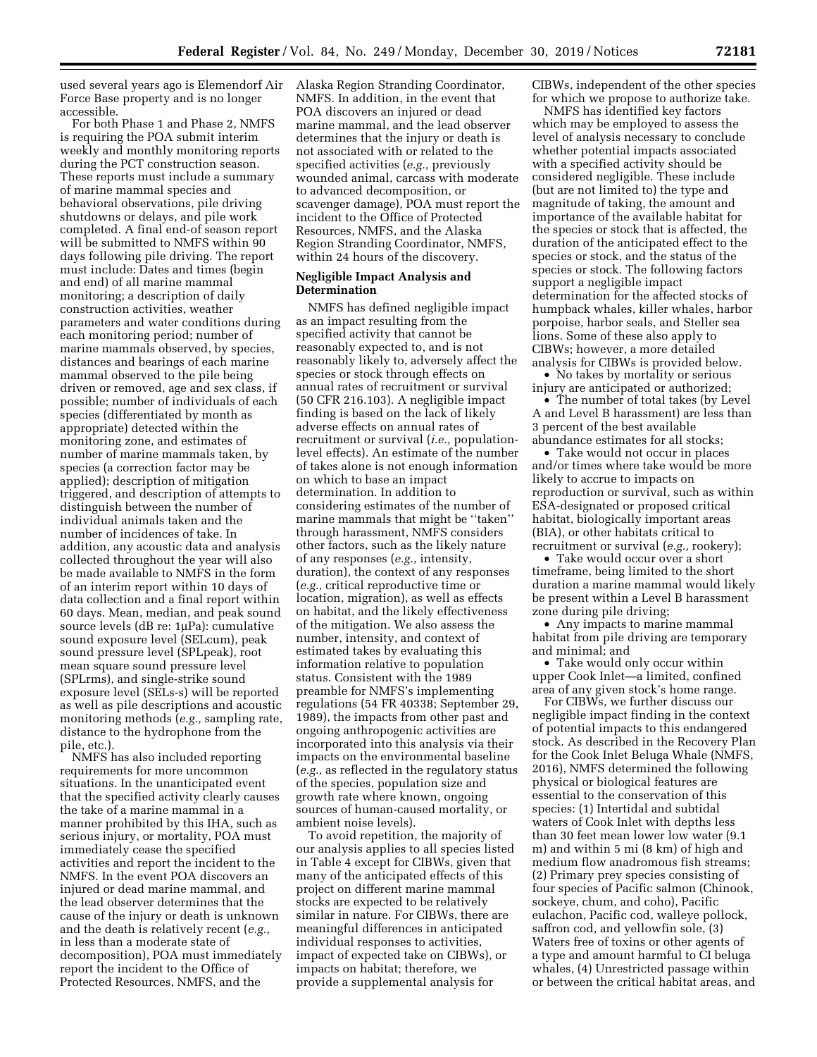used several years ago is Elemendorf Air Force Base property and is no longer accessible.

For both Phase 1 and Phase 2, NMFS is requiring the POA submit interim weekly and monthly monitoring reports during the PCT construction season. These reports must include a summary of marine mammal species and behavioral observations, pile driving shutdowns or delays, and pile work completed. A final end-of season report will be submitted to NMFS within 90 days following pile driving. The report must include: Dates and times (begin and end) of all marine mammal monitoring; a description of daily construction activities, weather parameters and water conditions during each monitoring period; number of marine mammals observed, by species, distances and bearings of each marine mammal observed to the pile being driven or removed, age and sex class, if possible; number of individuals of each species (differentiated by month as appropriate) detected within the monitoring zone, and estimates of number of marine mammals taken, by species (a correction factor may be applied); description of mitigation triggered, and description of attempts to distinguish between the number of individual animals taken and the number of incidences of take. In addition, any acoustic data and analysis collected throughout the year will also be made available to NMFS in the form of an interim report within 10 days of data collection and a final report within 60 days. Mean, median, and peak sound source levels (dB re: 1µPa): cumulative sound exposure level (SELcum), peak sound pressure level (SPLpeak), root mean square sound pressure level (SPLrms), and single-strike sound exposure level (SELs-s) will be reported as well as pile descriptions and acoustic monitoring methods (*e.g.,* sampling rate, distance to the hydrophone from the pile, etc.).

NMFS has also included reporting requirements for more uncommon situations. In the unanticipated event that the specified activity clearly causes the take of a marine mammal in a manner prohibited by this IHA, such as serious injury, or mortality, POA must immediately cease the specified activities and report the incident to the NMFS. In the event POA discovers an injured or dead marine mammal, and the lead observer determines that the cause of the injury or death is unknown and the death is relatively recent (*e.g.,*  in less than a moderate state of decomposition), POA must immediately report the incident to the Office of Protected Resources, NMFS, and the

Alaska Region Stranding Coordinator, NMFS. In addition, in the event that POA discovers an injured or dead marine mammal, and the lead observer determines that the injury or death is not associated with or related to the specified activities (*e.g.,* previously wounded animal, carcass with moderate to advanced decomposition, or scavenger damage), POA must report the incident to the Office of Protected Resources, NMFS, and the Alaska Region Stranding Coordinator, NMFS, within 24 hours of the discovery.

### **Negligible Impact Analysis and Determination**

NMFS has defined negligible impact as an impact resulting from the specified activity that cannot be reasonably expected to, and is not reasonably likely to, adversely affect the species or stock through effects on annual rates of recruitment or survival (50 CFR 216.103). A negligible impact finding is based on the lack of likely adverse effects on annual rates of recruitment or survival (*i.e.,* populationlevel effects). An estimate of the number of takes alone is not enough information on which to base an impact determination. In addition to considering estimates of the number of marine mammals that might be ''taken'' through harassment, NMFS considers other factors, such as the likely nature of any responses (*e.g.,* intensity, duration), the context of any responses (*e.g.,* critical reproductive time or location, migration), as well as effects on habitat, and the likely effectiveness of the mitigation. We also assess the number, intensity, and context of estimated takes by evaluating this information relative to population status. Consistent with the 1989 preamble for NMFS's implementing regulations (54 FR 40338; September 29, 1989), the impacts from other past and ongoing anthropogenic activities are incorporated into this analysis via their impacts on the environmental baseline (*e.g.,* as reflected in the regulatory status of the species, population size and growth rate where known, ongoing sources of human-caused mortality, or ambient noise levels).

To avoid repetition, the majority of our analysis applies to all species listed in Table 4 except for CIBWs, given that many of the anticipated effects of this project on different marine mammal stocks are expected to be relatively similar in nature. For CIBWs, there are meaningful differences in anticipated individual responses to activities, impact of expected take on CIBWs), or impacts on habitat; therefore, we provide a supplemental analysis for

CIBWs, independent of the other species for which we propose to authorize take.

NMFS has identified key factors which may be employed to assess the level of analysis necessary to conclude whether potential impacts associated with a specified activity should be considered negligible. These include (but are not limited to) the type and magnitude of taking, the amount and importance of the available habitat for the species or stock that is affected, the duration of the anticipated effect to the species or stock, and the status of the species or stock. The following factors support a negligible impact determination for the affected stocks of humpback whales, killer whales, harbor porpoise, harbor seals, and Steller sea lions. Some of these also apply to CIBWs; however, a more detailed analysis for CIBWs is provided below.

• No takes by mortality or serious injury are anticipated or authorized;

• The number of total takes (by Level A and Level B harassment) are less than 3 percent of the best available abundance estimates for all stocks;

• Take would not occur in places and/or times where take would be more likely to accrue to impacts on reproduction or survival, such as within ESA-designated or proposed critical habitat, biologically important areas (BIA), or other habitats critical to recruitment or survival (*e.g.,* rookery);

• Take would occur over a short timeframe, being limited to the short duration a marine mammal would likely be present within a Level B harassment zone during pile driving;

• Any impacts to marine mammal habitat from pile driving are temporary and minimal; and

• Take would only occur within upper Cook Inlet—a limited, confined area of any given stock's home range.

For CIBWs, we further discuss our negligible impact finding in the context of potential impacts to this endangered stock. As described in the Recovery Plan for the Cook Inlet Beluga Whale (NMFS, 2016), NMFS determined the following physical or biological features are essential to the conservation of this species: (1) Intertidal and subtidal waters of Cook Inlet with depths less than 30 feet mean lower low water (9.1 m) and within 5 mi (8 km) of high and medium flow anadromous fish streams; (2) Primary prey species consisting of four species of Pacific salmon (Chinook, sockeye, chum, and coho), Pacific eulachon, Pacific cod, walleye pollock, saffron cod, and yellowfin sole, (3) Waters free of toxins or other agents of a type and amount harmful to CI beluga whales, (4) Unrestricted passage within or between the critical habitat areas, and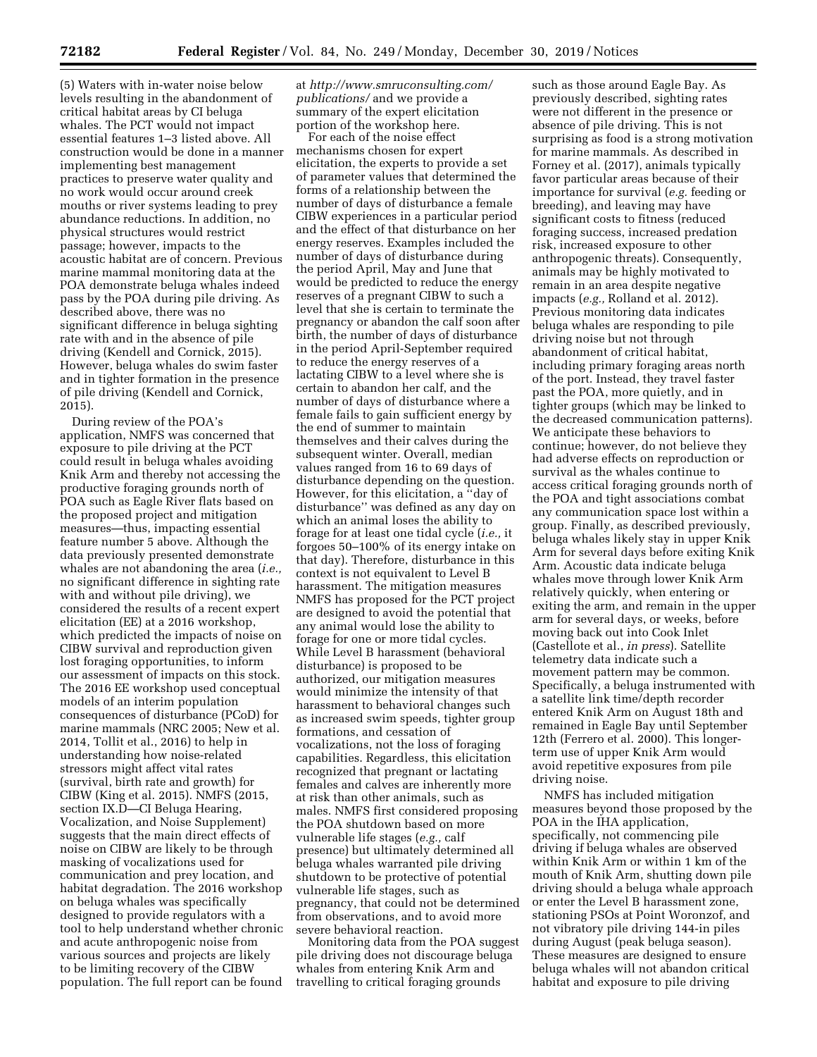(5) Waters with in-water noise below levels resulting in the abandonment of critical habitat areas by CI beluga whales. The PCT would not impact essential features 1–3 listed above. All construction would be done in a manner implementing best management practices to preserve water quality and no work would occur around creek mouths or river systems leading to prey abundance reductions. In addition, no physical structures would restrict passage; however, impacts to the acoustic habitat are of concern. Previous marine mammal monitoring data at the POA demonstrate beluga whales indeed pass by the POA during pile driving. As described above, there was no significant difference in beluga sighting rate with and in the absence of pile driving (Kendell and Cornick, 2015). However, beluga whales do swim faster and in tighter formation in the presence of pile driving (Kendell and Cornick, 2015).

During review of the POA's application, NMFS was concerned that exposure to pile driving at the PCT could result in beluga whales avoiding Knik Arm and thereby not accessing the productive foraging grounds north of POA such as Eagle River flats based on the proposed project and mitigation measures—thus, impacting essential feature number 5 above. Although the data previously presented demonstrate whales are not abandoning the area (*i.e.,*  no significant difference in sighting rate with and without pile driving), we considered the results of a recent expert elicitation (EE) at a 2016 workshop, which predicted the impacts of noise on CIBW survival and reproduction given lost foraging opportunities, to inform our assessment of impacts on this stock. The 2016 EE workshop used conceptual models of an interim population consequences of disturbance (PCoD) for marine mammals (NRC 2005; New et al. 2014, Tollit et al., 2016) to help in understanding how noise-related stressors might affect vital rates (survival, birth rate and growth) for CIBW (King et al. 2015). NMFS (2015, section IX.D—CI Beluga Hearing, Vocalization, and Noise Supplement) suggests that the main direct effects of noise on CIBW are likely to be through masking of vocalizations used for communication and prey location, and habitat degradation. The 2016 workshop on beluga whales was specifically designed to provide regulators with a tool to help understand whether chronic and acute anthropogenic noise from various sources and projects are likely to be limiting recovery of the CIBW population. The full report can be found

at *[http://www.smruconsulting.com/](http://www.smruconsulting.com/publications/) [publications/](http://www.smruconsulting.com/publications/)* and we provide a summary of the expert elicitation portion of the workshop here.

For each of the noise effect mechanisms chosen for expert elicitation, the experts to provide a set of parameter values that determined the forms of a relationship between the number of days of disturbance a female CIBW experiences in a particular period and the effect of that disturbance on her energy reserves. Examples included the number of days of disturbance during the period April, May and June that would be predicted to reduce the energy reserves of a pregnant CIBW to such a level that she is certain to terminate the pregnancy or abandon the calf soon after birth, the number of days of disturbance in the period April-September required to reduce the energy reserves of a lactating CIBW to a level where she is certain to abandon her calf, and the number of days of disturbance where a female fails to gain sufficient energy by the end of summer to maintain themselves and their calves during the subsequent winter. Overall, median values ranged from 16 to 69 days of disturbance depending on the question. However, for this elicitation, a ''day of disturbance'' was defined as any day on which an animal loses the ability to forage for at least one tidal cycle (*i.e.,* it forgoes 50–100% of its energy intake on that day). Therefore, disturbance in this context is not equivalent to Level B harassment. The mitigation measures NMFS has proposed for the PCT project are designed to avoid the potential that any animal would lose the ability to forage for one or more tidal cycles. While Level B harassment (behavioral disturbance) is proposed to be authorized, our mitigation measures would minimize the intensity of that harassment to behavioral changes such as increased swim speeds, tighter group formations, and cessation of vocalizations, not the loss of foraging capabilities. Regardless, this elicitation recognized that pregnant or lactating females and calves are inherently more at risk than other animals, such as males. NMFS first considered proposing the POA shutdown based on more vulnerable life stages (*e.g.,* calf presence) but ultimately determined all beluga whales warranted pile driving shutdown to be protective of potential vulnerable life stages, such as pregnancy, that could not be determined from observations, and to avoid more severe behavioral reaction.

Monitoring data from the POA suggest pile driving does not discourage beluga whales from entering Knik Arm and travelling to critical foraging grounds

such as those around Eagle Bay. As previously described, sighting rates were not different in the presence or absence of pile driving. This is not surprising as food is a strong motivation for marine mammals. As described in Forney et al. (2017), animals typically favor particular areas because of their importance for survival (*e.g.* feeding or breeding), and leaving may have significant costs to fitness (reduced foraging success, increased predation risk, increased exposure to other anthropogenic threats). Consequently, animals may be highly motivated to remain in an area despite negative impacts (*e.g.,* Rolland et al. 2012). Previous monitoring data indicates beluga whales are responding to pile driving noise but not through abandonment of critical habitat, including primary foraging areas north of the port. Instead, they travel faster past the POA, more quietly, and in tighter groups (which may be linked to the decreased communication patterns). We anticipate these behaviors to continue; however, do not believe they had adverse effects on reproduction or survival as the whales continue to access critical foraging grounds north of the POA and tight associations combat any communication space lost within a group. Finally, as described previously, beluga whales likely stay in upper Knik Arm for several days before exiting Knik Arm. Acoustic data indicate beluga whales move through lower Knik Arm relatively quickly, when entering or exiting the arm, and remain in the upper arm for several days, or weeks, before moving back out into Cook Inlet (Castellote et al., *in press*). Satellite telemetry data indicate such a movement pattern may be common. Specifically, a beluga instrumented with a satellite link time/depth recorder entered Knik Arm on August 18th and remained in Eagle Bay until September 12th (Ferrero et al. 2000). This longerterm use of upper Knik Arm would avoid repetitive exposures from pile driving noise.

NMFS has included mitigation measures beyond those proposed by the POA in the IHA application, specifically, not commencing pile driving if beluga whales are observed within Knik Arm or within 1 km of the mouth of Knik Arm, shutting down pile driving should a beluga whale approach or enter the Level B harassment zone, stationing PSOs at Point Woronzof, and not vibratory pile driving 144-in piles during August (peak beluga season). These measures are designed to ensure beluga whales will not abandon critical habitat and exposure to pile driving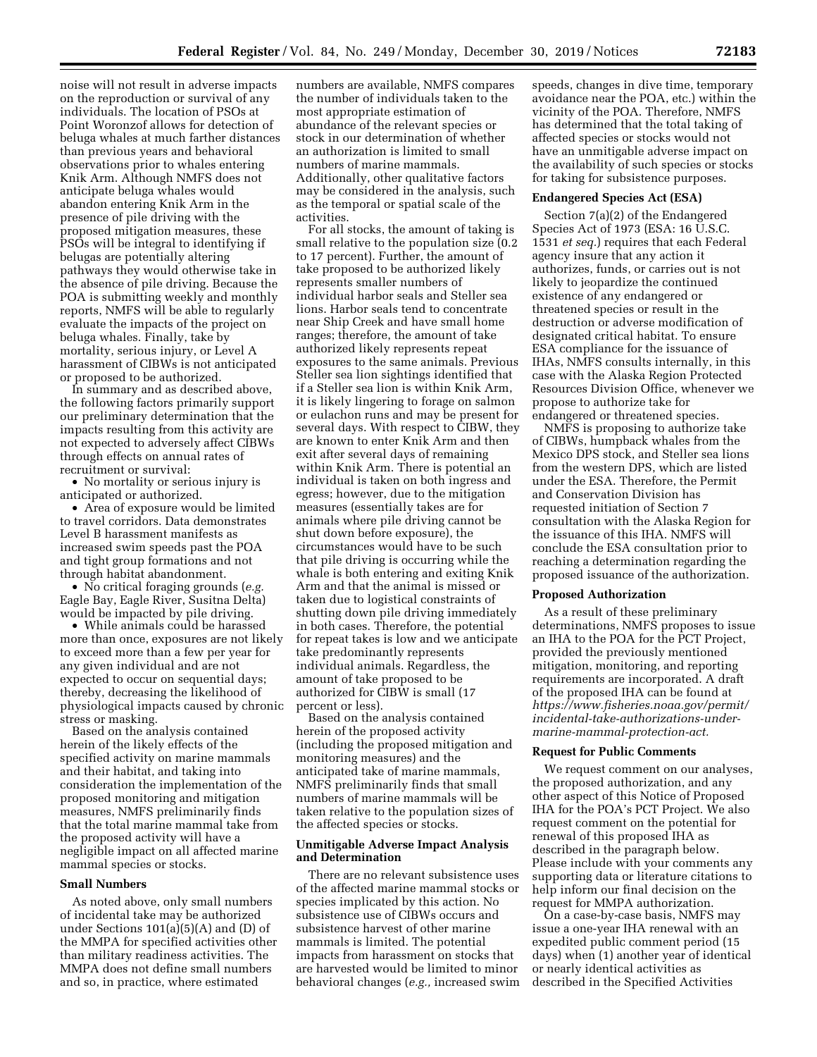noise will not result in adverse impacts on the reproduction or survival of any individuals. The location of PSOs at Point Woronzof allows for detection of beluga whales at much farther distances than previous years and behavioral observations prior to whales entering Knik Arm. Although NMFS does not anticipate beluga whales would abandon entering Knik Arm in the presence of pile driving with the proposed mitigation measures, these PSOs will be integral to identifying if belugas are potentially altering pathways they would otherwise take in the absence of pile driving. Because the POA is submitting weekly and monthly reports, NMFS will be able to regularly evaluate the impacts of the project on beluga whales. Finally, take by mortality, serious injury, or Level A harassment of CIBWs is not anticipated or proposed to be authorized.

In summary and as described above, the following factors primarily support our preliminary determination that the impacts resulting from this activity are not expected to adversely affect CIBWs through effects on annual rates of recruitment or survival:

• No mortality or serious injury is anticipated or authorized.

• Area of exposure would be limited to travel corridors. Data demonstrates Level B harassment manifests as increased swim speeds past the POA and tight group formations and not through habitat abandonment.

• No critical foraging grounds (*e.g.*  Eagle Bay, Eagle River, Susitna Delta) would be impacted by pile driving.

• While animals could be harassed more than once, exposures are not likely to exceed more than a few per year for any given individual and are not expected to occur on sequential days; thereby, decreasing the likelihood of physiological impacts caused by chronic stress or masking.

Based on the analysis contained herein of the likely effects of the specified activity on marine mammals and their habitat, and taking into consideration the implementation of the proposed monitoring and mitigation measures, NMFS preliminarily finds that the total marine mammal take from the proposed activity will have a negligible impact on all affected marine mammal species or stocks.

## **Small Numbers**

As noted above, only small numbers of incidental take may be authorized under Sections 101(a)(5)(A) and (D) of the MMPA for specified activities other than military readiness activities. The MMPA does not define small numbers and so, in practice, where estimated

numbers are available, NMFS compares the number of individuals taken to the most appropriate estimation of abundance of the relevant species or stock in our determination of whether an authorization is limited to small numbers of marine mammals. Additionally, other qualitative factors may be considered in the analysis, such as the temporal or spatial scale of the activities.

For all stocks, the amount of taking is small relative to the population size (0.2 to 17 percent). Further, the amount of take proposed to be authorized likely represents smaller numbers of individual harbor seals and Steller sea lions. Harbor seals tend to concentrate near Ship Creek and have small home ranges; therefore, the amount of take authorized likely represents repeat exposures to the same animals. Previous Steller sea lion sightings identified that if a Steller sea lion is within Knik Arm, it is likely lingering to forage on salmon or eulachon runs and may be present for several days. With respect to CIBW, they are known to enter Knik Arm and then exit after several days of remaining within Knik Arm. There is potential an individual is taken on both ingress and egress; however, due to the mitigation measures (essentially takes are for animals where pile driving cannot be shut down before exposure), the circumstances would have to be such that pile driving is occurring while the whale is both entering and exiting Knik Arm and that the animal is missed or taken due to logistical constraints of shutting down pile driving immediately in both cases. Therefore, the potential for repeat takes is low and we anticipate take predominantly represents individual animals. Regardless, the amount of take proposed to be authorized for CIBW is small (17 percent or less).

Based on the analysis contained herein of the proposed activity (including the proposed mitigation and monitoring measures) and the anticipated take of marine mammals, NMFS preliminarily finds that small numbers of marine mammals will be taken relative to the population sizes of the affected species or stocks.

### **Unmitigable Adverse Impact Analysis and Determination**

There are no relevant subsistence uses of the affected marine mammal stocks or species implicated by this action. No subsistence use of CIBWs occurs and subsistence harvest of other marine mammals is limited. The potential impacts from harassment on stocks that are harvested would be limited to minor behavioral changes (*e.g.,* increased swim speeds, changes in dive time, temporary avoidance near the POA, etc.) within the vicinity of the POA. Therefore, NMFS has determined that the total taking of affected species or stocks would not have an unmitigable adverse impact on the availability of such species or stocks for taking for subsistence purposes.

### **Endangered Species Act (ESA)**

Section 7(a)(2) of the Endangered Species Act of 1973 (ESA: 16 U.S.C. 1531 *et seq.*) requires that each Federal agency insure that any action it authorizes, funds, or carries out is not likely to jeopardize the continued existence of any endangered or threatened species or result in the destruction or adverse modification of designated critical habitat. To ensure ESA compliance for the issuance of IHAs, NMFS consults internally, in this case with the Alaska Region Protected Resources Division Office, whenever we propose to authorize take for endangered or threatened species.

NMFS is proposing to authorize take of CIBWs, humpback whales from the Mexico DPS stock, and Steller sea lions from the western DPS, which are listed under the ESA. Therefore, the Permit and Conservation Division has requested initiation of Section 7 consultation with the Alaska Region for the issuance of this IHA. NMFS will conclude the ESA consultation prior to reaching a determination regarding the proposed issuance of the authorization.

### **Proposed Authorization**

As a result of these preliminary determinations, NMFS proposes to issue an IHA to the POA for the PCT Project, provided the previously mentioned mitigation, monitoring, and reporting requirements are incorporated. A draft of the proposed IHA can be found at *[https://www.fisheries.noaa.gov/permit/](https://www.fisheries.noaa.gov/permit/incidental-take-authorizations-under-marine-mammal-protection-act) [incidental-take-authorizations-under](https://www.fisheries.noaa.gov/permit/incidental-take-authorizations-under-marine-mammal-protection-act)[marine-mammal-protection-act.](https://www.fisheries.noaa.gov/permit/incidental-take-authorizations-under-marine-mammal-protection-act)* 

### **Request for Public Comments**

We request comment on our analyses, the proposed authorization, and any other aspect of this Notice of Proposed IHA for the POA's PCT Project. We also request comment on the potential for renewal of this proposed IHA as described in the paragraph below. Please include with your comments any supporting data or literature citations to help inform our final decision on the request for MMPA authorization.

On a case-by-case basis, NMFS may issue a one-year IHA renewal with an expedited public comment period (15 days) when (1) another year of identical or nearly identical activities as described in the Specified Activities